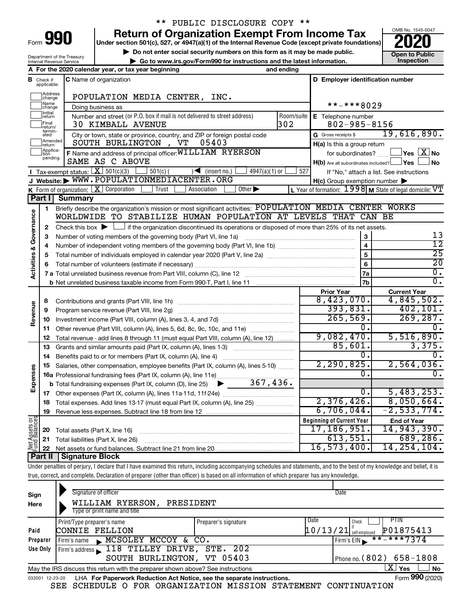| -orm |  |  |
|------|--|--|

### \*\* PUBLIC DISCLOSURE COPY \*\*

**990** Return of Organization Exempt From Income Tax <br>
Under section 501(c), 527, or 4947(a)(1) of the Internal Revenue Code (except private foundations)<br> **PO20** 

**but the Social security numbers on this form as it may be made public.** The only one to Public **Depending to Public and the latest information.** This pection **| Go to www.irs.gov/Form990 for instructions and the latest information. Inspection**



Department of the Treasury Internal Revenue Service

|                                |                              | A For the 2020 calendar year, or tax year beginning                                                                                                                        | and ending |                                                     |                                                             |
|--------------------------------|------------------------------|----------------------------------------------------------------------------------------------------------------------------------------------------------------------------|------------|-----------------------------------------------------|-------------------------------------------------------------|
| В                              | Check if<br>applicable:      | <b>C</b> Name of organization                                                                                                                                              |            | D Employer identification number                    |                                                             |
|                                | Address<br>change            | POPULATION MEDIA CENTER, INC.                                                                                                                                              |            |                                                     |                                                             |
|                                | Name<br>change               | Doing business as                                                                                                                                                          |            | **-***8029                                          |                                                             |
|                                | Initial<br> return           | Number and street (or P.O. box if mail is not delivered to street address)                                                                                                 | Room/suite | E Telephone number                                  |                                                             |
|                                | Final<br>return/             | <b>30 KIMBALL AVENUE</b>                                                                                                                                                   | 302        | $802 - 985 - 8156$                                  |                                                             |
|                                | termin-<br>ated              | City or town, state or province, country, and ZIP or foreign postal code                                                                                                   |            | G Gross receipts \$                                 | 19,616,890.                                                 |
|                                | Amended<br>return            | SOUTH BURLINGTON, VT<br>05403                                                                                                                                              |            | H(a) Is this a group return                         |                                                             |
|                                | Applica-<br>Ition<br>pending | F Name and address of principal officer: WILLIAM RYERSON                                                                                                                   |            | for subordinates?                                   | $\Box$ Yes $\Box X$ No                                      |
|                                |                              | SAME AS C ABOVE                                                                                                                                                            |            | $H(b)$ Are all subordinates included? $\Box$ Yes    | <b>No</b>                                                   |
|                                |                              | <b>I</b> Tax-exempt status: $X \over 301(c)(3)$<br>$\Box$ 501(c) (<br>4947(a)(1) or<br>$\left( \left  \right $ (insert no.)                                                | 527        |                                                     | If "No," attach a list. See instructions                    |
|                                |                              | J Website: WWW.POPULATIONMEDIACENTER.ORG                                                                                                                                   |            | $H(c)$ Group exemption number $\blacktriangleright$ |                                                             |
|                                |                              | <b>K</b> Form of organization: $X$ Corporation<br>Other $\blacktriangleright$<br>Trust<br>Association                                                                      |            |                                                     | L Year of formation: $1998$ M State of legal domicile: $VT$ |
|                                | Part I                       | <b>Summary</b>                                                                                                                                                             |            |                                                     |                                                             |
|                                | 1                            | Briefly describe the organization's mission or most significant activities: POPULATION MEDIA CENTER WORKS<br>WORLDWIDE TO STABILIZE HUMAN POPULATION AT LEVELS THAT CAN BE |            |                                                     |                                                             |
| Activities & Governance        |                              |                                                                                                                                                                            |            |                                                     |                                                             |
|                                | 2<br>3                       | Check this box $\blacktriangleright$ $\Box$ if the organization discontinued its operations or disposed of more than 25% of its net assets.                                |            |                                                     | 13                                                          |
|                                | 4                            |                                                                                                                                                                            |            | $\overline{\mathbf{4}}$                             | $\overline{12}$                                             |
|                                | 5                            |                                                                                                                                                                            |            | 5                                                   | $\overline{25}$                                             |
|                                | 6                            |                                                                                                                                                                            |            | 6                                                   | $\overline{20}$                                             |
|                                |                              |                                                                                                                                                                            |            | 7a                                                  | $\overline{0}$ .                                            |
|                                |                              |                                                                                                                                                                            |            | 7b                                                  | σ.                                                          |
|                                |                              |                                                                                                                                                                            |            | <b>Prior Year</b>                                   | <b>Current Year</b>                                         |
|                                | 8                            |                                                                                                                                                                            |            | 8,423,070.                                          | 4,845,502.                                                  |
|                                | 9                            | Program service revenue (Part VIII, line 2g)                                                                                                                               |            | 393,831.                                            | 402, 101.                                                   |
| Revenue                        | 10                           |                                                                                                                                                                            |            | 265,569.                                            | 269, 287.                                                   |
|                                | 11                           | Other revenue (Part VIII, column (A), lines 5, 6d, 8c, 9c, 10c, and 11e)                                                                                                   |            | 0.                                                  | Ο.                                                          |
|                                | 12                           | Total revenue - add lines 8 through 11 (must equal Part VIII, column (A), line 12)                                                                                         |            | 9,082,470.                                          | 5,516,890.                                                  |
|                                | 13                           | Grants and similar amounts paid (Part IX, column (A), lines 1-3)                                                                                                           |            | 85,601.                                             | 3,375.                                                      |
|                                | 14                           |                                                                                                                                                                            |            | 0.                                                  | 0.                                                          |
|                                | 15                           | Salaries, other compensation, employee benefits (Part IX, column (A), lines 5-10)                                                                                          |            | 2, 290, 825.                                        | 2,564,036.                                                  |
|                                |                              | 16a Professional fundraising fees (Part IX, column (A), line 11e)                                                                                                          |            | 0.                                                  | 0.                                                          |
| Expenses                       |                              | 367,436.<br><b>b</b> Total fundraising expenses (Part IX, column (D), line 25) $\blacktriangleright$                                                                       |            |                                                     |                                                             |
|                                | 17                           |                                                                                                                                                                            |            | 0.                                                  | 5,483,253.                                                  |
|                                | 18                           | Total expenses. Add lines 13-17 (must equal Part IX, column (A), line 25)                                                                                                  |            | 2,376,426.                                          | 8,050,664.                                                  |
|                                | 19                           |                                                                                                                                                                            |            | 6,706,044.                                          | $-2,533,774.$                                               |
| Net Assets or<br>Fund Balances |                              |                                                                                                                                                                            |            | <b>Beginning of Current Year</b>                    | <b>End of Year</b>                                          |
|                                | 20                           | Total assets (Part X, line 16)                                                                                                                                             |            | 17,186,951.                                         | 14,943,390.                                                 |
|                                | 21                           | Total liabilities (Part X, line 26)                                                                                                                                        |            | 613,551.                                            | 689, 286.                                                   |
|                                | 22                           |                                                                                                                                                                            |            | 16, 573, 400.                                       | 14, 254, 104.                                               |
|                                | Part II                      | <b>Signature Block</b>                                                                                                                                                     |            |                                                     |                                                             |
|                                |                              | Under penalties of perjury, I declare that I have examined this return, including accompanying schedules and statements, and to the best of my knowledge and belief, it is |            |                                                     |                                                             |

true, correct, and complete. Declaration of preparer (other than officer) is based on all information of which preparer has any knowledge.

| Sign<br>Here    | Signature of officer<br>WILLIAM RYERSON,<br>PRESIDENT<br>Type or print name and title |                      | Date                               |                                |
|-----------------|---------------------------------------------------------------------------------------|----------------------|------------------------------------|--------------------------------|
| Paid            | Print/Type preparer's name<br>CONNIE FELLION                                          | Preparer's signature | I Date<br>$10/13/21$ self-employed | PIIN<br>Check<br>P01875413     |
| Preparer        | $\blacktriangleright$ MCSOLEY MCCOY & CO.<br>Firm's name                              |                      |                                    | $***$ $***$ 7374<br>Firm's EIN |
| Use Only        | Firm's address 118 TILLEY DRIVE, STE. 202                                             |                      |                                    |                                |
|                 | SOUTH BURLINGTON, VT 05403                                                            |                      |                                    | Phone no. $(802)$ 658-1808     |
|                 | May the IRS discuss this return with the preparer shown above? See instructions       |                      |                                    | $X \mid$<br><b>No</b><br>Yes   |
| 032001 12-23-20 | LHA For Paperwork Reduction Act Notice, see the separate instructions.                |                      |                                    | Form 990 (2020)                |

SEE SCHEDULE O FOR ORGANIZATION MISSION STATEMENT CONTINUATION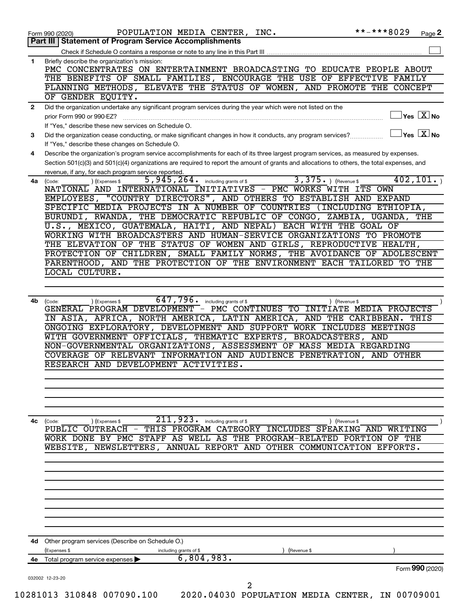|              | **-***8029<br>POPULATION MEDIA CENTER, INC.<br>Page 2<br>Form 990 (2020)                                                                                                                                                                                                                                                    |
|--------------|-----------------------------------------------------------------------------------------------------------------------------------------------------------------------------------------------------------------------------------------------------------------------------------------------------------------------------|
|              | Part III   Statement of Program Service Accomplishments                                                                                                                                                                                                                                                                     |
|              |                                                                                                                                                                                                                                                                                                                             |
| $\mathbf{1}$ | Briefly describe the organization's mission:<br>PMC CONCENTRATES ON ENTERTAINMENT BROADCASTING TO EDUCATE PEOPLE ABOUT                                                                                                                                                                                                      |
|              | THE BENEFITS OF SMALL FAMILIES, ENCOURAGE THE USE OF EFFECTIVE FAMILY                                                                                                                                                                                                                                                       |
|              | PLANNING METHODS, ELEVATE THE STATUS OF WOMEN, AND PROMOTE THE CONCEPT<br>OF GENDER EQUITY.                                                                                                                                                                                                                                 |
| $\mathbf{2}$ | Did the organization undertake any significant program services during the year which were not listed on the                                                                                                                                                                                                                |
|              | $\vert$ Yes $\vert$ $\overline{\mathrm{X}}$ No<br>prior Form 990 or 990-EZ?                                                                                                                                                                                                                                                 |
|              | If "Yes," describe these new services on Schedule O.<br>$Yes \quad X \overline{X}$ No                                                                                                                                                                                                                                       |
| 3            | Did the organization cease conducting, or make significant changes in how it conducts, any program services?<br>If "Yes," describe these changes on Schedule O.                                                                                                                                                             |
| 4            | Describe the organization's program service accomplishments for each of its three largest program services, as measured by expenses.                                                                                                                                                                                        |
|              | Section 501(c)(3) and 501(c)(4) organizations are required to report the amount of grants and allocations to others, the total expenses, and<br>revenue, if any, for each program service reported.                                                                                                                         |
| 4a           | $3,375.$ (Revenue \$<br>402, 101.<br>5,945,264. including grants of \$<br>) (Expenses \$<br>(Code:                                                                                                                                                                                                                          |
|              | NATIONAL AND INTERNATIONAL INITIATIVES - PMC WORKS WITH ITS OWN                                                                                                                                                                                                                                                             |
|              | EMPLOYEES, "COUNTRY DIRECTORS", AND OTHERS TO ESTABLISH AND EXPAND                                                                                                                                                                                                                                                          |
|              | SPECIFIC MEDIA PROJECTS IN A NUMBER OF COUNTRIES (INCLUDING ETHIOPIA,                                                                                                                                                                                                                                                       |
|              | BURUNDI, RWANDA, THE DEMOCRATIC REPUBLIC OF CONGO, ZAMBIA, UGANDA,<br>THE                                                                                                                                                                                                                                                   |
|              | U.S., MEXICO, GUATEMALA, HAITI, AND NEPAL) EACH WITH THE GOAL OF                                                                                                                                                                                                                                                            |
|              | WORKING WITH BROADCASTERS AND HUMAN-SERVICE ORGANIZATIONS TO PROMOTE                                                                                                                                                                                                                                                        |
|              | THE ELEVATION OF THE STATUS OF WOMEN AND GIRLS, REPRODUCTIVE HEALTH,                                                                                                                                                                                                                                                        |
|              | PROTECTION OF CHILDREN, SMALL FAMILY NORMS, THE AVOIDANCE OF ADOLESCENT                                                                                                                                                                                                                                                     |
|              | PARENTHOOD, AND THE PROTECTION OF THE ENVIRONMENT EACH TAILORED TO THE                                                                                                                                                                                                                                                      |
|              | LOCAL CULTURE.                                                                                                                                                                                                                                                                                                              |
|              |                                                                                                                                                                                                                                                                                                                             |
|              | ONGOING EXPLORATORY, DEVELOPMENT AND SUPPORT WORK INCLUDES MEETINGS<br>WITH GOVERNMENT OFFICIALS, THEMATIC EXPERTS, BROADCASTERS, AND<br>NON-GOVERNMENTAL ORGANIZATIONS, ASSESSMENT OF MASS MEDIA REGARDING<br>COVERAGE OF RELEVANT INFORMATION AND AUDIENCE PENETRATION, AND OTHER<br>RESEARCH AND DEVELOPMENT ACTIVITIES. |
| 4c           | $\overline{211}$ , 923. including grants of \$<br>(Code:<br>(Expenses \$<br>) (Revenue \$                                                                                                                                                                                                                                   |
|              | PUBLIC OUTREACH - THIS PROGRAM CATEGORY INCLUDES SPEAKING AND WRITING                                                                                                                                                                                                                                                       |
|              | WORK DONE BY PMC STAFF AS WELL AS THE PROGRAM-RELATED PORTION OF THE                                                                                                                                                                                                                                                        |
|              | WEBSITE, NEWSLETTERS, ANNUAL REPORT AND OTHER COMMUNICATION EFFORTS.                                                                                                                                                                                                                                                        |
|              |                                                                                                                                                                                                                                                                                                                             |
|              |                                                                                                                                                                                                                                                                                                                             |
|              |                                                                                                                                                                                                                                                                                                                             |
|              |                                                                                                                                                                                                                                                                                                                             |
|              | Other program services (Describe on Schedule O.)                                                                                                                                                                                                                                                                            |
| 4d<br>4е     | (Expenses \$<br>including grants of \$<br>(Revenue \$<br>6,804,983.                                                                                                                                                                                                                                                         |
|              | Total program service expenses<br>Form 990 (2020)                                                                                                                                                                                                                                                                           |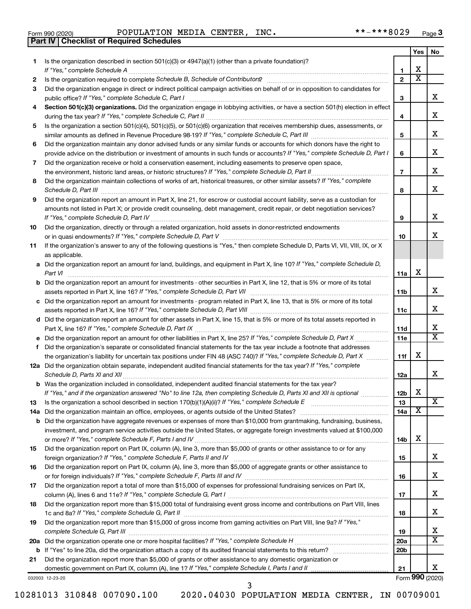|  | Form 990 (2020) |
|--|-----------------|

**Part IV Checklist of Required Schedules**

Form 990 (2020) Page POPULATION MEDIA CENTER, INC. \*\*-\*\*\*8029

|     |                                                                                                                                       |                 | Yes | No                      |
|-----|---------------------------------------------------------------------------------------------------------------------------------------|-----------------|-----|-------------------------|
| 1   | Is the organization described in section 501(c)(3) or 4947(a)(1) (other than a private foundation)?                                   |                 |     |                         |
|     |                                                                                                                                       | $\mathbf{1}$    | х   |                         |
| 2   |                                                                                                                                       | $\mathbf{2}$    | x   |                         |
| 3   | Did the organization engage in direct or indirect political campaign activities on behalf of or in opposition to candidates for       |                 |     |                         |
|     |                                                                                                                                       | 3               |     | x                       |
| 4   | Section 501(c)(3) organizations. Did the organization engage in lobbying activities, or have a section 501(h) election in effect      |                 |     |                         |
|     |                                                                                                                                       | 4               |     | x                       |
| 5   | Is the organization a section 501(c)(4), 501(c)(5), or 501(c)(6) organization that receives membership dues, assessments, or          |                 |     |                         |
|     |                                                                                                                                       | 5               |     | x                       |
| 6   | Did the organization maintain any donor advised funds or any similar funds or accounts for which donors have the right to             |                 |     |                         |
|     | provide advice on the distribution or investment of amounts in such funds or accounts? If "Yes," complete Schedule D, Part I          | 6               |     | x                       |
| 7   | Did the organization receive or hold a conservation easement, including easements to preserve open space,                             |                 |     |                         |
|     |                                                                                                                                       | $\overline{7}$  |     | x                       |
| 8   | Did the organization maintain collections of works of art, historical treasures, or other similar assets? If "Yes," complete          |                 |     |                         |
|     | Schedule D, Part III <b>William Commission Commission Commission</b> Commission Commission Commission                                 | 8               |     | x                       |
| 9   | Did the organization report an amount in Part X, line 21, for escrow or custodial account liability, serve as a custodian for         |                 |     |                         |
|     | amounts not listed in Part X; or provide credit counseling, debt management, credit repair, or debt negotiation services?             |                 |     |                         |
|     |                                                                                                                                       | 9               |     | x                       |
| 10  | Did the organization, directly or through a related organization, hold assets in donor-restricted endowments                          |                 |     |                         |
|     |                                                                                                                                       | 10              |     | x                       |
|     | If the organization's answer to any of the following questions is "Yes," then complete Schedule D, Parts VI, VII, VIII, IX, or X      |                 |     |                         |
| 11  | as applicable.                                                                                                                        |                 |     |                         |
|     | a Did the organization report an amount for land, buildings, and equipment in Part X, line 10? If "Yes," complete Schedule D,         |                 |     |                         |
|     |                                                                                                                                       |                 | X   |                         |
|     |                                                                                                                                       | 11a             |     |                         |
|     | <b>b</b> Did the organization report an amount for investments - other securities in Part X, line 12, that is 5% or more of its total |                 |     | х                       |
|     | assets reported in Part X, line 16? If "Yes," complete Schedule D, Part VII [11] [11] [12] [12] [12] [12] [12] [                      | 11b             |     |                         |
|     | c Did the organization report an amount for investments - program related in Part X, line 13, that is 5% or more of its total         |                 |     | х                       |
|     |                                                                                                                                       | 11c             |     |                         |
|     | d Did the organization report an amount for other assets in Part X, line 15, that is 5% or more of its total assets reported in       |                 |     | х                       |
|     |                                                                                                                                       | 11d             |     | $\overline{\text{x}}$   |
|     |                                                                                                                                       | 11e             |     |                         |
|     | f Did the organization's separate or consolidated financial statements for the tax year include a footnote that addresses             |                 |     |                         |
|     | the organization's liability for uncertain tax positions under FIN 48 (ASC 740)? If "Yes," complete Schedule D, Part X                | 11f             | х   |                         |
|     | 12a Did the organization obtain separate, independent audited financial statements for the tax year? If "Yes," complete               |                 |     |                         |
|     |                                                                                                                                       | 12a             |     | x                       |
|     | <b>b</b> Was the organization included in consolidated, independent audited financial statements for the tax year?                    |                 |     |                         |
|     | If "Yes," and if the organization answered "No" to line 12a, then completing Schedule D, Parts XI and XII is optional                 | 12 <sub>b</sub> | х   |                         |
| 13  |                                                                                                                                       | 13              |     | $\overline{\texttt{x}}$ |
| 14a |                                                                                                                                       | 14a             | х   |                         |
| b   | Did the organization have aggregate revenues or expenses of more than \$10,000 from grantmaking, fundraising, business,               |                 |     |                         |
|     | investment, and program service activities outside the United States, or aggregate foreign investments valued at \$100,000            |                 |     |                         |
|     |                                                                                                                                       | 14b             | X   |                         |
| 15  | Did the organization report on Part IX, column (A), line 3, more than \$5,000 of grants or other assistance to or for any             |                 |     |                         |
|     |                                                                                                                                       | 15              |     | х                       |
| 16  | Did the organization report on Part IX, column (A), line 3, more than \$5,000 of aggregate grants or other assistance to              |                 |     |                         |
|     |                                                                                                                                       | 16              |     | х                       |
| 17  | Did the organization report a total of more than \$15,000 of expenses for professional fundraising services on Part IX,               |                 |     |                         |
|     |                                                                                                                                       | 17              |     | х                       |
| 18  | Did the organization report more than \$15,000 total of fundraising event gross income and contributions on Part VIII, lines          |                 |     |                         |
|     |                                                                                                                                       | 18              |     | х                       |
| 19  | Did the organization report more than \$15,000 of gross income from gaming activities on Part VIII, line 9a? If "Yes,"                |                 |     |                         |
|     |                                                                                                                                       | 19              |     | x                       |
| 20a |                                                                                                                                       | 20a             |     | х                       |
| b   |                                                                                                                                       | 20 <sub>b</sub> |     |                         |
| 21  | Did the organization report more than \$5,000 of grants or other assistance to any domestic organization or                           |                 |     |                         |
|     |                                                                                                                                       | 21              |     | х                       |
|     | 032003 12-23-20                                                                                                                       |                 |     | Form 990 (2020)         |

10281013 310848 007090.100 2020.04030 POPULATION MEDIA CENTER, IN 00709001

3

Form (2020) **990**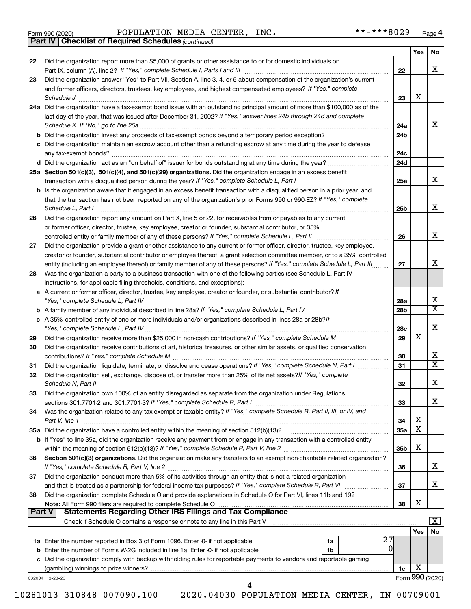|  | Form 990 (2020) |
|--|-----------------|
|  |                 |

Form 990 (2020) Page POPULATION MEDIA CENTER, INC. \*\*-\*\*\*8029

*(continued)* **Part IV Checklist of Required Schedules**

|          |                                                                                                                                                                                                    |                 | Yes | No                      |
|----------|----------------------------------------------------------------------------------------------------------------------------------------------------------------------------------------------------|-----------------|-----|-------------------------|
| 22       | Did the organization report more than \$5,000 of grants or other assistance to or for domestic individuals on                                                                                      |                 |     |                         |
|          |                                                                                                                                                                                                    | 22              |     | х                       |
| 23       | Did the organization answer "Yes" to Part VII, Section A, line 3, 4, or 5 about compensation of the organization's current                                                                         |                 |     |                         |
|          | and former officers, directors, trustees, key employees, and highest compensated employees? If "Yes," complete                                                                                     |                 | х   |                         |
|          | 24a Did the organization have a tax-exempt bond issue with an outstanding principal amount of more than \$100,000 as of the                                                                        | 23              |     |                         |
|          | last day of the year, that was issued after December 31, 2002? If "Yes," answer lines 24b through 24d and complete                                                                                 |                 |     |                         |
|          |                                                                                                                                                                                                    | 24a             |     | x                       |
|          |                                                                                                                                                                                                    | 24 <sub>b</sub> |     |                         |
|          | c Did the organization maintain an escrow account other than a refunding escrow at any time during the year to defease                                                                             |                 |     |                         |
|          |                                                                                                                                                                                                    | 24c             |     |                         |
|          |                                                                                                                                                                                                    | 24 <sub>d</sub> |     |                         |
|          | 25a Section 501(c)(3), 501(c)(4), and 501(c)(29) organizations. Did the organization engage in an excess benefit                                                                                   |                 |     |                         |
|          |                                                                                                                                                                                                    | 25a             |     | x                       |
|          | b Is the organization aware that it engaged in an excess benefit transaction with a disqualified person in a prior year, and                                                                       |                 |     |                         |
|          | that the transaction has not been reported on any of the organization's prior Forms 990 or 990-EZ? If "Yes," complete                                                                              |                 |     |                         |
|          | Schedule L, Part I                                                                                                                                                                                 | 25b             |     | х                       |
| 26       | Did the organization report any amount on Part X, line 5 or 22, for receivables from or payables to any current                                                                                    |                 |     |                         |
|          | or former officer, director, trustee, key employee, creator or founder, substantial contributor, or 35%                                                                                            |                 |     |                         |
|          |                                                                                                                                                                                                    | 26              |     | х                       |
| 27       | Did the organization provide a grant or other assistance to any current or former officer, director, trustee, key employee,                                                                        |                 |     |                         |
|          | creator or founder, substantial contributor or employee thereof, a grant selection committee member, or to a 35% controlled                                                                        |                 |     | х                       |
|          | entity (including an employee thereof) or family member of any of these persons? If "Yes," complete Schedule L, Part III                                                                           | 27              |     |                         |
| 28       | Was the organization a party to a business transaction with one of the following parties (see Schedule L, Part IV                                                                                  |                 |     |                         |
|          | instructions, for applicable filing thresholds, conditions, and exceptions):<br>a A current or former officer, director, trustee, key employee, creator or founder, or substantial contributor? If |                 |     |                         |
|          |                                                                                                                                                                                                    | 28a             |     | X                       |
|          |                                                                                                                                                                                                    | 28 <sub>b</sub> |     | X                       |
|          | c A 35% controlled entity of one or more individuals and/or organizations described in lines 28a or 28b?If                                                                                         |                 |     |                         |
|          |                                                                                                                                                                                                    | 28c             |     | х                       |
| 29       |                                                                                                                                                                                                    | 29              | х   |                         |
| 30       | Did the organization receive contributions of art, historical treasures, or other similar assets, or qualified conservation                                                                        |                 |     |                         |
|          |                                                                                                                                                                                                    | 30              |     | х                       |
| 31       | Did the organization liquidate, terminate, or dissolve and cease operations? If "Yes," complete Schedule N, Part I                                                                                 | 31              |     | X                       |
| 32       | Did the organization sell, exchange, dispose of, or transfer more than 25% of its net assets? If "Yes," complete                                                                                   |                 |     |                         |
|          |                                                                                                                                                                                                    | 32              |     | х                       |
| 33       | Did the organization own 100% of an entity disregarded as separate from the organization under Regulations                                                                                         |                 |     |                         |
|          |                                                                                                                                                                                                    | 33              |     | х                       |
| 34       | Was the organization related to any tax-exempt or taxable entity? If "Yes," complete Schedule R, Part II, III, or IV, and                                                                          |                 |     |                         |
|          | Part V, line 1                                                                                                                                                                                     | 34              | х   |                         |
|          |                                                                                                                                                                                                    | 35a             | X   |                         |
|          | <b>b</b> If "Yes" to line 35a, did the organization receive any payment from or engage in any transaction with a controlled entity                                                                 | 35b             | х   |                         |
| 36       | Section 501(c)(3) organizations. Did the organization make any transfers to an exempt non-charitable related organization?                                                                         |                 |     |                         |
|          |                                                                                                                                                                                                    | 36              |     | х                       |
| 37       | Did the organization conduct more than 5% of its activities through an entity that is not a related organization                                                                                   |                 |     |                         |
|          | and that is treated as a partnership for federal income tax purposes? If "Yes," complete Schedule R, Part VI                                                                                       | 37              |     | х                       |
| 38       | Did the organization complete Schedule O and provide explanations in Schedule O for Part VI, lines 11b and 19?                                                                                     |                 |     |                         |
|          |                                                                                                                                                                                                    | 38              | х   |                         |
| ∣ Part V | Statements Regarding Other IRS Filings and Tax Compliance                                                                                                                                          |                 |     |                         |
|          | Check if Schedule O contains a response or note to any line in this Part V [11] [12] Check if Schedule O contains a response or note to any line in this Part V                                    |                 |     | $\overline{\mathbf{X}}$ |
|          |                                                                                                                                                                                                    |                 | Yes | No                      |
|          | 27<br>1a                                                                                                                                                                                           |                 |     |                         |
|          | <b>b</b> Enter the number of Forms W-2G included in line 1a. Enter -0- if not applicable<br>1b                                                                                                     |                 |     |                         |
|          | c Did the organization comply with backup withholding rules for reportable payments to vendors and reportable gaming                                                                               |                 | х   |                         |
|          | 032004 12-23-20                                                                                                                                                                                    | 1c              |     | Form 990 (2020)         |
|          | 4                                                                                                                                                                                                  |                 |     |                         |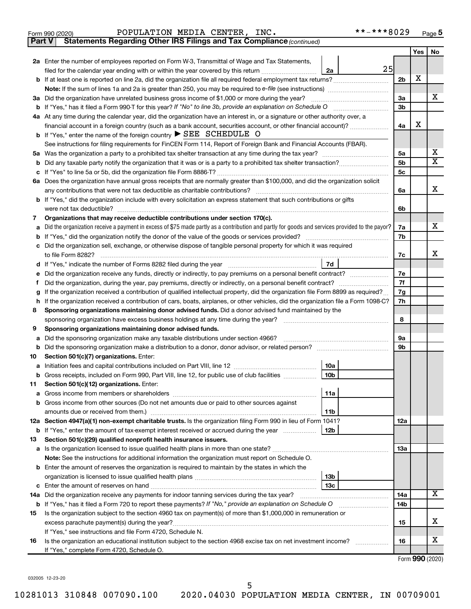| POPULATION MEDIA CENTER, INC. |  | **-***8029 |
|-------------------------------|--|------------|
|                               |  |            |

| Part V | Statements Regarding Other IRS Filings and Tax Compliance (continued)                                                                           |     |     |                         |
|--------|-------------------------------------------------------------------------------------------------------------------------------------------------|-----|-----|-------------------------|
|        |                                                                                                                                                 |     | Yes | No                      |
|        | 2a Enter the number of employees reported on Form W-3, Transmittal of Wage and Tax Statements,                                                  |     |     |                         |
|        | 25<br>filed for the calendar year ending with or within the year covered by this return<br>2a                                                   |     |     |                         |
|        | b If at least one is reported on line 2a, did the organization file all required federal employment tax returns?                                | 2b  | X   |                         |
|        |                                                                                                                                                 |     |     |                         |
| За     | Did the organization have unrelated business gross income of \$1,000 or more during the year?                                                   | За  |     | х                       |
|        |                                                                                                                                                 | 3b  |     |                         |
|        | 4a At any time during the calendar year, did the organization have an interest in, or a signature or other authority over, a                    |     |     |                         |
|        | financial account in a foreign country (such as a bank account, securities account, or other financial account)?                                | 4a  | X   |                         |
|        | <b>b</b> If "Yes," enter the name of the foreign country $\triangleright$ SEE SCHEDULE O                                                        |     |     |                         |
|        | See instructions for filing requirements for FinCEN Form 114, Report of Foreign Bank and Financial Accounts (FBAR).                             |     |     |                         |
| 5a     |                                                                                                                                                 | 5a  |     | x                       |
| b      |                                                                                                                                                 | 5b  |     | $\overline{\textbf{x}}$ |
| с      |                                                                                                                                                 | 5с  |     |                         |
|        | 6a Does the organization have annual gross receipts that are normally greater than \$100,000, and did the organization solicit                  |     |     |                         |
|        |                                                                                                                                                 | 6a  |     | х                       |
|        | b If "Yes," did the organization include with every solicitation an express statement that such contributions or gifts                          |     |     |                         |
|        | were not tax deductible?                                                                                                                        | 6b  |     |                         |
| 7      | Organizations that may receive deductible contributions under section 170(c).                                                                   |     |     |                         |
| a      | Did the organization receive a payment in excess of \$75 made partly as a contribution and partly for goods and services provided to the payor? | 7a  |     | х                       |
| b      |                                                                                                                                                 | 7b  |     |                         |
| c      | Did the organization sell, exchange, or otherwise dispose of tangible personal property for which it was required                               |     |     |                         |
|        | to file Form 8282?                                                                                                                              | 7c  |     | x                       |
| d      | 7d                                                                                                                                              |     |     |                         |
|        | Did the organization receive any funds, directly or indirectly, to pay premiums on a personal benefit contract?                                 | 7e  |     |                         |
| f      |                                                                                                                                                 | 7f  |     |                         |
| g      | If the organization received a contribution of qualified intellectual property, did the organization file Form 8899 as required?                | 7g  |     |                         |
| h      | If the organization received a contribution of cars, boats, airplanes, or other vehicles, did the organization file a Form 1098-C?              | 7h  |     |                         |
| 8      | Sponsoring organizations maintaining donor advised funds. Did a donor advised fund maintained by the                                            |     |     |                         |
|        |                                                                                                                                                 | 8   |     |                         |
| 9      | Sponsoring organizations maintaining donor advised funds.                                                                                       |     |     |                         |
| а      | Did the sponsoring organization make any taxable distributions under section 4966?                                                              | 9а  |     |                         |
| b      |                                                                                                                                                 | 9b  |     |                         |
| 10     | Section 501(c)(7) organizations. Enter:                                                                                                         |     |     |                         |
| а      | 10a                                                                                                                                             |     |     |                         |
|        | Gross receipts, included on Form 990, Part VIII, line 12, for public use of club facilities<br>10b                                              |     |     |                         |
| 11     | Section 501(c)(12) organizations. Enter:                                                                                                        |     |     |                         |
| а      | 11a                                                                                                                                             |     |     |                         |
|        | Gross income from other sources (Do not net amounts due or paid to other sources against                                                        |     |     |                         |
|        | amounts due or received from them.)<br>11b                                                                                                      |     |     |                         |
|        | 12a Section 4947(a)(1) non-exempt charitable trusts. Is the organization filing Form 990 in lieu of Form 1041?                                  | 12a |     |                         |
|        | 12b<br><b>b</b> If "Yes," enter the amount of tax-exempt interest received or accrued during the year                                           |     |     |                         |
| 13     | Section 501(c)(29) qualified nonprofit health insurance issuers.                                                                                |     |     |                         |
|        | a Is the organization licensed to issue qualified health plans in more than one state?                                                          | 13a |     |                         |
|        | Note: See the instructions for additional information the organization must report on Schedule O.                                               |     |     |                         |
|        | <b>b</b> Enter the amount of reserves the organization is required to maintain by the states in which the                                       |     |     |                         |
|        | 13b                                                                                                                                             |     |     |                         |
| c      | 13c                                                                                                                                             |     |     |                         |
|        | 14a Did the organization receive any payments for indoor tanning services during the tax year?                                                  | 14a |     | x                       |
|        | <b>b</b> If "Yes," has it filed a Form 720 to report these payments? If "No," provide an explanation on Schedule O                              | 14b |     |                         |
| 15     | Is the organization subject to the section 4960 tax on payment(s) of more than \$1,000,000 in remuneration or                                   |     |     |                         |
|        | excess parachute payment(s) during the year?                                                                                                    | 15  |     | х                       |
|        | If "Yes," see instructions and file Form 4720, Schedule N.                                                                                      |     |     |                         |
| 16     | Is the organization an educational institution subject to the section 4968 excise tax on net investment income?                                 | 16  |     | x                       |
|        | If "Yes," complete Form 4720, Schedule O.                                                                                                       |     |     |                         |

Form (2020) **990**

032005 12-23-20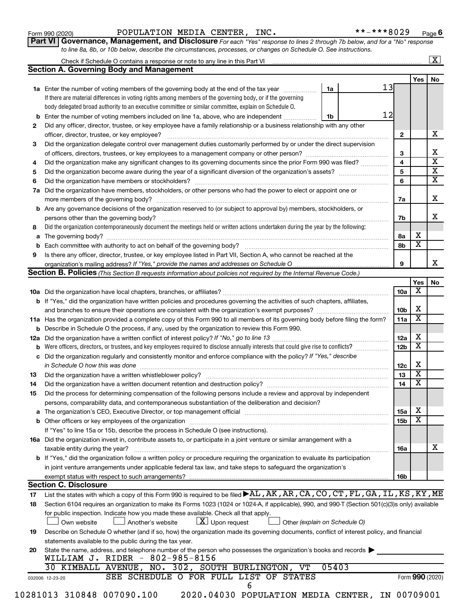| Form 990 (2020) |  |
|-----------------|--|
|-----------------|--|

Form 990 (2020) Page POPULATION MEDIA CENTER, INC. \*\*-\*\*\*8029

**Part VI** Governance, Management, and Disclosure For each "Yes" response to lines 2 through 7b below, and for a "No" response *to line 8a, 8b, or 10b below, describe the circumstances, processes, or changes on Schedule O. See instructions.*

|     | Check if Schedule O contains a response or note to any line in this Part VI [11] [12] Check if Schedule O contains a response or note to any line in this Part VI                                                              |    |       |    |                 |                 | $\mathbf{X}$ |
|-----|--------------------------------------------------------------------------------------------------------------------------------------------------------------------------------------------------------------------------------|----|-------|----|-----------------|-----------------|--------------|
|     | <b>Section A. Governing Body and Management</b>                                                                                                                                                                                |    |       |    |                 |                 |              |
|     |                                                                                                                                                                                                                                |    |       |    |                 | Yes             | No           |
|     | <b>1a</b> Enter the number of voting members of the governing body at the end of the tax year                                                                                                                                  | 1a |       | 13 |                 |                 |              |
|     | If there are material differences in voting rights among members of the governing body, or if the governing                                                                                                                    |    |       |    |                 |                 |              |
|     | body delegated broad authority to an executive committee or similar committee, explain on Schedule O.                                                                                                                          |    |       |    |                 |                 |              |
| b   | Enter the number of voting members included on line 1a, above, who are independent                                                                                                                                             | 1b |       | 12 |                 |                 |              |
| 2   | Did any officer, director, trustee, or key employee have a family relationship or a business relationship with any other                                                                                                       |    |       |    |                 |                 |              |
|     | officer, director, trustee, or key employee?                                                                                                                                                                                   |    |       |    | 2               |                 |              |
| 3   | Did the organization delegate control over management duties customarily performed by or under the direct supervision                                                                                                          |    |       |    |                 |                 |              |
|     |                                                                                                                                                                                                                                |    |       |    | 3               |                 |              |
| 4   | Did the organization make any significant changes to its governing documents since the prior Form 990 was filed?                                                                                                               |    |       |    | 4               |                 |              |
| 5   |                                                                                                                                                                                                                                |    |       |    | 5               |                 |              |
| 6   |                                                                                                                                                                                                                                |    |       |    | 6               |                 |              |
| 7a  | Did the organization have members, stockholders, or other persons who had the power to elect or appoint one or                                                                                                                 |    |       |    |                 |                 |              |
|     |                                                                                                                                                                                                                                |    |       |    | 7a              |                 |              |
| b   | Are any governance decisions of the organization reserved to (or subject to approval by) members, stockholders, or                                                                                                             |    |       |    |                 |                 |              |
|     |                                                                                                                                                                                                                                |    |       |    | 7b              |                 |              |
| 8   | Did the organization contemporaneously document the meetings held or written actions undertaken during the year by the following:                                                                                              |    |       |    |                 |                 |              |
| a   |                                                                                                                                                                                                                                |    |       |    | 8а              | X               |              |
| b   |                                                                                                                                                                                                                                |    |       |    | 8b              | х               |              |
| 9   | Is there any officer, director, trustee, or key employee listed in Part VII, Section A, who cannot be reached at the                                                                                                           |    |       |    |                 |                 |              |
|     |                                                                                                                                                                                                                                |    |       |    | 9               |                 |              |
|     | <b>Section B. Policies</b> (This Section B requests information about policies not required by the Internal Revenue Code.)                                                                                                     |    |       |    |                 |                 |              |
|     |                                                                                                                                                                                                                                |    |       |    |                 | Yes             |              |
|     |                                                                                                                                                                                                                                |    |       |    | 10a             | х               |              |
|     | <b>b</b> If "Yes," did the organization have written policies and procedures governing the activities of such chapters, affiliates,                                                                                            |    |       |    |                 |                 |              |
|     |                                                                                                                                                                                                                                |    |       |    | 10 <sub>b</sub> | X               |              |
|     |                                                                                                                                                                                                                                |    |       |    | 11a             | X               |              |
|     | 11a Has the organization provided a complete copy of this Form 990 to all members of its governing body before filing the form?                                                                                                |    |       |    |                 |                 |              |
|     | <b>b</b> Describe in Schedule O the process, if any, used by the organization to review this Form 990.                                                                                                                         |    |       |    |                 | X               |              |
| 12a |                                                                                                                                                                                                                                |    |       |    | 12a             | X               |              |
| b   | Were officers, directors, or trustees, and key employees required to disclose annually interests that could give rise to conflicts?                                                                                            |    |       |    | 12 <sub>b</sub> |                 |              |
| с   | Did the organization regularly and consistently monitor and enforce compliance with the policy? If "Yes," describe                                                                                                             |    |       |    |                 |                 |              |
|     | in Schedule O how this was done manufactured and continuum and contact the state of the state of the state of                                                                                                                  |    |       |    | 12c             | X               |              |
| 13  |                                                                                                                                                                                                                                |    |       |    | 13              | X               |              |
| 14  | Did the organization have a written document retention and destruction policy? [11] manufaction model of the organization have a written document retention and destruction policy?                                            |    |       |    | 14              | X               |              |
| 15  | Did the process for determining compensation of the following persons include a review and approval by independent                                                                                                             |    |       |    |                 |                 |              |
|     | persons, comparability data, and contemporaneous substantiation of the deliberation and decision?                                                                                                                              |    |       |    |                 |                 |              |
| а   | The organization's CEO, Executive Director, or top management official manufactured content content of the organization's CEO, Executive Director, or top management official manufactured content of the original manufacture |    |       |    | <b>15a</b>      | х               |              |
|     |                                                                                                                                                                                                                                |    |       |    | 15 <sub>b</sub> | х               |              |
|     | If "Yes" to line 15a or 15b, describe the process in Schedule O (see instructions).                                                                                                                                            |    |       |    |                 |                 |              |
|     | 16a Did the organization invest in, contribute assets to, or participate in a joint venture or similar arrangement with a                                                                                                      |    |       |    |                 |                 |              |
|     | taxable entity during the year?                                                                                                                                                                                                |    |       |    | 16a             |                 |              |
|     | b If "Yes," did the organization follow a written policy or procedure requiring the organization to evaluate its participation                                                                                                 |    |       |    |                 |                 |              |
|     | in joint venture arrangements under applicable federal tax law, and take steps to safeguard the organization's                                                                                                                 |    |       |    |                 |                 |              |
|     | exempt status with respect to such arrangements?                                                                                                                                                                               |    |       |    | 16b             |                 |              |
|     | <b>Section C. Disclosure</b>                                                                                                                                                                                                   |    |       |    |                 |                 |              |
| 17  | List the states with which a copy of this Form 990 is required to be filed >AL, AK, AR, CA, CO, CT, FL, GA, IL, KS, KY, ME                                                                                                     |    |       |    |                 |                 |              |
| 18  | Section 6104 requires an organization to make its Forms 1023 (1024 or 1024-A, if applicable), 990, and 990-T (Section 501(c)(3)s only) available                                                                               |    |       |    |                 |                 |              |
|     | for public inspection. Indicate how you made these available. Check all that apply.                                                                                                                                            |    |       |    |                 |                 |              |
|     | $\lfloor x \rfloor$ Upon request<br>Own website<br>Another's website<br>Other (explain on Schedule O)                                                                                                                          |    |       |    |                 |                 |              |
| 19  | Describe on Schedule O whether (and if so, how) the organization made its governing documents, conflict of interest policy, and financial                                                                                      |    |       |    |                 |                 |              |
|     | statements available to the public during the tax year.                                                                                                                                                                        |    |       |    |                 |                 |              |
|     | State the name, address, and telephone number of the person who possesses the organization's books and records                                                                                                                 |    |       |    |                 |                 |              |
| 20  | WILLIAM J. RIDER - 802-985-8156                                                                                                                                                                                                |    |       |    |                 |                 |              |
|     | 30 KIMBALL AVENUE, NO. 302, SOUTH BURLINGTON, VT                                                                                                                                                                               |    | 05403 |    |                 |                 |              |
|     |                                                                                                                                                                                                                                |    |       |    |                 | Form 990 (2020) |              |
|     |                                                                                                                                                                                                                                |    |       |    |                 |                 |              |
|     | SEE SCHEDULE O FOR FULL LIST OF STATES<br>032006 12-23-20<br>6                                                                                                                                                                 |    |       |    |                 |                 |              |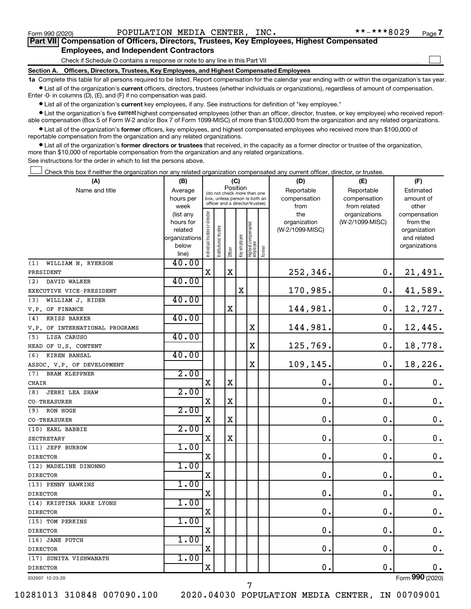$\Box$ 

| Part VII Compensation of Officers, Directors, Trustees, Key Employees, Highest Compensated |  |  |  |  |
|--------------------------------------------------------------------------------------------|--|--|--|--|
| <b>Employees, and Independent Contractors</b>                                              |  |  |  |  |

Check if Schedule O contains a response or note to any line in this Part VII

**Section A. Officers, Directors, Trustees, Key Employees, and Highest Compensated Employees**

**1a**  Complete this table for all persons required to be listed. Report compensation for the calendar year ending with or within the organization's tax year.  $\bullet$  List all of the organization's current officers, directors, trustees (whether individuals or organizations), regardless of amount of compensation.

Enter -0- in columns (D), (E), and (F) if no compensation was paid.

**•** List all of the organization's current key employees, if any. See instructions for definition of "key employee."

• List the organization's five *current* highest compensated employees (other than an officer, director, trustee, or key employee) who received reportable compensation (Box 5 of Form W-2 and/or Box 7 of Form 1099-MISC) of more than \$100,000 from the organization and any related organizations.

 $\bullet$  List all of the organization's former officers, key employees, and highest compensated employees who received more than \$100,000 of reportable compensation from the organization and any related organizations.

**•** List all of the organization's former directors or trustees that received, in the capacity as a former director or trustee of the organization, more than \$10,000 of reportable compensation from the organization and any related organizations.

See instructions for the order in which to list the persons above.

Check this box if neither the organization nor any related organization compensated any current officer, director, or trustee.  $\Box$ 

| (A)                            | (B)                                                                 | (C)                            |                                                                                                             |         |              |                                   |        | (D)                                            | (E)                                              | (F)                                                                               |
|--------------------------------|---------------------------------------------------------------------|--------------------------------|-------------------------------------------------------------------------------------------------------------|---------|--------------|-----------------------------------|--------|------------------------------------------------|--------------------------------------------------|-----------------------------------------------------------------------------------|
| Name and title                 | Average<br>hours per                                                |                                | Position<br>(do not check more than one<br>box, unless person is both an<br>officer and a director/trustee) |         |              |                                   |        | Reportable<br>compensation                     | Reportable<br>compensation                       | Estimated<br>amount of                                                            |
|                                | week<br>(list any<br>hours for<br>related<br>organizations<br>below | Individual trustee or director | Institutional trustee                                                                                       | Officer | Key employee | Highest compensated<br>  employee | Former | from<br>the<br>organization<br>(W-2/1099-MISC) | from related<br>organizations<br>(W-2/1099-MISC) | other<br>compensation<br>from the<br>organization<br>and related<br>organizations |
| WILLIAM N. RYERSON<br>(1)      | line)<br>40.00                                                      |                                |                                                                                                             |         |              |                                   |        |                                                |                                                  |                                                                                   |
| PRESIDENT                      |                                                                     | $\mathbf x$                    |                                                                                                             | X       |              |                                   |        | 252,346.                                       | 0.                                               | 21,491.                                                                           |
| DAVID WALKER<br>(2)            | 40.00                                                               |                                |                                                                                                             |         |              |                                   |        |                                                |                                                  |                                                                                   |
| EXECUTIVE VICE-PRESIDENT       |                                                                     |                                |                                                                                                             |         | $\mathbf X$  |                                   |        | 170,985.                                       | 0.                                               | 41,589.                                                                           |
| (3)<br>WILLIAM J. RIDER        | 40.00                                                               |                                |                                                                                                             |         |              |                                   |        |                                                |                                                  |                                                                                   |
| V.P. OF FINANCE                |                                                                     |                                |                                                                                                             | X       |              |                                   |        | 144,981.                                       | 0.                                               | 12,727.                                                                           |
| <b>KRISS BARKER</b><br>(4)     | 40.00                                                               |                                |                                                                                                             |         |              |                                   |        |                                                |                                                  |                                                                                   |
| V.P. OF INTERNATIONAL PROGRAMS |                                                                     |                                |                                                                                                             |         |              | X                                 |        | 144,981.                                       | 0.                                               | 12,445.                                                                           |
| LISA CARUSO<br>(5)             | 40.00                                                               |                                |                                                                                                             |         |              |                                   |        |                                                |                                                  |                                                                                   |
| HEAD OF U.S. CONTENT           |                                                                     |                                |                                                                                                             |         |              | X                                 |        | 125,769.                                       | $\mathbf 0$ .                                    | 18,778.                                                                           |
| KIREN BANSAL<br>(6)            | 40.00                                                               |                                |                                                                                                             |         |              |                                   |        |                                                |                                                  |                                                                                   |
| ASSOC. V.P. OF DEVELOPMENT     |                                                                     |                                |                                                                                                             |         |              | $\overline{\text{X}}$             |        | 109,145.                                       | 0.                                               | 18,226.                                                                           |
| <b>BRAM KLEPPNER</b><br>(7)    | 2.00                                                                |                                |                                                                                                             |         |              |                                   |        |                                                |                                                  |                                                                                   |
| CHAIR                          |                                                                     | $\mathbf X$                    |                                                                                                             | X       |              |                                   |        | $\mathbf 0$                                    | $\mathbf 0$ .                                    | $\mathbf 0$ .                                                                     |
| <b>JERRI LEA SHAW</b><br>(8)   | 2.00                                                                |                                |                                                                                                             |         |              |                                   |        |                                                |                                                  |                                                                                   |
| CO-TREASURER                   |                                                                     | $\mathbf X$                    |                                                                                                             | X       |              |                                   |        | $\mathbf 0$ .                                  | $\mathbf 0$ .                                    | 0.                                                                                |
| RON HOGE<br>(9)                | 2.00                                                                |                                |                                                                                                             |         |              |                                   |        |                                                |                                                  |                                                                                   |
| <b>CO-TREASURER</b>            |                                                                     | $\mathbf X$                    |                                                                                                             | X       |              |                                   |        | $\mathbf 0$ .                                  | $\mathbf 0$ .                                    | $\mathbf 0$ .                                                                     |
| (10) EARL BABBIE               | 2.00                                                                |                                |                                                                                                             |         |              |                                   |        |                                                |                                                  |                                                                                   |
| <b>SECTRETARY</b>              |                                                                     | X                              |                                                                                                             | X       |              |                                   |        | $\mathbf 0$ .                                  | 0.                                               | $\mathbf 0$ .                                                                     |
| (11) JEFF BURROW               | 1.00                                                                |                                |                                                                                                             |         |              |                                   |        |                                                |                                                  |                                                                                   |
| <b>DIRECTOR</b>                |                                                                     | $\mathbf X$                    |                                                                                                             |         |              |                                   |        | $\mathbf 0$                                    | $\mathbf 0$ .                                    | $\mathbf 0$ .                                                                     |
| (12) MADELINE DINONNO          | 1.00                                                                |                                |                                                                                                             |         |              |                                   |        |                                                |                                                  |                                                                                   |
| <b>DIRECTOR</b>                |                                                                     | $\mathbf X$                    |                                                                                                             |         |              |                                   |        | $\mathbf 0$ .                                  | 0.                                               | $\mathbf 0$ .                                                                     |
| (13) PENNY HAWKINS             | 1.00                                                                |                                |                                                                                                             |         |              |                                   |        |                                                |                                                  |                                                                                   |
| <b>DIRECTOR</b>                |                                                                     | $\mathbf X$                    |                                                                                                             |         |              |                                   |        | $\mathbf 0$ .                                  | $\mathbf 0$ .                                    | $\mathbf 0$ .                                                                     |
| (14) KRISTINA HARE LYONS       | 1.00                                                                |                                |                                                                                                             |         |              |                                   |        |                                                |                                                  |                                                                                   |
| <b>DIRECTOR</b>                |                                                                     | $\mathbf X$                    |                                                                                                             |         |              |                                   |        | 0.                                             | $\mathbf 0$ .                                    | $\mathbf 0$ .                                                                     |
| (15) TOM PERKINS               | 1.00                                                                |                                |                                                                                                             |         |              |                                   |        |                                                |                                                  |                                                                                   |
| <b>DIRECTOR</b>                |                                                                     | $\mathbf X$                    |                                                                                                             |         |              |                                   |        | $\mathbf 0$ .                                  | $\mathbf 0$ .                                    | $\mathbf 0$ .                                                                     |
| (16) JANE PUTCH                | 1.00                                                                |                                |                                                                                                             |         |              |                                   |        |                                                |                                                  |                                                                                   |
| <b>DIRECTOR</b>                |                                                                     | $\mathbf X$                    |                                                                                                             |         |              |                                   |        | 0.                                             | $\mathbf 0$ .                                    | 0.                                                                                |
| (17) SUNITA VISHWANATH         | 1.00                                                                |                                |                                                                                                             |         |              |                                   |        |                                                |                                                  |                                                                                   |
| <b>DIRECTOR</b>                |                                                                     | $\mathbf X$                    |                                                                                                             |         |              |                                   |        | 0.                                             | $\mathbf 0$ .                                    | 0.                                                                                |
| 032007 12-23-20                |                                                                     |                                |                                                                                                             |         |              |                                   |        |                                                |                                                  | Form 990 (2020)                                                                   |

032007 12-23-20

10281013 310848 007090.100 2020.04030 POPULATION MEDIA CENTER, IN 00709001

7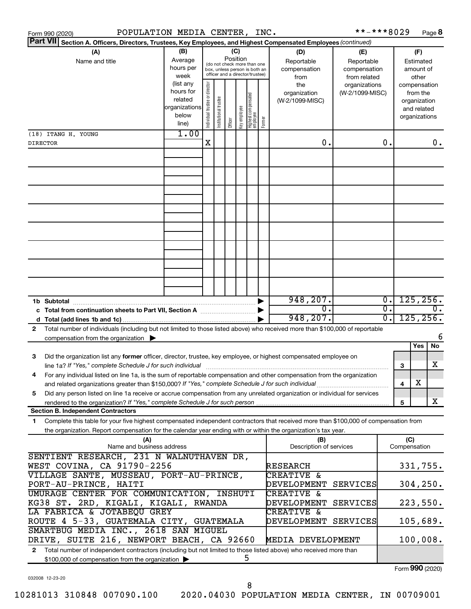|                                                                    | POPULATION MEDIA CENTER, INC.<br>Form 990 (2020)                                                                                                                                              |               |                                |                       |         |              |                                                              |        |                         | **-***8029      |                  |                 |               | Page 8           |
|--------------------------------------------------------------------|-----------------------------------------------------------------------------------------------------------------------------------------------------------------------------------------------|---------------|--------------------------------|-----------------------|---------|--------------|--------------------------------------------------------------|--------|-------------------------|-----------------|------------------|-----------------|---------------|------------------|
| <b>Part VII</b>                                                    | Section A. Officers, Directors, Trustees, Key Employees, and Highest Compensated Employees (continued)                                                                                        |               |                                |                       |         |              |                                                              |        |                         |                 |                  |                 |               |                  |
|                                                                    | (A)                                                                                                                                                                                           | (B)           |                                |                       |         | (C)          |                                                              |        | (D)                     | (E)             |                  |                 | (F)           |                  |
|                                                                    | Name and title                                                                                                                                                                                | Average       |                                |                       |         | Position     |                                                              |        | Reportable              | Reportable      |                  |                 | Estimated     |                  |
|                                                                    |                                                                                                                                                                                               | hours per     |                                |                       |         |              | (do not check more than one<br>box, unless person is both an |        | compensation            | compensation    |                  |                 | amount of     |                  |
|                                                                    |                                                                                                                                                                                               | week          |                                |                       |         |              | officer and a director/trustee)                              |        | from                    | from related    |                  |                 | other         |                  |
|                                                                    |                                                                                                                                                                                               | (list any     |                                |                       |         |              |                                                              |        | the                     | organizations   |                  |                 | compensation  |                  |
|                                                                    |                                                                                                                                                                                               | hours for     |                                |                       |         |              |                                                              |        | organization            | (W-2/1099-MISC) |                  |                 | from the      |                  |
|                                                                    |                                                                                                                                                                                               | related       |                                |                       |         |              |                                                              |        | (W-2/1099-MISC)         |                 |                  |                 | organization  |                  |
|                                                                    |                                                                                                                                                                                               | organizations |                                |                       |         |              |                                                              |        |                         |                 |                  |                 | and related   |                  |
|                                                                    |                                                                                                                                                                                               | below         | Individual trustee or director | Institutional trustee |         | Key employee |                                                              |        |                         |                 |                  |                 | organizations |                  |
|                                                                    |                                                                                                                                                                                               | line)         |                                |                       | Officer |              | Highest compensated<br>  employee                            | Former |                         |                 |                  |                 |               |                  |
|                                                                    | (18) ITANG H. YOUNG                                                                                                                                                                           | 1.00          |                                |                       |         |              |                                                              |        |                         |                 |                  |                 |               |                  |
| <b>DIRECTOR</b>                                                    |                                                                                                                                                                                               |               | X                              |                       |         |              |                                                              |        | 0.                      |                 | 0.               |                 |               | 0.               |
|                                                                    |                                                                                                                                                                                               |               |                                |                       |         |              |                                                              |        |                         |                 |                  |                 |               |                  |
|                                                                    |                                                                                                                                                                                               |               |                                |                       |         |              |                                                              |        |                         |                 |                  |                 |               |                  |
|                                                                    |                                                                                                                                                                                               |               |                                |                       |         |              |                                                              |        |                         |                 |                  |                 |               |                  |
|                                                                    |                                                                                                                                                                                               |               |                                |                       |         |              |                                                              |        |                         |                 |                  |                 |               |                  |
|                                                                    |                                                                                                                                                                                               |               |                                |                       |         |              |                                                              |        |                         |                 |                  |                 |               |                  |
|                                                                    |                                                                                                                                                                                               |               |                                |                       |         |              |                                                              |        |                         |                 |                  |                 |               |                  |
|                                                                    |                                                                                                                                                                                               |               |                                |                       |         |              |                                                              |        |                         |                 |                  |                 |               |                  |
|                                                                    |                                                                                                                                                                                               |               |                                |                       |         |              |                                                              |        |                         |                 |                  |                 |               |                  |
|                                                                    |                                                                                                                                                                                               |               |                                |                       |         |              |                                                              |        |                         |                 |                  |                 |               |                  |
|                                                                    |                                                                                                                                                                                               |               |                                |                       |         |              |                                                              |        |                         |                 |                  |                 |               |                  |
|                                                                    |                                                                                                                                                                                               |               |                                |                       |         |              |                                                              |        |                         |                 |                  |                 |               |                  |
|                                                                    |                                                                                                                                                                                               |               |                                |                       |         |              |                                                              |        |                         |                 |                  |                 |               |                  |
|                                                                    |                                                                                                                                                                                               |               |                                |                       |         |              |                                                              |        |                         |                 |                  |                 |               |                  |
|                                                                    |                                                                                                                                                                                               |               |                                |                       |         |              |                                                              |        |                         |                 |                  |                 |               |                  |
|                                                                    |                                                                                                                                                                                               |               |                                |                       |         |              |                                                              |        |                         |                 |                  |                 |               |                  |
|                                                                    |                                                                                                                                                                                               |               |                                |                       |         |              |                                                              |        |                         |                 |                  |                 |               |                  |
|                                                                    |                                                                                                                                                                                               |               |                                |                       |         |              |                                                              |        |                         |                 |                  |                 |               |                  |
|                                                                    | 1b Subtotal                                                                                                                                                                                   |               |                                |                       |         |              |                                                              |        | 948, 207.               |                 | $\overline{0}$ . | 125, 256.       |               |                  |
|                                                                    | c Total from continuation sheets to Part VII, Section A manus and the set of the Section A                                                                                                    |               |                                |                       |         |              |                                                              |        | σ.                      |                 | $\overline{0}$ . |                 |               | $\overline{0}$ . |
|                                                                    |                                                                                                                                                                                               |               |                                |                       |         |              |                                                              |        | 948, 207.               |                 | $\overline{0}$ . |                 | 125, 256.     |                  |
| 2                                                                  | Total number of individuals (including but not limited to those listed above) who received more than \$100,000 of reportable                                                                  |               |                                |                       |         |              |                                                              |        |                         |                 |                  |                 |               |                  |
|                                                                    | compensation from the organization $\blacktriangleright$                                                                                                                                      |               |                                |                       |         |              |                                                              |        |                         |                 |                  |                 |               | 6                |
|                                                                    |                                                                                                                                                                                               |               |                                |                       |         |              |                                                              |        |                         |                 |                  |                 | Yes           | No               |
|                                                                    |                                                                                                                                                                                               |               |                                |                       |         |              |                                                              |        |                         |                 |                  |                 |               |                  |
| 3                                                                  | Did the organization list any former officer, director, trustee, key employee, or highest compensated employee on                                                                             |               |                                |                       |         |              |                                                              |        |                         |                 |                  |                 |               |                  |
|                                                                    |                                                                                                                                                                                               |               |                                |                       |         |              |                                                              |        |                         |                 |                  | З               |               | х                |
|                                                                    | For any individual listed on line 1a, is the sum of reportable compensation and other compensation from the organization                                                                      |               |                                |                       |         |              |                                                              |        |                         |                 |                  |                 |               |                  |
|                                                                    | and related organizations greater than \$150,000? If "Yes," complete Schedule J for such individual                                                                                           |               |                                |                       |         |              |                                                              |        |                         |                 |                  | 4               | х             |                  |
| 5                                                                  | Did any person listed on line 1a receive or accrue compensation from any unrelated organization or individual for services                                                                    |               |                                |                       |         |              |                                                              |        |                         |                 |                  |                 |               |                  |
|                                                                    | rendered to the organization? If "Yes," complete Schedule J for such person manufactured to the organization? If "Yes," complete Schedule J for such person manufactured to the organization? |               |                                |                       |         |              |                                                              |        |                         |                 |                  | 5               |               | X                |
|                                                                    | <b>Section B. Independent Contractors</b>                                                                                                                                                     |               |                                |                       |         |              |                                                              |        |                         |                 |                  |                 |               |                  |
| 1.                                                                 | Complete this table for your five highest compensated independent contractors that received more than \$100,000 of compensation from                                                          |               |                                |                       |         |              |                                                              |        |                         |                 |                  |                 |               |                  |
|                                                                    | the organization. Report compensation for the calendar year ending with or within the organization's tax year.                                                                                |               |                                |                       |         |              |                                                              |        |                         |                 |                  |                 |               |                  |
|                                                                    | (A)                                                                                                                                                                                           |               |                                |                       |         |              |                                                              |        | (B)                     |                 |                  | (C)             |               |                  |
| Name and business address                                          |                                                                                                                                                                                               |               |                                |                       |         |              |                                                              |        | Description of services |                 |                  | Compensation    |               |                  |
|                                                                    | SENTIENT RESEARCH, 231 N WALNUTHAVEN DR,                                                                                                                                                      |               |                                |                       |         |              |                                                              |        |                         |                 |                  |                 |               |                  |
|                                                                    | WEST COVINA, CA 91790-2256                                                                                                                                                                    |               |                                |                       |         |              |                                                              |        | RESEARCH                |                 |                  |                 | 331,755.      |                  |
| VILLAGE SANTE, MUSSEAU, PORT-AU-PRINCE,                            |                                                                                                                                                                                               |               |                                |                       |         |              |                                                              |        | <b>CREATIVE &amp;</b>   |                 |                  |                 |               |                  |
|                                                                    | PORT-AU-PRINCE, HAITI                                                                                                                                                                         |               |                                |                       |         |              |                                                              |        | DEVELOPMENT             | <b>SERVICES</b> |                  |                 | 304, 250.     |                  |
|                                                                    | UMURAGE CENTER FOR COMMUNICATION, INSHUTI                                                                                                                                                     |               |                                |                       |         |              |                                                              |        | CREATIVE &              |                 |                  |                 |               |                  |
|                                                                    |                                                                                                                                                                                               |               |                                |                       |         |              |                                                              |        |                         |                 |                  |                 |               |                  |
|                                                                    | KG38 ST. 2RD, KIGALI, KIGALI, RWANDA                                                                                                                                                          |               |                                |                       |         |              |                                                              |        | DEVELOPMENT             | SERVICES        |                  |                 | 223,550.      |                  |
|                                                                    | LA FABRICA & JOTABEQU GREY                                                                                                                                                                    |               |                                |                       |         |              |                                                              |        | <b>CREATIVE &amp;</b>   |                 |                  |                 |               |                  |
| ROUTE 4 5-33, GUATEMALA CITY, GUATEMALA<br>DEVELOPMENT<br>SERVICES |                                                                                                                                                                                               |               |                                |                       |         |              |                                                              |        |                         |                 |                  |                 | 105,689.      |                  |
|                                                                    | SMARTBUG MEDIA INC., 2618 SAN MIGUEL                                                                                                                                                          |               |                                |                       |         |              |                                                              |        |                         |                 |                  |                 |               |                  |
|                                                                    | DRIVE, SUITE 216, NEWPORT BEACH, CA 92660                                                                                                                                                     |               |                                |                       |         |              |                                                              |        | MEDIA DEVELOPMENT       |                 |                  |                 | 100,008.      |                  |
| $\mathbf{2}$                                                       | Total number of independent contractors (including but not limited to those listed above) who received more than                                                                              |               |                                |                       |         |              |                                                              |        |                         |                 |                  |                 |               |                  |
|                                                                    | \$100,000 of compensation from the organization                                                                                                                                               |               |                                |                       |         |              | 5                                                            |        |                         |                 |                  |                 |               |                  |
|                                                                    |                                                                                                                                                                                               |               |                                |                       |         |              |                                                              |        |                         |                 |                  | Form 990 (2020) |               |                  |

032008 12-23-20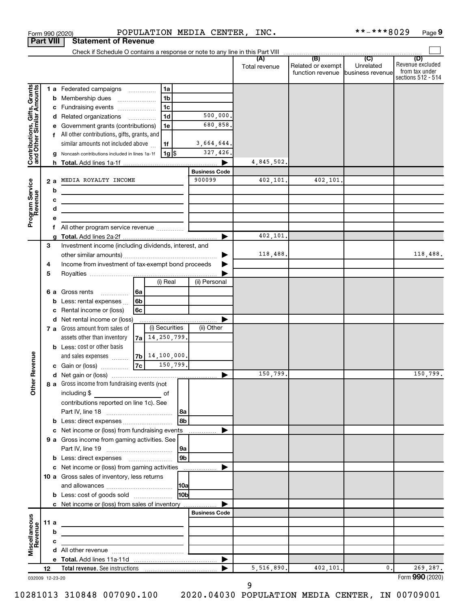| <b>Statement of Revenue</b><br><b>Part VIII</b><br>Check if Schedule O contains a response or note to any line in this Part VIII<br>$\overline{1}$ (B) $\overline{1}$ (C) $\overline{1}$<br>(D)<br>(A)<br>Related or exempt<br>Unrelated<br>Total revenue<br>from tax under<br>function revenue business revenue<br>Contributions, Gifts, Grants<br>and Other Similar Amounts<br>1a<br>1 a Federated campaigns<br>1 <sub>b</sub><br>Membership dues<br>b<br>$\ldots \ldots \ldots \ldots \ldots$<br>1 <sub>c</sub><br>Fundraising events<br>с<br>1 <sub>d</sub><br>500,000.<br>Related organizations<br>d<br>680,858<br>Government grants (contributions)<br>1e<br>е<br>f All other contributions, gifts, grants, and<br>similar amounts not included above<br>3,664,644.<br>1f<br>327,426.<br>$1g$ \$<br>g Noncash contributions included in lines 1a-1f<br>4,845,502.<br><b>Business Code</b><br>900099<br>402,101.<br>402,101.<br>MEDIA ROYALTY INCOME<br>Program Service<br>Revenue<br>2 a<br>b<br>the control of the control of the control of the control of<br>с<br>the control of the control of the control of the control of the control of<br>d<br>the control of the control of the control of the control of the control of<br>е<br>f<br>402,101.<br>g<br>3<br>Investment income (including dividends, interest, and<br>118,488.<br>Income from investment of tax-exempt bond proceeds<br>4<br>5<br>(i) Real<br>(ii) Personal<br>  6a<br>Gross rents<br>6а<br>6 <sub>b</sub><br>Less: rental expenses<br>b<br>6c<br>Rental income or (loss)<br>с<br>Net rental income or (loss)<br>d<br>(i) Securities<br>(ii) Other<br>7 a Gross amount from sales of<br>$7a$ 14, 250, 799.<br>assets other than inventory<br><b>b</b> Less: cost or other basis<br>evenue<br>$7b$ 14, 100, 000.<br>and sales expenses<br>7c<br>150,799.<br>c Gain or (loss)<br>150,799.<br>150, 799.<br>Œ<br>Other<br>8 a Gross income from fundraising events (not<br>including \$<br>of<br>contributions reported on line 1c). See<br>8b<br>Less: direct expenses<br>b<br>Net income or (loss) from fundraising events<br>с<br>9 a Gross income from gaming activities. See<br> 9a<br>9 <sub>b</sub><br><b>b</b> Less: direct expenses <b>manually contained</b><br>Net income or (loss) from gaming activities<br>с<br>10 a Gross sales of inventory, less returns<br>10 <sub>b</sub><br><b>b</b> Less: cost of goods sold<br>c Net income or (loss) from sales of inventory<br><b>Business Code</b><br>Miscellaneous<br>Revenue<br>11 a<br>b<br>c<br>$\blacktriangleright$<br>5,516,890.<br>402,101.<br>0.<br>269,287.<br>12<br>032009 12-23-20 |  | Form 990 (2020) |  | POPULATION MEDIA CENTER, INC. |  | **-***8029 | Page 9                                 |
|------------------------------------------------------------------------------------------------------------------------------------------------------------------------------------------------------------------------------------------------------------------------------------------------------------------------------------------------------------------------------------------------------------------------------------------------------------------------------------------------------------------------------------------------------------------------------------------------------------------------------------------------------------------------------------------------------------------------------------------------------------------------------------------------------------------------------------------------------------------------------------------------------------------------------------------------------------------------------------------------------------------------------------------------------------------------------------------------------------------------------------------------------------------------------------------------------------------------------------------------------------------------------------------------------------------------------------------------------------------------------------------------------------------------------------------------------------------------------------------------------------------------------------------------------------------------------------------------------------------------------------------------------------------------------------------------------------------------------------------------------------------------------------------------------------------------------------------------------------------------------------------------------------------------------------------------------------------------------------------------------------------------------------------------------------------------------------------------------------------------------------------------------------------------------------------------------------------------------------------------------------------------------------------------------------------------------------------------------------------------------------------------------------------------------------------------------------------------------------------------------------------------------------------------------------------------------------------------------------------------------------|--|-----------------|--|-------------------------------|--|------------|----------------------------------------|
|                                                                                                                                                                                                                                                                                                                                                                                                                                                                                                                                                                                                                                                                                                                                                                                                                                                                                                                                                                                                                                                                                                                                                                                                                                                                                                                                                                                                                                                                                                                                                                                                                                                                                                                                                                                                                                                                                                                                                                                                                                                                                                                                                                                                                                                                                                                                                                                                                                                                                                                                                                                                                                    |  |                 |  |                               |  |            |                                        |
|                                                                                                                                                                                                                                                                                                                                                                                                                                                                                                                                                                                                                                                                                                                                                                                                                                                                                                                                                                                                                                                                                                                                                                                                                                                                                                                                                                                                                                                                                                                                                                                                                                                                                                                                                                                                                                                                                                                                                                                                                                                                                                                                                                                                                                                                                                                                                                                                                                                                                                                                                                                                                                    |  |                 |  |                               |  |            |                                        |
|                                                                                                                                                                                                                                                                                                                                                                                                                                                                                                                                                                                                                                                                                                                                                                                                                                                                                                                                                                                                                                                                                                                                                                                                                                                                                                                                                                                                                                                                                                                                                                                                                                                                                                                                                                                                                                                                                                                                                                                                                                                                                                                                                                                                                                                                                                                                                                                                                                                                                                                                                                                                                                    |  |                 |  |                               |  |            | Revenue excluded<br>sections 512 - 514 |
|                                                                                                                                                                                                                                                                                                                                                                                                                                                                                                                                                                                                                                                                                                                                                                                                                                                                                                                                                                                                                                                                                                                                                                                                                                                                                                                                                                                                                                                                                                                                                                                                                                                                                                                                                                                                                                                                                                                                                                                                                                                                                                                                                                                                                                                                                                                                                                                                                                                                                                                                                                                                                                    |  |                 |  |                               |  |            |                                        |
|                                                                                                                                                                                                                                                                                                                                                                                                                                                                                                                                                                                                                                                                                                                                                                                                                                                                                                                                                                                                                                                                                                                                                                                                                                                                                                                                                                                                                                                                                                                                                                                                                                                                                                                                                                                                                                                                                                                                                                                                                                                                                                                                                                                                                                                                                                                                                                                                                                                                                                                                                                                                                                    |  |                 |  |                               |  |            |                                        |
|                                                                                                                                                                                                                                                                                                                                                                                                                                                                                                                                                                                                                                                                                                                                                                                                                                                                                                                                                                                                                                                                                                                                                                                                                                                                                                                                                                                                                                                                                                                                                                                                                                                                                                                                                                                                                                                                                                                                                                                                                                                                                                                                                                                                                                                                                                                                                                                                                                                                                                                                                                                                                                    |  |                 |  |                               |  |            |                                        |
|                                                                                                                                                                                                                                                                                                                                                                                                                                                                                                                                                                                                                                                                                                                                                                                                                                                                                                                                                                                                                                                                                                                                                                                                                                                                                                                                                                                                                                                                                                                                                                                                                                                                                                                                                                                                                                                                                                                                                                                                                                                                                                                                                                                                                                                                                                                                                                                                                                                                                                                                                                                                                                    |  |                 |  |                               |  |            |                                        |
|                                                                                                                                                                                                                                                                                                                                                                                                                                                                                                                                                                                                                                                                                                                                                                                                                                                                                                                                                                                                                                                                                                                                                                                                                                                                                                                                                                                                                                                                                                                                                                                                                                                                                                                                                                                                                                                                                                                                                                                                                                                                                                                                                                                                                                                                                                                                                                                                                                                                                                                                                                                                                                    |  |                 |  |                               |  |            |                                        |
|                                                                                                                                                                                                                                                                                                                                                                                                                                                                                                                                                                                                                                                                                                                                                                                                                                                                                                                                                                                                                                                                                                                                                                                                                                                                                                                                                                                                                                                                                                                                                                                                                                                                                                                                                                                                                                                                                                                                                                                                                                                                                                                                                                                                                                                                                                                                                                                                                                                                                                                                                                                                                                    |  |                 |  |                               |  |            |                                        |
|                                                                                                                                                                                                                                                                                                                                                                                                                                                                                                                                                                                                                                                                                                                                                                                                                                                                                                                                                                                                                                                                                                                                                                                                                                                                                                                                                                                                                                                                                                                                                                                                                                                                                                                                                                                                                                                                                                                                                                                                                                                                                                                                                                                                                                                                                                                                                                                                                                                                                                                                                                                                                                    |  |                 |  |                               |  |            |                                        |
|                                                                                                                                                                                                                                                                                                                                                                                                                                                                                                                                                                                                                                                                                                                                                                                                                                                                                                                                                                                                                                                                                                                                                                                                                                                                                                                                                                                                                                                                                                                                                                                                                                                                                                                                                                                                                                                                                                                                                                                                                                                                                                                                                                                                                                                                                                                                                                                                                                                                                                                                                                                                                                    |  |                 |  |                               |  |            |                                        |
|                                                                                                                                                                                                                                                                                                                                                                                                                                                                                                                                                                                                                                                                                                                                                                                                                                                                                                                                                                                                                                                                                                                                                                                                                                                                                                                                                                                                                                                                                                                                                                                                                                                                                                                                                                                                                                                                                                                                                                                                                                                                                                                                                                                                                                                                                                                                                                                                                                                                                                                                                                                                                                    |  |                 |  |                               |  |            |                                        |
|                                                                                                                                                                                                                                                                                                                                                                                                                                                                                                                                                                                                                                                                                                                                                                                                                                                                                                                                                                                                                                                                                                                                                                                                                                                                                                                                                                                                                                                                                                                                                                                                                                                                                                                                                                                                                                                                                                                                                                                                                                                                                                                                                                                                                                                                                                                                                                                                                                                                                                                                                                                                                                    |  |                 |  |                               |  |            |                                        |
|                                                                                                                                                                                                                                                                                                                                                                                                                                                                                                                                                                                                                                                                                                                                                                                                                                                                                                                                                                                                                                                                                                                                                                                                                                                                                                                                                                                                                                                                                                                                                                                                                                                                                                                                                                                                                                                                                                                                                                                                                                                                                                                                                                                                                                                                                                                                                                                                                                                                                                                                                                                                                                    |  |                 |  |                               |  |            |                                        |
|                                                                                                                                                                                                                                                                                                                                                                                                                                                                                                                                                                                                                                                                                                                                                                                                                                                                                                                                                                                                                                                                                                                                                                                                                                                                                                                                                                                                                                                                                                                                                                                                                                                                                                                                                                                                                                                                                                                                                                                                                                                                                                                                                                                                                                                                                                                                                                                                                                                                                                                                                                                                                                    |  |                 |  |                               |  |            |                                        |
|                                                                                                                                                                                                                                                                                                                                                                                                                                                                                                                                                                                                                                                                                                                                                                                                                                                                                                                                                                                                                                                                                                                                                                                                                                                                                                                                                                                                                                                                                                                                                                                                                                                                                                                                                                                                                                                                                                                                                                                                                                                                                                                                                                                                                                                                                                                                                                                                                                                                                                                                                                                                                                    |  |                 |  |                               |  |            |                                        |
|                                                                                                                                                                                                                                                                                                                                                                                                                                                                                                                                                                                                                                                                                                                                                                                                                                                                                                                                                                                                                                                                                                                                                                                                                                                                                                                                                                                                                                                                                                                                                                                                                                                                                                                                                                                                                                                                                                                                                                                                                                                                                                                                                                                                                                                                                                                                                                                                                                                                                                                                                                                                                                    |  |                 |  |                               |  |            |                                        |
|                                                                                                                                                                                                                                                                                                                                                                                                                                                                                                                                                                                                                                                                                                                                                                                                                                                                                                                                                                                                                                                                                                                                                                                                                                                                                                                                                                                                                                                                                                                                                                                                                                                                                                                                                                                                                                                                                                                                                                                                                                                                                                                                                                                                                                                                                                                                                                                                                                                                                                                                                                                                                                    |  |                 |  |                               |  |            |                                        |
|                                                                                                                                                                                                                                                                                                                                                                                                                                                                                                                                                                                                                                                                                                                                                                                                                                                                                                                                                                                                                                                                                                                                                                                                                                                                                                                                                                                                                                                                                                                                                                                                                                                                                                                                                                                                                                                                                                                                                                                                                                                                                                                                                                                                                                                                                                                                                                                                                                                                                                                                                                                                                                    |  |                 |  |                               |  |            |                                        |
|                                                                                                                                                                                                                                                                                                                                                                                                                                                                                                                                                                                                                                                                                                                                                                                                                                                                                                                                                                                                                                                                                                                                                                                                                                                                                                                                                                                                                                                                                                                                                                                                                                                                                                                                                                                                                                                                                                                                                                                                                                                                                                                                                                                                                                                                                                                                                                                                                                                                                                                                                                                                                                    |  |                 |  |                               |  |            |                                        |
|                                                                                                                                                                                                                                                                                                                                                                                                                                                                                                                                                                                                                                                                                                                                                                                                                                                                                                                                                                                                                                                                                                                                                                                                                                                                                                                                                                                                                                                                                                                                                                                                                                                                                                                                                                                                                                                                                                                                                                                                                                                                                                                                                                                                                                                                                                                                                                                                                                                                                                                                                                                                                                    |  |                 |  |                               |  |            | 118,488.                               |
|                                                                                                                                                                                                                                                                                                                                                                                                                                                                                                                                                                                                                                                                                                                                                                                                                                                                                                                                                                                                                                                                                                                                                                                                                                                                                                                                                                                                                                                                                                                                                                                                                                                                                                                                                                                                                                                                                                                                                                                                                                                                                                                                                                                                                                                                                                                                                                                                                                                                                                                                                                                                                                    |  |                 |  |                               |  |            |                                        |
|                                                                                                                                                                                                                                                                                                                                                                                                                                                                                                                                                                                                                                                                                                                                                                                                                                                                                                                                                                                                                                                                                                                                                                                                                                                                                                                                                                                                                                                                                                                                                                                                                                                                                                                                                                                                                                                                                                                                                                                                                                                                                                                                                                                                                                                                                                                                                                                                                                                                                                                                                                                                                                    |  |                 |  |                               |  |            |                                        |
|                                                                                                                                                                                                                                                                                                                                                                                                                                                                                                                                                                                                                                                                                                                                                                                                                                                                                                                                                                                                                                                                                                                                                                                                                                                                                                                                                                                                                                                                                                                                                                                                                                                                                                                                                                                                                                                                                                                                                                                                                                                                                                                                                                                                                                                                                                                                                                                                                                                                                                                                                                                                                                    |  |                 |  |                               |  |            |                                        |
|                                                                                                                                                                                                                                                                                                                                                                                                                                                                                                                                                                                                                                                                                                                                                                                                                                                                                                                                                                                                                                                                                                                                                                                                                                                                                                                                                                                                                                                                                                                                                                                                                                                                                                                                                                                                                                                                                                                                                                                                                                                                                                                                                                                                                                                                                                                                                                                                                                                                                                                                                                                                                                    |  |                 |  |                               |  |            |                                        |
|                                                                                                                                                                                                                                                                                                                                                                                                                                                                                                                                                                                                                                                                                                                                                                                                                                                                                                                                                                                                                                                                                                                                                                                                                                                                                                                                                                                                                                                                                                                                                                                                                                                                                                                                                                                                                                                                                                                                                                                                                                                                                                                                                                                                                                                                                                                                                                                                                                                                                                                                                                                                                                    |  |                 |  |                               |  |            |                                        |
|                                                                                                                                                                                                                                                                                                                                                                                                                                                                                                                                                                                                                                                                                                                                                                                                                                                                                                                                                                                                                                                                                                                                                                                                                                                                                                                                                                                                                                                                                                                                                                                                                                                                                                                                                                                                                                                                                                                                                                                                                                                                                                                                                                                                                                                                                                                                                                                                                                                                                                                                                                                                                                    |  |                 |  |                               |  |            |                                        |
|                                                                                                                                                                                                                                                                                                                                                                                                                                                                                                                                                                                                                                                                                                                                                                                                                                                                                                                                                                                                                                                                                                                                                                                                                                                                                                                                                                                                                                                                                                                                                                                                                                                                                                                                                                                                                                                                                                                                                                                                                                                                                                                                                                                                                                                                                                                                                                                                                                                                                                                                                                                                                                    |  |                 |  |                               |  |            |                                        |
|                                                                                                                                                                                                                                                                                                                                                                                                                                                                                                                                                                                                                                                                                                                                                                                                                                                                                                                                                                                                                                                                                                                                                                                                                                                                                                                                                                                                                                                                                                                                                                                                                                                                                                                                                                                                                                                                                                                                                                                                                                                                                                                                                                                                                                                                                                                                                                                                                                                                                                                                                                                                                                    |  |                 |  |                               |  |            |                                        |
|                                                                                                                                                                                                                                                                                                                                                                                                                                                                                                                                                                                                                                                                                                                                                                                                                                                                                                                                                                                                                                                                                                                                                                                                                                                                                                                                                                                                                                                                                                                                                                                                                                                                                                                                                                                                                                                                                                                                                                                                                                                                                                                                                                                                                                                                                                                                                                                                                                                                                                                                                                                                                                    |  |                 |  |                               |  |            |                                        |
|                                                                                                                                                                                                                                                                                                                                                                                                                                                                                                                                                                                                                                                                                                                                                                                                                                                                                                                                                                                                                                                                                                                                                                                                                                                                                                                                                                                                                                                                                                                                                                                                                                                                                                                                                                                                                                                                                                                                                                                                                                                                                                                                                                                                                                                                                                                                                                                                                                                                                                                                                                                                                                    |  |                 |  |                               |  |            |                                        |
|                                                                                                                                                                                                                                                                                                                                                                                                                                                                                                                                                                                                                                                                                                                                                                                                                                                                                                                                                                                                                                                                                                                                                                                                                                                                                                                                                                                                                                                                                                                                                                                                                                                                                                                                                                                                                                                                                                                                                                                                                                                                                                                                                                                                                                                                                                                                                                                                                                                                                                                                                                                                                                    |  |                 |  |                               |  |            |                                        |
|                                                                                                                                                                                                                                                                                                                                                                                                                                                                                                                                                                                                                                                                                                                                                                                                                                                                                                                                                                                                                                                                                                                                                                                                                                                                                                                                                                                                                                                                                                                                                                                                                                                                                                                                                                                                                                                                                                                                                                                                                                                                                                                                                                                                                                                                                                                                                                                                                                                                                                                                                                                                                                    |  |                 |  |                               |  |            |                                        |
|                                                                                                                                                                                                                                                                                                                                                                                                                                                                                                                                                                                                                                                                                                                                                                                                                                                                                                                                                                                                                                                                                                                                                                                                                                                                                                                                                                                                                                                                                                                                                                                                                                                                                                                                                                                                                                                                                                                                                                                                                                                                                                                                                                                                                                                                                                                                                                                                                                                                                                                                                                                                                                    |  |                 |  |                               |  |            |                                        |
|                                                                                                                                                                                                                                                                                                                                                                                                                                                                                                                                                                                                                                                                                                                                                                                                                                                                                                                                                                                                                                                                                                                                                                                                                                                                                                                                                                                                                                                                                                                                                                                                                                                                                                                                                                                                                                                                                                                                                                                                                                                                                                                                                                                                                                                                                                                                                                                                                                                                                                                                                                                                                                    |  |                 |  |                               |  |            |                                        |
|                                                                                                                                                                                                                                                                                                                                                                                                                                                                                                                                                                                                                                                                                                                                                                                                                                                                                                                                                                                                                                                                                                                                                                                                                                                                                                                                                                                                                                                                                                                                                                                                                                                                                                                                                                                                                                                                                                                                                                                                                                                                                                                                                                                                                                                                                                                                                                                                                                                                                                                                                                                                                                    |  |                 |  |                               |  |            |                                        |
|                                                                                                                                                                                                                                                                                                                                                                                                                                                                                                                                                                                                                                                                                                                                                                                                                                                                                                                                                                                                                                                                                                                                                                                                                                                                                                                                                                                                                                                                                                                                                                                                                                                                                                                                                                                                                                                                                                                                                                                                                                                                                                                                                                                                                                                                                                                                                                                                                                                                                                                                                                                                                                    |  |                 |  |                               |  |            |                                        |
|                                                                                                                                                                                                                                                                                                                                                                                                                                                                                                                                                                                                                                                                                                                                                                                                                                                                                                                                                                                                                                                                                                                                                                                                                                                                                                                                                                                                                                                                                                                                                                                                                                                                                                                                                                                                                                                                                                                                                                                                                                                                                                                                                                                                                                                                                                                                                                                                                                                                                                                                                                                                                                    |  |                 |  |                               |  |            |                                        |
|                                                                                                                                                                                                                                                                                                                                                                                                                                                                                                                                                                                                                                                                                                                                                                                                                                                                                                                                                                                                                                                                                                                                                                                                                                                                                                                                                                                                                                                                                                                                                                                                                                                                                                                                                                                                                                                                                                                                                                                                                                                                                                                                                                                                                                                                                                                                                                                                                                                                                                                                                                                                                                    |  |                 |  |                               |  |            |                                        |
|                                                                                                                                                                                                                                                                                                                                                                                                                                                                                                                                                                                                                                                                                                                                                                                                                                                                                                                                                                                                                                                                                                                                                                                                                                                                                                                                                                                                                                                                                                                                                                                                                                                                                                                                                                                                                                                                                                                                                                                                                                                                                                                                                                                                                                                                                                                                                                                                                                                                                                                                                                                                                                    |  |                 |  |                               |  |            |                                        |
|                                                                                                                                                                                                                                                                                                                                                                                                                                                                                                                                                                                                                                                                                                                                                                                                                                                                                                                                                                                                                                                                                                                                                                                                                                                                                                                                                                                                                                                                                                                                                                                                                                                                                                                                                                                                                                                                                                                                                                                                                                                                                                                                                                                                                                                                                                                                                                                                                                                                                                                                                                                                                                    |  |                 |  |                               |  |            |                                        |
|                                                                                                                                                                                                                                                                                                                                                                                                                                                                                                                                                                                                                                                                                                                                                                                                                                                                                                                                                                                                                                                                                                                                                                                                                                                                                                                                                                                                                                                                                                                                                                                                                                                                                                                                                                                                                                                                                                                                                                                                                                                                                                                                                                                                                                                                                                                                                                                                                                                                                                                                                                                                                                    |  |                 |  |                               |  |            |                                        |
|                                                                                                                                                                                                                                                                                                                                                                                                                                                                                                                                                                                                                                                                                                                                                                                                                                                                                                                                                                                                                                                                                                                                                                                                                                                                                                                                                                                                                                                                                                                                                                                                                                                                                                                                                                                                                                                                                                                                                                                                                                                                                                                                                                                                                                                                                                                                                                                                                                                                                                                                                                                                                                    |  |                 |  |                               |  |            |                                        |
|                                                                                                                                                                                                                                                                                                                                                                                                                                                                                                                                                                                                                                                                                                                                                                                                                                                                                                                                                                                                                                                                                                                                                                                                                                                                                                                                                                                                                                                                                                                                                                                                                                                                                                                                                                                                                                                                                                                                                                                                                                                                                                                                                                                                                                                                                                                                                                                                                                                                                                                                                                                                                                    |  |                 |  |                               |  |            |                                        |
|                                                                                                                                                                                                                                                                                                                                                                                                                                                                                                                                                                                                                                                                                                                                                                                                                                                                                                                                                                                                                                                                                                                                                                                                                                                                                                                                                                                                                                                                                                                                                                                                                                                                                                                                                                                                                                                                                                                                                                                                                                                                                                                                                                                                                                                                                                                                                                                                                                                                                                                                                                                                                                    |  |                 |  |                               |  |            |                                        |
|                                                                                                                                                                                                                                                                                                                                                                                                                                                                                                                                                                                                                                                                                                                                                                                                                                                                                                                                                                                                                                                                                                                                                                                                                                                                                                                                                                                                                                                                                                                                                                                                                                                                                                                                                                                                                                                                                                                                                                                                                                                                                                                                                                                                                                                                                                                                                                                                                                                                                                                                                                                                                                    |  |                 |  |                               |  |            |                                        |
|                                                                                                                                                                                                                                                                                                                                                                                                                                                                                                                                                                                                                                                                                                                                                                                                                                                                                                                                                                                                                                                                                                                                                                                                                                                                                                                                                                                                                                                                                                                                                                                                                                                                                                                                                                                                                                                                                                                                                                                                                                                                                                                                                                                                                                                                                                                                                                                                                                                                                                                                                                                                                                    |  |                 |  |                               |  |            |                                        |
|                                                                                                                                                                                                                                                                                                                                                                                                                                                                                                                                                                                                                                                                                                                                                                                                                                                                                                                                                                                                                                                                                                                                                                                                                                                                                                                                                                                                                                                                                                                                                                                                                                                                                                                                                                                                                                                                                                                                                                                                                                                                                                                                                                                                                                                                                                                                                                                                                                                                                                                                                                                                                                    |  |                 |  |                               |  |            |                                        |
|                                                                                                                                                                                                                                                                                                                                                                                                                                                                                                                                                                                                                                                                                                                                                                                                                                                                                                                                                                                                                                                                                                                                                                                                                                                                                                                                                                                                                                                                                                                                                                                                                                                                                                                                                                                                                                                                                                                                                                                                                                                                                                                                                                                                                                                                                                                                                                                                                                                                                                                                                                                                                                    |  |                 |  |                               |  |            |                                        |
|                                                                                                                                                                                                                                                                                                                                                                                                                                                                                                                                                                                                                                                                                                                                                                                                                                                                                                                                                                                                                                                                                                                                                                                                                                                                                                                                                                                                                                                                                                                                                                                                                                                                                                                                                                                                                                                                                                                                                                                                                                                                                                                                                                                                                                                                                                                                                                                                                                                                                                                                                                                                                                    |  |                 |  |                               |  |            |                                        |
|                                                                                                                                                                                                                                                                                                                                                                                                                                                                                                                                                                                                                                                                                                                                                                                                                                                                                                                                                                                                                                                                                                                                                                                                                                                                                                                                                                                                                                                                                                                                                                                                                                                                                                                                                                                                                                                                                                                                                                                                                                                                                                                                                                                                                                                                                                                                                                                                                                                                                                                                                                                                                                    |  |                 |  |                               |  |            |                                        |
|                                                                                                                                                                                                                                                                                                                                                                                                                                                                                                                                                                                                                                                                                                                                                                                                                                                                                                                                                                                                                                                                                                                                                                                                                                                                                                                                                                                                                                                                                                                                                                                                                                                                                                                                                                                                                                                                                                                                                                                                                                                                                                                                                                                                                                                                                                                                                                                                                                                                                                                                                                                                                                    |  |                 |  |                               |  |            |                                        |
|                                                                                                                                                                                                                                                                                                                                                                                                                                                                                                                                                                                                                                                                                                                                                                                                                                                                                                                                                                                                                                                                                                                                                                                                                                                                                                                                                                                                                                                                                                                                                                                                                                                                                                                                                                                                                                                                                                                                                                                                                                                                                                                                                                                                                                                                                                                                                                                                                                                                                                                                                                                                                                    |  |                 |  |                               |  |            |                                        |
|                                                                                                                                                                                                                                                                                                                                                                                                                                                                                                                                                                                                                                                                                                                                                                                                                                                                                                                                                                                                                                                                                                                                                                                                                                                                                                                                                                                                                                                                                                                                                                                                                                                                                                                                                                                                                                                                                                                                                                                                                                                                                                                                                                                                                                                                                                                                                                                                                                                                                                                                                                                                                                    |  |                 |  |                               |  |            | Form 990 (2020)                        |

#### 032009 12-23-20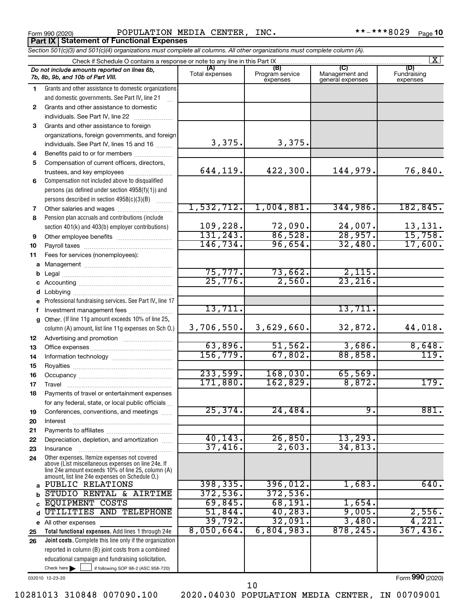Form 990 (2020) POPULATION MEDIA CENTER, INC. \*\*-\*\*\*8029 <sub>Page</sub> **Part IX Statement of Functional Expenses**

|              | Section 501(c)(3) and 501(c)(4) organizations must complete all columns. All other organizations must complete column (A).                                                                                 |                      |                             |                                    |                         |  |  |  |  |  |  |  |  |
|--------------|------------------------------------------------------------------------------------------------------------------------------------------------------------------------------------------------------------|----------------------|-----------------------------|------------------------------------|-------------------------|--|--|--|--|--|--|--|--|
|              | $\vert X \vert$<br>Check if Schedule O contains a response or note to any line in this Part IX<br>(A)<br>(B)<br>(C)<br>(D)<br>Do not include amounts reported on lines 6b,                                 |                      |                             |                                    |                         |  |  |  |  |  |  |  |  |
|              | 7b, 8b, 9b, and 10b of Part VIII.                                                                                                                                                                          | Total expenses       | Program service<br>expenses | Management and<br>general expenses | Fundraising<br>expenses |  |  |  |  |  |  |  |  |
| 1.           | Grants and other assistance to domestic organizations                                                                                                                                                      |                      |                             |                                    |                         |  |  |  |  |  |  |  |  |
|              | and domestic governments. See Part IV, line 21                                                                                                                                                             |                      |                             |                                    |                         |  |  |  |  |  |  |  |  |
| $\mathbf{2}$ | Grants and other assistance to domestic                                                                                                                                                                    |                      |                             |                                    |                         |  |  |  |  |  |  |  |  |
|              | individuals. See Part IV, line 22                                                                                                                                                                          |                      |                             |                                    |                         |  |  |  |  |  |  |  |  |
| 3            | Grants and other assistance to foreign                                                                                                                                                                     |                      |                             |                                    |                         |  |  |  |  |  |  |  |  |
|              | organizations, foreign governments, and foreign                                                                                                                                                            |                      |                             |                                    |                         |  |  |  |  |  |  |  |  |
|              | individuals. See Part IV, lines 15 and 16                                                                                                                                                                  | 3,375.               | 3,375.                      |                                    |                         |  |  |  |  |  |  |  |  |
| 4            | Benefits paid to or for members                                                                                                                                                                            |                      |                             |                                    |                         |  |  |  |  |  |  |  |  |
| 5            | Compensation of current officers, directors,                                                                                                                                                               | 644,119.             | 422,300.                    | 144,979.                           | 76,840.                 |  |  |  |  |  |  |  |  |
|              | trustees, and key employees<br>Compensation not included above to disqualified                                                                                                                             |                      |                             |                                    |                         |  |  |  |  |  |  |  |  |
| 6            |                                                                                                                                                                                                            |                      |                             |                                    |                         |  |  |  |  |  |  |  |  |
|              | persons (as defined under section 4958(f)(1)) and<br>persons described in section 4958(c)(3)(B)                                                                                                            |                      |                             |                                    |                         |  |  |  |  |  |  |  |  |
| 7            | Other salaries and wages                                                                                                                                                                                   | 1,532,712.           | 1,004,881.                  | 344,986.                           | 182, 845.               |  |  |  |  |  |  |  |  |
| 8            | Pension plan accruals and contributions (include                                                                                                                                                           |                      |                             |                                    |                         |  |  |  |  |  |  |  |  |
|              | section 401(k) and 403(b) employer contributions)                                                                                                                                                          | 109,228.             | 72,090.                     | 24,007.                            | 13,131.                 |  |  |  |  |  |  |  |  |
| 9            | Other employee benefits                                                                                                                                                                                    | 131, 243.            | 86,528.                     | 28,957.                            | 15,758.                 |  |  |  |  |  |  |  |  |
| 10           |                                                                                                                                                                                                            | 146,734.             | 96,654.                     | 32,480.                            | 17,600.                 |  |  |  |  |  |  |  |  |
| 11           | Fees for services (nonemployees):                                                                                                                                                                          |                      |                             |                                    |                         |  |  |  |  |  |  |  |  |
|              |                                                                                                                                                                                                            |                      |                             |                                    |                         |  |  |  |  |  |  |  |  |
| b            |                                                                                                                                                                                                            | 75,777.              | 73,662.                     | 2,115.                             |                         |  |  |  |  |  |  |  |  |
|              |                                                                                                                                                                                                            | 25,776.              | 2,560.                      | 23, 216.                           |                         |  |  |  |  |  |  |  |  |
| d            |                                                                                                                                                                                                            |                      |                             |                                    |                         |  |  |  |  |  |  |  |  |
|              | Professional fundraising services. See Part IV, line 17                                                                                                                                                    |                      |                             |                                    |                         |  |  |  |  |  |  |  |  |
| f            | Investment management fees                                                                                                                                                                                 | 13,711.              |                             | 13,711.                            |                         |  |  |  |  |  |  |  |  |
|              | g Other. (If line 11g amount exceeds 10% of line 25,                                                                                                                                                       |                      |                             |                                    |                         |  |  |  |  |  |  |  |  |
|              | column (A) amount, list line 11g expenses on Sch O.)                                                                                                                                                       | 3,706,550.           | 3,629,660.                  | 32,872.                            | 44,018.                 |  |  |  |  |  |  |  |  |
| 12           |                                                                                                                                                                                                            |                      |                             |                                    |                         |  |  |  |  |  |  |  |  |
| 13           |                                                                                                                                                                                                            | 63,896.              | 51,562.                     | 3,686.                             | 8,648.                  |  |  |  |  |  |  |  |  |
| 14           |                                                                                                                                                                                                            | 156, 779.            | 67,802.                     | 88,858.                            | 119.                    |  |  |  |  |  |  |  |  |
| 15           |                                                                                                                                                                                                            |                      |                             |                                    |                         |  |  |  |  |  |  |  |  |
| 16           |                                                                                                                                                                                                            | 233,599.<br>171,880. | 168,030.<br>162,829.        | 65,569.<br>8,872.                  | 179.                    |  |  |  |  |  |  |  |  |
| 17           |                                                                                                                                                                                                            |                      |                             |                                    |                         |  |  |  |  |  |  |  |  |
| 18           | Payments of travel or entertainment expenses                                                                                                                                                               |                      |                             |                                    |                         |  |  |  |  |  |  |  |  |
|              | for any federal, state, or local public officials                                                                                                                                                          | 25, 374.             | 24,484.                     | 9.                                 | 881.                    |  |  |  |  |  |  |  |  |
| 19           | Conferences, conventions, and meetings                                                                                                                                                                     |                      |                             |                                    |                         |  |  |  |  |  |  |  |  |
| 20           | Interest                                                                                                                                                                                                   |                      |                             |                                    |                         |  |  |  |  |  |  |  |  |
| 21<br>22     | Depreciation, depletion, and amortization                                                                                                                                                                  | 40, 143.             | 26,850.                     | 13, 293.                           |                         |  |  |  |  |  |  |  |  |
| 23           | Insurance                                                                                                                                                                                                  | 37,416.              | 2,603.                      | 34,813.                            |                         |  |  |  |  |  |  |  |  |
| 24           | Other expenses. Itemize expenses not covered<br>above (List miscellaneous expenses on line 24e. If<br>line 24e amount exceeds 10% of line 25, column (A)<br>amount, list line 24e expenses on Schedule O.) |                      |                             |                                    |                         |  |  |  |  |  |  |  |  |
| a            | PUBLIC RELATIONS                                                                                                                                                                                           | 398, 335.            | 396,012.                    | 1,683.                             | 640.                    |  |  |  |  |  |  |  |  |
| b            | STUDIO RENTAL & AIRTIME                                                                                                                                                                                    | 372,536.             | 372,536.                    |                                    |                         |  |  |  |  |  |  |  |  |
| C            | EQUIPMENT COSTS                                                                                                                                                                                            | 69,845.              | 68,191.                     | 1,654.                             |                         |  |  |  |  |  |  |  |  |
| d            | UTILITIES<br>AND TELEPHONE                                                                                                                                                                                 | 51,844.              | 40,283.                     | 9,005.                             | 2,556.                  |  |  |  |  |  |  |  |  |
|              | e All other expenses                                                                                                                                                                                       | 39,792.              | 32,091.                     | 3,480.                             | 4,221.                  |  |  |  |  |  |  |  |  |
| 25           | Total functional expenses. Add lines 1 through 24e                                                                                                                                                         | 8,050,664.           | 6,804,983.                  | 878, 245.                          | 367,436.                |  |  |  |  |  |  |  |  |
| 26           | <b>Joint costs.</b> Complete this line only if the organization                                                                                                                                            |                      |                             |                                    |                         |  |  |  |  |  |  |  |  |
|              | reported in column (B) joint costs from a combined                                                                                                                                                         |                      |                             |                                    |                         |  |  |  |  |  |  |  |  |
|              | educational campaign and fundraising solicitation.                                                                                                                                                         |                      |                             |                                    |                         |  |  |  |  |  |  |  |  |

032010 12-23-20

Form (2020) **990**

10281013 310848 007090.100 2020.04030 POPULATION MEDIA CENTER, IN 00709001

 $\Box$ 

 $\blacktriangleright$ 

Check here if following SOP 98-2 (ASC 958-720)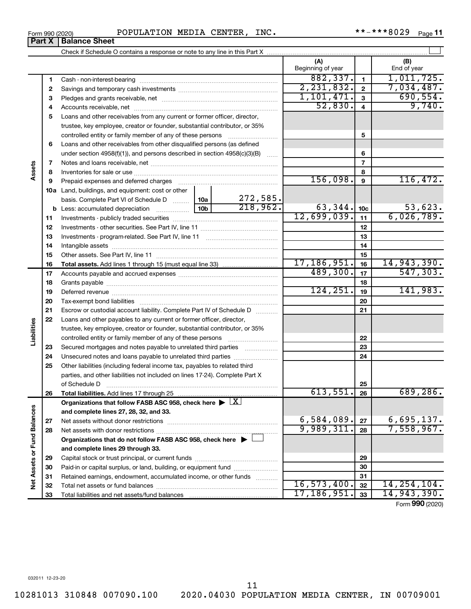Total liabilities and net assets/fund balances

#### Form 990 (2020) POPULATION MEDIA CENTER, INC.  $***-***8029$   $_{\text{Page}}$

Check if Schedule O contains a response or note to any line in this Part X

**1 2 3** Pledges and grants receivable, net ~~~~~~~~~~~~~~~~~~~~~ **4** Accounts receivable, net ~~~~~~~~~~~~~~~~~~~~~~~~~~ **5** Loans and other receivables from any current or former officer, director, **6 8 9 10 a** Land, buildings, and equipment: cost or other **11 12** Investments - other securities. See Part IV, line 11 ~~~~~~~~~~~~~~ **13** Investments - program-related. See Part IV, line 11 ~~~~~~~~~~~~~ **14** Intangible assets ~~~~~~~~~~~~~~~~~~~~~~~~~~~~~~ **15 18 21 22 23 24 25 28 29 1 2 3 4 5 6 7 8 9 10c 11 12 13 14 15 16 17 18 19 20 21 22 23 24 25 26 b** Less: accumulated depreciation  $\ldots$  [10b basis. Complete Part VI of Schedule D  $\frac{1}{10}$  10a **Total assets.**  Add lines 1 through 15 (must equal line 33) **Total liabilities.**  Add lines 17 through 25 Organizations that follow FASB ASC 958, check here  $\blacktriangleright \boxed{\text{X}}$ **and complete lines 27, 28, 32, and 33. 27 28 Organizations that do not follow FASB ASC 958, check here** | † **and complete lines 29 through 33. 29** Beginning of year | | End of year Cash - non-interest-bearing ~~~~~~~~~~~~~~~~~~~~~~~~~ Savings and temporary cash investments ~~~~~~~~~~~~~~~~~~ trustee, key employee, creator or founder, substantial contributor, or 35% controlled entity or family member of any of these persons  $\ldots$ ........................ Loans and other receivables from other disqualified persons (as defined under section 4958(f)(1)), and persons described in section  $4958(c)(3)(B)$  ...... Notes and loans receivable, net ~~~~~~~~~~~~~~~~~~~~~~~ Inventories for sale or use ~~~~~~~~~~~~~~~~~~~~~~~~~~ Prepaid expenses and deferred charges ~~~~~~~~~~~~~~~~~~ Investments - publicly traded securities ~~~~~~~~~~~~~~~~~~~ Other assets. See Part IV, line 11 ~~~~~~~~~~~~~~~~~~~~~~ Accounts payable and accrued expenses ~~~~~~~~~~~~~~~~~~ Grants payable ~~~~~~~~~~~~~~~~~~~~~~~~~~~~~~~ Deferred revenue ~~~~~~~~~~~~~~~~~~~~~~~~~~~~~~ Tax-exempt bond liabilities ~~~~~~~~~~~~~~~~~~~~~~~~~ Escrow or custodial account liability. Complete Part IV of Schedule D ........... Loans and other payables to any current or former officer, director, trustee, key employee, creator or founder, substantial contributor, or 35% controlled entity or family member of any of these persons ~~~~~~~~~ Secured mortgages and notes payable to unrelated third parties  $\ldots$ ................. Unsecured notes and loans payable to unrelated third parties ~~~~~~~~ Other liabilities (including federal income tax, payables to related third parties, and other liabilities not included on lines 17-24). Complete Part X of Schedule D ~~~~~~~~~~~~~~~~~~~~~~~~~~~~~~~ Net assets without donor restrictions ~~~~~~~~~~~~~~~~~~~~ Net assets with donor restrictions ~~~~~~~~~~~~~~~~~~~~~~  $882,337.$  1, 1, 011, 725. 2,231,832. 7,034,487. 1,101,471. 690,554.  $52,830.$  4 9,740.  $156,098.$   $9$  116,472. 272,585.  $218,962.$  63,344.  $|10c|$  53,623. 12,699,039. 6,026,789. 17,186,951. 14,943,390. 489,300. 547,303.  $124, 251.$  19 141,983.  $613,551. |26| 689,286.$  $6,584,089$ .  $\boxed{27}$  6,695,137. 9,989,311. 28 7,558,967.

 $\perp$ 

**(A) (B)**

Form (2020) **990**

16,573,400. 14,254,104. 17,186,951. 14,943,390.

032011 12-23-20

11

Capital stock or trust principal, or current funds ~~~~~~~~~~~~~~~ Paid-in or capital surplus, or land, building, or equipment fund ....................... Retained earnings, endowment, accumulated income, or other funds ............ Total net assets or fund balances ~~~~~~~~~~~~~~~~~~~~~~

**Part X** | **Balance Sheet** 

**7**

**Assets**

**16 17**

**19 20**

**Liabilities**

**26**

**27**

**Net Assets or Fund Balances**

Net Assets or Fund Balances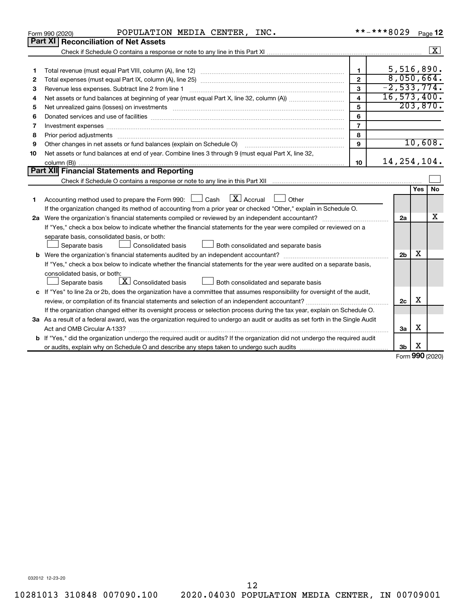|    | POPULATION MEDIA CENTER, INC.<br>Form 990 (2020)                                                                                                                                                                               | **-***8029              |                |                 | Page 12              |
|----|--------------------------------------------------------------------------------------------------------------------------------------------------------------------------------------------------------------------------------|-------------------------|----------------|-----------------|----------------------|
|    | <b>Part XI Reconciliation of Net Assets</b>                                                                                                                                                                                    |                         |                |                 |                      |
|    |                                                                                                                                                                                                                                |                         |                |                 | $\boxed{\mathbf{X}}$ |
|    |                                                                                                                                                                                                                                |                         |                |                 |                      |
| 1  |                                                                                                                                                                                                                                | $\mathbf{1}$            | 5,516,890.     |                 |                      |
| 2  |                                                                                                                                                                                                                                | $\overline{2}$          | 8,050,664.     |                 |                      |
| з  |                                                                                                                                                                                                                                | 3                       | $-2,533,774.$  |                 |                      |
| 4  |                                                                                                                                                                                                                                | $\overline{\mathbf{4}}$ | 16, 573, 400.  |                 |                      |
| 5  | Net unrealized gains (losses) on investments [111] www.martime.community.community.community.community.communi                                                                                                                 | 5                       |                | 203,870.        |                      |
| 6  |                                                                                                                                                                                                                                | 6                       |                |                 |                      |
| 7  | Investment expenses [[11] most manufactured and all the state of the state of the state of the state of the state of the state of the state of the state of the state of the state of the state of the state of the state of t | $\overline{7}$          |                |                 |                      |
| 8  |                                                                                                                                                                                                                                | 8                       |                |                 |                      |
| 9  | Other changes in net assets or fund balances (explain on Schedule O)                                                                                                                                                           | $\mathbf{Q}$            |                | 10,608.         |                      |
| 10 | Net assets or fund balances at end of year. Combine lines 3 through 9 (must equal Part X, line 32,                                                                                                                             |                         |                |                 |                      |
|    |                                                                                                                                                                                                                                | 10                      | 14, 254, 104.  |                 |                      |
|    | Part XII Financial Statements and Reporting                                                                                                                                                                                    |                         |                |                 |                      |
|    |                                                                                                                                                                                                                                |                         |                |                 |                      |
|    |                                                                                                                                                                                                                                |                         |                | <b>Yes</b>      | <b>No</b>            |
| 1  | $X$ Accrual<br>Accounting method used to prepare the Form 990: [130] Cash<br>Other                                                                                                                                             |                         |                |                 |                      |
|    | If the organization changed its method of accounting from a prior year or checked "Other," explain in Schedule O.                                                                                                              |                         |                |                 |                      |
|    |                                                                                                                                                                                                                                |                         | 2a             |                 | x                    |
|    | If "Yes," check a box below to indicate whether the financial statements for the year were compiled or reviewed on a                                                                                                           |                         |                |                 |                      |
|    | separate basis, consolidated basis, or both:                                                                                                                                                                                   |                         |                |                 |                      |
|    | Consolidated basis<br>Separate basis<br>Both consolidated and separate basis                                                                                                                                                   |                         |                |                 |                      |
|    |                                                                                                                                                                                                                                |                         | 2 <sub>b</sub> | х               |                      |
|    | If "Yes," check a box below to indicate whether the financial statements for the year were audited on a separate basis,                                                                                                        |                         |                |                 |                      |
|    | consolidated basis, or both:                                                                                                                                                                                                   |                         |                |                 |                      |
|    | $\lfloor x \rfloor$ Consolidated basis<br>Both consolidated and separate basis<br>Separate basis                                                                                                                               |                         |                |                 |                      |
|    | c If "Yes" to line 2a or 2b, does the organization have a committee that assumes responsibility for oversight of the audit,                                                                                                    |                         |                | X               |                      |
|    |                                                                                                                                                                                                                                |                         | 2c             |                 |                      |
|    | If the organization changed either its oversight process or selection process during the tax year, explain on Schedule O.                                                                                                      |                         |                |                 |                      |
|    | 3a As a result of a federal award, was the organization required to undergo an audit or audits as set forth in the Single Audit                                                                                                |                         |                |                 |                      |
|    |                                                                                                                                                                                                                                |                         | За             | х               |                      |
|    | <b>b</b> If "Yes," did the organization undergo the required audit or audits? If the organization did not undergo the required audit                                                                                           |                         |                |                 |                      |
|    |                                                                                                                                                                                                                                |                         | 3b             | х               |                      |
|    |                                                                                                                                                                                                                                |                         |                | Form 990 (2020) |                      |

032012 12-23-20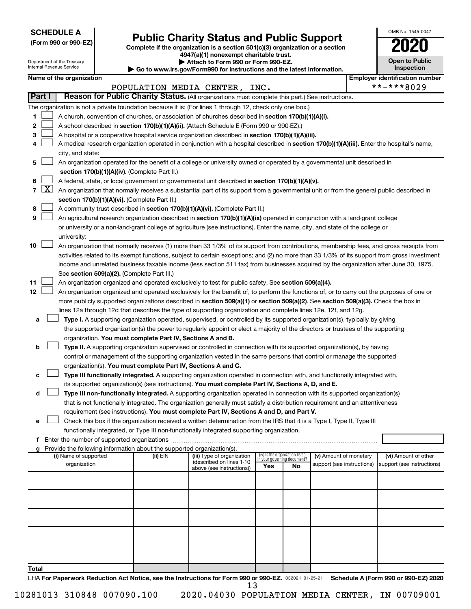**SCHEDULE A**

Department of the Treasury Internal Revenue Service

| (Form 990 or 990-EZ) |  |  |  |  |
|----------------------|--|--|--|--|
|----------------------|--|--|--|--|

## Form 990 or 990-EZ) **Public Charity Status and Public Support**<br>
Complete if the organization is a section 501(c)(3) organization or a section<br> **2020**

**4947(a)(1) nonexempt charitable trust. | Attach to Form 990 or Form 990-EZ.** 

**| Go to www.irs.gov/Form990 for instructions and the latest information.**

| <b>Open to Public</b><br>Inspection |
|-------------------------------------|
|                                     |

OMB No. 1545-0047

|  | Name of the organization |
|--|--------------------------|
|--|--------------------------|

|               | Name of the organization                                                                                                                                                                                                                                       |          |                                                       |     |                                                                |                            |  | <b>Employer identification number</b> |  |  |  |  |
|---------------|----------------------------------------------------------------------------------------------------------------------------------------------------------------------------------------------------------------------------------------------------------------|----------|-------------------------------------------------------|-----|----------------------------------------------------------------|----------------------------|--|---------------------------------------|--|--|--|--|
| <b>Part I</b> |                                                                                                                                                                                                                                                                |          | POPULATION MEDIA CENTER, INC.                         |     |                                                                |                            |  | **-***8029                            |  |  |  |  |
|               | Reason for Public Charity Status. (All organizations must complete this part.) See instructions.                                                                                                                                                               |          |                                                       |     |                                                                |                            |  |                                       |  |  |  |  |
|               | The organization is not a private foundation because it is: (For lines 1 through 12, check only one box.)                                                                                                                                                      |          |                                                       |     |                                                                |                            |  |                                       |  |  |  |  |
| 1.            | A church, convention of churches, or association of churches described in section 170(b)(1)(A)(i).                                                                                                                                                             |          |                                                       |     |                                                                |                            |  |                                       |  |  |  |  |
| 2             | A school described in section 170(b)(1)(A)(ii). (Attach Schedule E (Form 990 or 990-EZ).)                                                                                                                                                                      |          |                                                       |     |                                                                |                            |  |                                       |  |  |  |  |
| з             | A hospital or a cooperative hospital service organization described in section 170(b)(1)(A)(iii).                                                                                                                                                              |          |                                                       |     |                                                                |                            |  |                                       |  |  |  |  |
| 4             | A medical research organization operated in conjunction with a hospital described in section 170(b)(1)(A)(iii). Enter the hospital's name,<br>city, and state:                                                                                                 |          |                                                       |     |                                                                |                            |  |                                       |  |  |  |  |
| 5             | An organization operated for the benefit of a college or university owned or operated by a governmental unit described in<br>section 170(b)(1)(A)(iv). (Complete Part II.)                                                                                     |          |                                                       |     |                                                                |                            |  |                                       |  |  |  |  |
|               | A federal, state, or local government or governmental unit described in section 170(b)(1)(A)(v).                                                                                                                                                               |          |                                                       |     |                                                                |                            |  |                                       |  |  |  |  |
| 6             | 7 $ X $ An organization that normally receives a substantial part of its support from a governmental unit or from the general public described in                                                                                                              |          |                                                       |     |                                                                |                            |  |                                       |  |  |  |  |
|               |                                                                                                                                                                                                                                                                |          |                                                       |     |                                                                |                            |  |                                       |  |  |  |  |
|               | section 170(b)(1)(A)(vi). (Complete Part II.)                                                                                                                                                                                                                  |          |                                                       |     |                                                                |                            |  |                                       |  |  |  |  |
| 8             | A community trust described in section 170(b)(1)(A)(vi). (Complete Part II.)                                                                                                                                                                                   |          |                                                       |     |                                                                |                            |  |                                       |  |  |  |  |
| 9             | An agricultural research organization described in section 170(b)(1)(A)(ix) operated in conjunction with a land-grant college                                                                                                                                  |          |                                                       |     |                                                                |                            |  |                                       |  |  |  |  |
|               | or university or a non-land-grant college of agriculture (see instructions). Enter the name, city, and state of the college or                                                                                                                                 |          |                                                       |     |                                                                |                            |  |                                       |  |  |  |  |
|               | university:                                                                                                                                                                                                                                                    |          |                                                       |     |                                                                |                            |  |                                       |  |  |  |  |
| 10            | An organization that normally receives (1) more than 33 1/3% of its support from contributions, membership fees, and gross receipts from                                                                                                                       |          |                                                       |     |                                                                |                            |  |                                       |  |  |  |  |
|               | activities related to its exempt functions, subject to certain exceptions; and (2) no more than 33 1/3% of its support from gross investment                                                                                                                   |          |                                                       |     |                                                                |                            |  |                                       |  |  |  |  |
|               | income and unrelated business taxable income (less section 511 tax) from businesses acquired by the organization after June 30, 1975.                                                                                                                          |          |                                                       |     |                                                                |                            |  |                                       |  |  |  |  |
|               | See section 509(a)(2). (Complete Part III.)                                                                                                                                                                                                                    |          |                                                       |     |                                                                |                            |  |                                       |  |  |  |  |
| 11<br>12      | An organization organized and operated exclusively to test for public safety. See section 509(a)(4).<br>An organization organized and operated exclusively for the benefit of, to perform the functions of, or to carry out the purposes of one or             |          |                                                       |     |                                                                |                            |  |                                       |  |  |  |  |
|               |                                                                                                                                                                                                                                                                |          |                                                       |     |                                                                |                            |  |                                       |  |  |  |  |
|               | more publicly supported organizations described in section 509(a)(1) or section 509(a)(2). See section 509(a)(3). Check the box in                                                                                                                             |          |                                                       |     |                                                                |                            |  |                                       |  |  |  |  |
|               | lines 12a through 12d that describes the type of supporting organization and complete lines 12e, 12f, and 12g.                                                                                                                                                 |          |                                                       |     |                                                                |                            |  |                                       |  |  |  |  |
| a             | Type I. A supporting organization operated, supervised, or controlled by its supported organization(s), typically by giving<br>the supported organization(s) the power to regularly appoint or elect a majority of the directors or trustees of the supporting |          |                                                       |     |                                                                |                            |  |                                       |  |  |  |  |
|               | organization. You must complete Part IV, Sections A and B.                                                                                                                                                                                                     |          |                                                       |     |                                                                |                            |  |                                       |  |  |  |  |
| b             | Type II. A supporting organization supervised or controlled in connection with its supported organization(s), by having                                                                                                                                        |          |                                                       |     |                                                                |                            |  |                                       |  |  |  |  |
|               | control or management of the supporting organization vested in the same persons that control or manage the supported                                                                                                                                           |          |                                                       |     |                                                                |                            |  |                                       |  |  |  |  |
|               | organization(s). You must complete Part IV, Sections A and C.                                                                                                                                                                                                  |          |                                                       |     |                                                                |                            |  |                                       |  |  |  |  |
| c             | Type III functionally integrated. A supporting organization operated in connection with, and functionally integrated with,                                                                                                                                     |          |                                                       |     |                                                                |                            |  |                                       |  |  |  |  |
|               | its supported organization(s) (see instructions). You must complete Part IV, Sections A, D, and E.                                                                                                                                                             |          |                                                       |     |                                                                |                            |  |                                       |  |  |  |  |
| d             | Type III non-functionally integrated. A supporting organization operated in connection with its supported organization(s)                                                                                                                                      |          |                                                       |     |                                                                |                            |  |                                       |  |  |  |  |
|               | that is not functionally integrated. The organization generally must satisfy a distribution requirement and an attentiveness                                                                                                                                   |          |                                                       |     |                                                                |                            |  |                                       |  |  |  |  |
|               | requirement (see instructions). You must complete Part IV, Sections A and D, and Part V.                                                                                                                                                                       |          |                                                       |     |                                                                |                            |  |                                       |  |  |  |  |
|               | Check this box if the organization received a written determination from the IRS that it is a Type I, Type II, Type III                                                                                                                                        |          |                                                       |     |                                                                |                            |  |                                       |  |  |  |  |
|               | functionally integrated, or Type III non-functionally integrated supporting organization.                                                                                                                                                                      |          |                                                       |     |                                                                |                            |  |                                       |  |  |  |  |
|               | f Enter the number of supported organizations                                                                                                                                                                                                                  |          |                                                       |     |                                                                |                            |  |                                       |  |  |  |  |
|               | g Provide the following information about the supported organization(s).                                                                                                                                                                                       |          |                                                       |     |                                                                |                            |  |                                       |  |  |  |  |
|               | (i) Name of supported                                                                                                                                                                                                                                          | (ii) EIN | (iii) Type of organization                            |     | (iv) Is the organization listed<br>in your governing document? | (v) Amount of monetary     |  | (vi) Amount of other                  |  |  |  |  |
|               | organization                                                                                                                                                                                                                                                   |          | (described on lines 1-10<br>above (see instructions)) | Yes | No                                                             | support (see instructions) |  | support (see instructions)            |  |  |  |  |
|               |                                                                                                                                                                                                                                                                |          |                                                       |     |                                                                |                            |  |                                       |  |  |  |  |
|               |                                                                                                                                                                                                                                                                |          |                                                       |     |                                                                |                            |  |                                       |  |  |  |  |
|               |                                                                                                                                                                                                                                                                |          |                                                       |     |                                                                |                            |  |                                       |  |  |  |  |
|               |                                                                                                                                                                                                                                                                |          |                                                       |     |                                                                |                            |  |                                       |  |  |  |  |
|               |                                                                                                                                                                                                                                                                |          |                                                       |     |                                                                |                            |  |                                       |  |  |  |  |
|               |                                                                                                                                                                                                                                                                |          |                                                       |     |                                                                |                            |  |                                       |  |  |  |  |
|               |                                                                                                                                                                                                                                                                |          |                                                       |     |                                                                |                            |  |                                       |  |  |  |  |
|               |                                                                                                                                                                                                                                                                |          |                                                       |     |                                                                |                            |  |                                       |  |  |  |  |
|               |                                                                                                                                                                                                                                                                |          |                                                       |     |                                                                |                            |  |                                       |  |  |  |  |
|               |                                                                                                                                                                                                                                                                |          |                                                       |     |                                                                |                            |  |                                       |  |  |  |  |
| Total         |                                                                                                                                                                                                                                                                |          |                                                       |     |                                                                |                            |  |                                       |  |  |  |  |
|               | LHA For Paperwork Reduction Act Notice, see the Instructions for Form 990 or 990-EZ. 032021 01-25-21 Schedule A (Form 990 or 990-EZ) 2020                                                                                                                      |          |                                                       |     |                                                                |                            |  |                                       |  |  |  |  |

13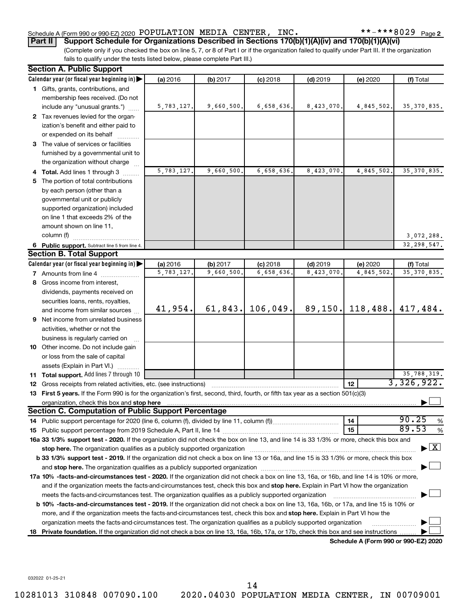#### Schedule A (Form 990 or 990-EZ) 2020 POPULATION MEDIA CENTER, INC.  $\texttt{***--***8029}_{\text{Page}}$

**Part II Support Schedule for Organizations Described in Sections 170(b)(1)(A)(iv) and 170(b)(1)(A)(vi)**

(Complete only if you checked the box on line 5, 7, or 8 of Part I or if the organization failed to qualify under Part III. If the organization fails to qualify under the tests listed below, please complete Part III.)

| <b>Section A. Public Support</b>                                                                                                                                                                                                   |            |            |            |            |                                      |                                    |
|------------------------------------------------------------------------------------------------------------------------------------------------------------------------------------------------------------------------------------|------------|------------|------------|------------|--------------------------------------|------------------------------------|
| Calendar year (or fiscal year beginning in)                                                                                                                                                                                        | (a) 2016   | (b) 2017   | $(c)$ 2018 | $(d)$ 2019 | (e) 2020                             | (f) Total                          |
| 1 Gifts, grants, contributions, and                                                                                                                                                                                                |            |            |            |            |                                      |                                    |
| membership fees received. (Do not                                                                                                                                                                                                  |            |            |            |            |                                      |                                    |
| include any "unusual grants.")                                                                                                                                                                                                     | 5,783,127. | 9,660,500. | 6,658,636. | 8,423,070. | 4,845,502.                           | 35, 370, 835.                      |
| 2 Tax revenues levied for the organ-                                                                                                                                                                                               |            |            |            |            |                                      |                                    |
| ization's benefit and either paid to                                                                                                                                                                                               |            |            |            |            |                                      |                                    |
| or expended on its behalf                                                                                                                                                                                                          |            |            |            |            |                                      |                                    |
| 3 The value of services or facilities                                                                                                                                                                                              |            |            |            |            |                                      |                                    |
| furnished by a governmental unit to                                                                                                                                                                                                |            |            |            |            |                                      |                                    |
| the organization without charge                                                                                                                                                                                                    |            |            |            |            |                                      |                                    |
| 4 Total. Add lines 1 through 3                                                                                                                                                                                                     | 5,783,127. | 9,660,500. | 6,658,636. | 8,423,070  | 4,845,502.                           | 35, 370, 835.                      |
| 5 The portion of total contributions                                                                                                                                                                                               |            |            |            |            |                                      |                                    |
| by each person (other than a                                                                                                                                                                                                       |            |            |            |            |                                      |                                    |
| governmental unit or publicly                                                                                                                                                                                                      |            |            |            |            |                                      |                                    |
| supported organization) included                                                                                                                                                                                                   |            |            |            |            |                                      |                                    |
| on line 1 that exceeds 2% of the                                                                                                                                                                                                   |            |            |            |            |                                      |                                    |
| amount shown on line 11,                                                                                                                                                                                                           |            |            |            |            |                                      |                                    |
| column (f)                                                                                                                                                                                                                         |            |            |            |            |                                      | 3,072,288.                         |
| 6 Public support. Subtract line 5 from line 4.                                                                                                                                                                                     |            |            |            |            |                                      | 32, 298, 547.                      |
| <b>Section B. Total Support</b>                                                                                                                                                                                                    |            |            |            |            |                                      |                                    |
| Calendar year (or fiscal year beginning in)                                                                                                                                                                                        | (a) 2016   | (b) 2017   | $(c)$ 2018 | $(d)$ 2019 | (e) 2020                             | (f) Total                          |
| <b>7</b> Amounts from line 4                                                                                                                                                                                                       | 5,783,127  | 9,660,500. | 6,658,636  | 8,423,070  | 4,845,502.                           | 35, 370, 835.                      |
| 8 Gross income from interest,                                                                                                                                                                                                      |            |            |            |            |                                      |                                    |
| dividends, payments received on                                                                                                                                                                                                    |            |            |            |            |                                      |                                    |
| securities loans, rents, royalties,                                                                                                                                                                                                |            |            |            |            |                                      |                                    |
| and income from similar sources                                                                                                                                                                                                    | 41,954.    | 61, 843.   | 106,049.   | 89, 150.   | 118,488.                             | 417,484.                           |
| <b>9</b> Net income from unrelated business                                                                                                                                                                                        |            |            |            |            |                                      |                                    |
| activities, whether or not the                                                                                                                                                                                                     |            |            |            |            |                                      |                                    |
| business is regularly carried on                                                                                                                                                                                                   |            |            |            |            |                                      |                                    |
| 10 Other income. Do not include gain                                                                                                                                                                                               |            |            |            |            |                                      |                                    |
| or loss from the sale of capital                                                                                                                                                                                                   |            |            |            |            |                                      |                                    |
| assets (Explain in Part VI.)                                                                                                                                                                                                       |            |            |            |            |                                      |                                    |
| 11 Total support. Add lines 7 through 10                                                                                                                                                                                           |            |            |            |            |                                      | 35,788,319.                        |
| <b>12</b> Gross receipts from related activities, etc. (see instructions)                                                                                                                                                          |            |            |            |            | 12                                   | 3,326,922.                         |
| 13 First 5 years. If the Form 990 is for the organization's first, second, third, fourth, or fifth tax year as a section 501(c)(3)                                                                                                 |            |            |            |            |                                      |                                    |
| organization, check this box and stop here <b>construction and the construction</b> of the construction of the construction of the construction of the construction of the construction of the construction of the construction of |            |            |            |            |                                      |                                    |
| <b>Section C. Computation of Public Support Percentage</b>                                                                                                                                                                         |            |            |            |            |                                      |                                    |
|                                                                                                                                                                                                                                    |            |            |            |            | 14                                   | 90.25<br>%                         |
|                                                                                                                                                                                                                                    |            |            |            |            | 15                                   | 89.53<br>%                         |
| 16a 33 1/3% support test - 2020. If the organization did not check the box on line 13, and line 14 is 33 1/3% or more, check this box and                                                                                          |            |            |            |            |                                      |                                    |
| stop here. The organization qualifies as a publicly supported organization manufactured content and the organization manufactured and the state of the state of the state of the state of the state of the state of the state      |            |            |            |            |                                      | $\blacktriangleright$ $\mathbf{X}$ |
| b 33 1/3% support test - 2019. If the organization did not check a box on line 13 or 16a, and line 15 is 33 1/3% or more, check this box                                                                                           |            |            |            |            |                                      |                                    |
|                                                                                                                                                                                                                                    |            |            |            |            |                                      |                                    |
| 17a 10% -facts-and-circumstances test - 2020. If the organization did not check a box on line 13, 16a, or 16b, and line 14 is 10% or more,                                                                                         |            |            |            |            |                                      |                                    |
| and if the organization meets the facts-and-circumstances test, check this box and stop here. Explain in Part VI how the organization                                                                                              |            |            |            |            |                                      |                                    |
| meets the facts-and-circumstances test. The organization qualifies as a publicly supported organization                                                                                                                            |            |            |            |            |                                      |                                    |
| <b>b 10%</b> -facts-and-circumstances test - 2019. If the organization did not check a box on line 13, 16a, 16b, or 17a, and line 15 is 10% or                                                                                     |            |            |            |            |                                      |                                    |
| more, and if the organization meets the facts-and-circumstances test, check this box and stop here. Explain in Part VI how the                                                                                                     |            |            |            |            |                                      |                                    |
| organization meets the facts-and-circumstances test. The organization qualifies as a publicly supported organization                                                                                                               |            |            |            |            |                                      |                                    |
| 18 Private foundation. If the organization did not check a box on line 13, 16a, 16b, 17a, or 17b, check this box and see instructions                                                                                              |            |            |            |            |                                      |                                    |
|                                                                                                                                                                                                                                    |            |            |            |            | Schedule A (Form 990 or 990-F7) 2020 |                                    |

**Schedule A (Form 990 or 990-EZ) 2020**

032022 01-25-21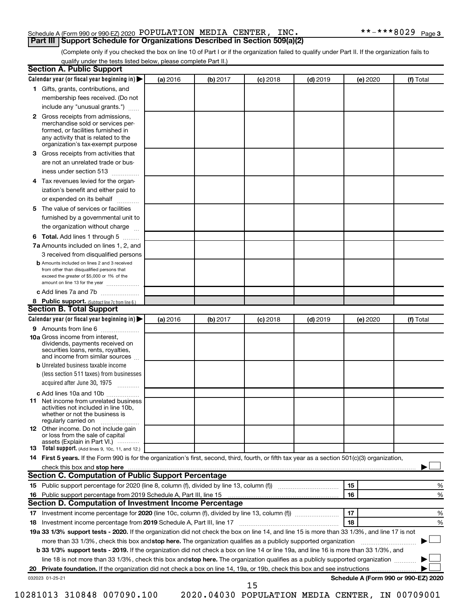#### Schedule A (Form 990 or 990-EZ) 2020 POPULATION MEDIA CENTER, INC.  $\texttt{***--***8029}_{\text{Page}}$ **Part III Support Schedule for Organizations Described in Section 509(a)(2)**

(Complete only if you checked the box on line 10 of Part I or if the organization failed to qualify under Part II. If the organization fails to qualify under the tests listed below, please complete Part II.)

|              | <b>Section A. Public Support</b><br>Calendar year (or fiscal year beginning in)                                                                                                                                                                                          | (a) 2016 | (b) 2017 | (c) 2018                                              | $(d)$ 2019 |    | (e) 2020 | (f) Total                            |   |
|--------------|--------------------------------------------------------------------------------------------------------------------------------------------------------------------------------------------------------------------------------------------------------------------------|----------|----------|-------------------------------------------------------|------------|----|----------|--------------------------------------|---|
|              | 1 Gifts, grants, contributions, and                                                                                                                                                                                                                                      |          |          |                                                       |            |    |          |                                      |   |
|              |                                                                                                                                                                                                                                                                          |          |          |                                                       |            |    |          |                                      |   |
|              | membership fees received. (Do not                                                                                                                                                                                                                                        |          |          |                                                       |            |    |          |                                      |   |
|              | include any "unusual grants.")                                                                                                                                                                                                                                           |          |          |                                                       |            |    |          |                                      |   |
| $\mathbf{2}$ | Gross receipts from admissions,<br>merchandise sold or services per-<br>formed, or facilities furnished in<br>any activity that is related to the                                                                                                                        |          |          |                                                       |            |    |          |                                      |   |
|              | organization's tax-exempt purpose                                                                                                                                                                                                                                        |          |          |                                                       |            |    |          |                                      |   |
| З.           | Gross receipts from activities that<br>are not an unrelated trade or bus-                                                                                                                                                                                                |          |          |                                                       |            |    |          |                                      |   |
|              | iness under section 513                                                                                                                                                                                                                                                  |          |          |                                                       |            |    |          |                                      |   |
| 4            | Tax revenues levied for the organ-                                                                                                                                                                                                                                       |          |          |                                                       |            |    |          |                                      |   |
|              | ization's benefit and either paid to<br>or expended on its behalf                                                                                                                                                                                                        |          |          |                                                       |            |    |          |                                      |   |
| 5.           | The value of services or facilities                                                                                                                                                                                                                                      |          |          |                                                       |            |    |          |                                      |   |
|              | furnished by a governmental unit to                                                                                                                                                                                                                                      |          |          |                                                       |            |    |          |                                      |   |
|              | the organization without charge                                                                                                                                                                                                                                          |          |          |                                                       |            |    |          |                                      |   |
| 6            | Total. Add lines 1 through 5                                                                                                                                                                                                                                             |          |          |                                                       |            |    |          |                                      |   |
|              | 7a Amounts included on lines 1, 2, and                                                                                                                                                                                                                                   |          |          |                                                       |            |    |          |                                      |   |
|              | 3 received from disqualified persons                                                                                                                                                                                                                                     |          |          |                                                       |            |    |          |                                      |   |
|              | <b>b</b> Amounts included on lines 2 and 3 received<br>from other than disqualified persons that<br>exceed the greater of \$5,000 or 1% of the<br>amount on line 13 for the year                                                                                         |          |          |                                                       |            |    |          |                                      |   |
|              | c Add lines 7a and 7b                                                                                                                                                                                                                                                    |          |          |                                                       |            |    |          |                                      |   |
|              | 8 Public support. (Subtract line 7c from line 6.)                                                                                                                                                                                                                        |          |          |                                                       |            |    |          |                                      |   |
|              | <b>Section B. Total Support</b>                                                                                                                                                                                                                                          |          |          |                                                       |            |    |          |                                      |   |
|              | Calendar year (or fiscal year beginning in)                                                                                                                                                                                                                              | (a) 2016 | (b) 2017 | $(c)$ 2018                                            | $(d)$ 2019 |    | (e) 2020 | (f) Total                            |   |
|              | 9 Amounts from line 6                                                                                                                                                                                                                                                    |          |          |                                                       |            |    |          |                                      |   |
|              | <b>10a</b> Gross income from interest,<br>dividends, payments received on<br>securities loans, rents, royalties,<br>and income from similar sources                                                                                                                      |          |          |                                                       |            |    |          |                                      |   |
|              | <b>b</b> Unrelated business taxable income                                                                                                                                                                                                                               |          |          |                                                       |            |    |          |                                      |   |
|              | (less section 511 taxes) from businesses<br>acquired after June 30, 1975                                                                                                                                                                                                 |          |          |                                                       |            |    |          |                                      |   |
|              | c Add lines 10a and 10b                                                                                                                                                                                                                                                  |          |          |                                                       |            |    |          |                                      |   |
|              | <b>11</b> Net income from unrelated business<br>activities not included in line 10b.<br>whether or not the business is<br>regularly carried on                                                                                                                           |          |          |                                                       |            |    |          |                                      |   |
|              | <b>12</b> Other income. Do not include gain<br>or loss from the sale of capital                                                                                                                                                                                          |          |          |                                                       |            |    |          |                                      |   |
|              | assets (Explain in Part VI.)<br>13 Total support. (Add lines 9, 10c, 11, and 12.)                                                                                                                                                                                        |          |          |                                                       |            |    |          |                                      |   |
|              | 14 First 5 years. If the Form 990 is for the organization's first, second, third, fourth, or fifth tax year as a section 501(c)(3) organization,                                                                                                                         |          |          |                                                       |            |    |          |                                      |   |
|              | check this box and stop here                                                                                                                                                                                                                                             |          |          |                                                       |            |    |          |                                      |   |
|              | <b>Section C. Computation of Public Support Percentage</b>                                                                                                                                                                                                               |          |          |                                                       |            |    |          |                                      |   |
|              |                                                                                                                                                                                                                                                                          |          |          |                                                       |            | 15 |          |                                      | % |
|              |                                                                                                                                                                                                                                                                          |          |          |                                                       |            | 16 |          |                                      | % |
|              | Section D. Computation of Investment Income Percentage                                                                                                                                                                                                                   |          |          |                                                       |            |    |          |                                      |   |
|              |                                                                                                                                                                                                                                                                          |          |          |                                                       |            | 17 |          |                                      |   |
|              |                                                                                                                                                                                                                                                                          |          |          |                                                       |            |    |          |                                      | % |
| 18           |                                                                                                                                                                                                                                                                          |          |          |                                                       |            | 18 |          |                                      | % |
|              | 19a 33 1/3% support tests - 2020. If the organization did not check the box on line 14, and line 15 is more than 33 1/3%, and line 17 is not                                                                                                                             |          |          |                                                       |            |    |          |                                      |   |
|              | more than 33 1/3%, check this box and stop here. The organization qualifies as a publicly supported organization                                                                                                                                                         |          |          |                                                       |            |    |          |                                      |   |
|              | b 33 1/3% support tests - 2019. If the organization did not check a box on line 14 or line 19a, and line 16 is more than 33 1/3%, and<br>line 18 is not more than 33 1/3%, check this box and stop here. The organization qualifies as a publicly supported organization |          |          |                                                       |            |    |          |                                      |   |
|              |                                                                                                                                                                                                                                                                          |          |          |                                                       |            |    |          |                                      |   |
|              | 032023 01-25-21                                                                                                                                                                                                                                                          |          |          |                                                       |            |    |          | Schedule A (Form 990 or 990-EZ) 2020 |   |
|              | 10281013 310848 007090.100                                                                                                                                                                                                                                               |          |          | 15<br>2020.04030 POPULATION MEDIA CENTER, IN 00709001 |            |    |          |                                      |   |
|              |                                                                                                                                                                                                                                                                          |          |          |                                                       |            |    |          |                                      |   |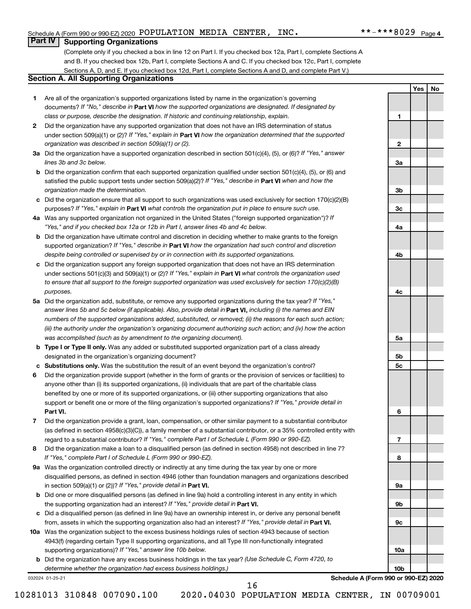#### Schedule A (Form 990 or 990-EZ) 2020 POPULATION MEDIA CENTER, INC.  $\texttt{***--***8029}_{\text{Page}}$

**1**

**2**

**3a**

**3b**

**3c**

**4a**

**4b**

**4c**

**5a**

**5b 5c**

**6**

**7**

**8**

**9a**

**9b**

**9c**

**10a**

**10b**

**Yes No**

#### **Part IV Supporting Organizations**

(Complete only if you checked a box in line 12 on Part I. If you checked box 12a, Part I, complete Sections A and B. If you checked box 12b, Part I, complete Sections A and C. If you checked box 12c, Part I, complete Sections A, D, and E. If you checked box 12d, Part I, complete Sections A and D, and complete Part V.)

#### **Section A. All Supporting Organizations**

- **1** Are all of the organization's supported organizations listed by name in the organization's governing documents? If "No," describe in Part VI how the supported organizations are designated. If designated by *class or purpose, describe the designation. If historic and continuing relationship, explain.*
- **2** Did the organization have any supported organization that does not have an IRS determination of status under section 509(a)(1) or (2)? If "Yes," explain in Part **VI** how the organization determined that the supported *organization was described in section 509(a)(1) or (2).*
- **3a** Did the organization have a supported organization described in section 501(c)(4), (5), or (6)? If "Yes," answer *lines 3b and 3c below.*
- **b** Did the organization confirm that each supported organization qualified under section 501(c)(4), (5), or (6) and satisfied the public support tests under section 509(a)(2)? If "Yes," describe in Part VI when and how the *organization made the determination.*
- **c** Did the organization ensure that all support to such organizations was used exclusively for section 170(c)(2)(B) purposes? If "Yes," explain in Part VI what controls the organization put in place to ensure such use.
- **4 a** *If* Was any supported organization not organized in the United States ("foreign supported organization")? *"Yes," and if you checked box 12a or 12b in Part I, answer lines 4b and 4c below.*
- **b** Did the organization have ultimate control and discretion in deciding whether to make grants to the foreign supported organization? If "Yes," describe in Part VI how the organization had such control and discretion *despite being controlled or supervised by or in connection with its supported organizations.*
- **c** Did the organization support any foreign supported organization that does not have an IRS determination under sections 501(c)(3) and 509(a)(1) or (2)? If "Yes," explain in Part VI what controls the organization used *to ensure that all support to the foreign supported organization was used exclusively for section 170(c)(2)(B) purposes.*
- **5a** Did the organization add, substitute, or remove any supported organizations during the tax year? If "Yes," answer lines 5b and 5c below (if applicable). Also, provide detail in **Part VI,** including (i) the names and EIN *numbers of the supported organizations added, substituted, or removed; (ii) the reasons for each such action; (iii) the authority under the organization's organizing document authorizing such action; and (iv) how the action was accomplished (such as by amendment to the organizing document).*
- **b Type I or Type II only.** Was any added or substituted supported organization part of a class already designated in the organization's organizing document?
- **c Substitutions only.**  Was the substitution the result of an event beyond the organization's control?
- **6** Did the organization provide support (whether in the form of grants or the provision of services or facilities) to **Part VI.** support or benefit one or more of the filing organization's supported organizations? If "Yes," provide detail in anyone other than (i) its supported organizations, (ii) individuals that are part of the charitable class benefited by one or more of its supported organizations, or (iii) other supporting organizations that also
- **7** Did the organization provide a grant, loan, compensation, or other similar payment to a substantial contributor regard to a substantial contributor? If "Yes," complete Part I of Schedule L (Form 990 or 990-EZ). (as defined in section 4958(c)(3)(C)), a family member of a substantial contributor, or a 35% controlled entity with
- **8** Did the organization make a loan to a disqualified person (as defined in section 4958) not described in line 7? *If "Yes," complete Part I of Schedule L (Form 990 or 990-EZ).*
- **9 a** Was the organization controlled directly or indirectly at any time during the tax year by one or more in section 509(a)(1) or (2))? If "Yes," provide detail in **Part VI.** disqualified persons, as defined in section 4946 (other than foundation managers and organizations described
- **b** Did one or more disqualified persons (as defined in line 9a) hold a controlling interest in any entity in which the supporting organization had an interest? If "Yes," provide detail in Part VI.
- **c** Did a disqualified person (as defined in line 9a) have an ownership interest in, or derive any personal benefit from, assets in which the supporting organization also had an interest? If "Yes," provide detail in Part VI.
- **10 a** Was the organization subject to the excess business holdings rules of section 4943 because of section supporting organizations)? If "Yes," answer line 10b below. 4943(f) (regarding certain Type II supporting organizations, and all Type III non-functionally integrated
	- **b** Did the organization have any excess business holdings in the tax year? (Use Schedule C, Form 4720, to *determine whether the organization had excess business holdings.)*

032024 01-25-21

**Schedule A (Form 990 or 990-EZ) 2020**

10281013 310848 007090.100 2020.04030 POPULATION MEDIA CENTER, IN 00709001

16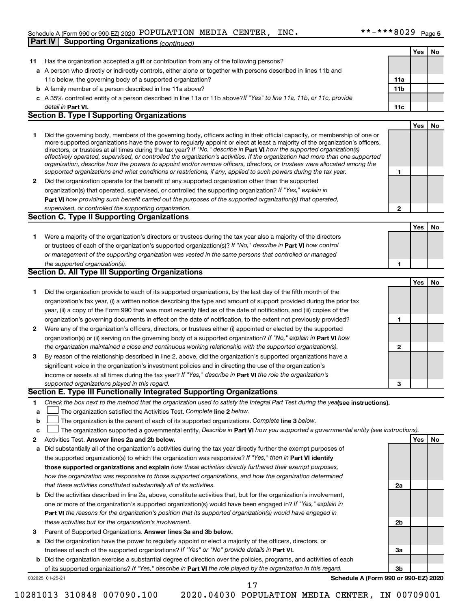#### Schedule A (Form 990 or 990-EZ) 2020 POPULATION MEDIA CENTER, INC.  $\texttt{***--***8029}_{\text{Page}}$ **Part IV | Supporting Organizations** *(continued)*

|                  |                                                                                                                                                                                                                                                                                                                                                                                                                                                                                                                                                                                                                                                                                                                                                                          |             | Yes   No   |    |
|------------------|--------------------------------------------------------------------------------------------------------------------------------------------------------------------------------------------------------------------------------------------------------------------------------------------------------------------------------------------------------------------------------------------------------------------------------------------------------------------------------------------------------------------------------------------------------------------------------------------------------------------------------------------------------------------------------------------------------------------------------------------------------------------------|-------------|------------|----|
| 11               | Has the organization accepted a gift or contribution from any of the following persons?                                                                                                                                                                                                                                                                                                                                                                                                                                                                                                                                                                                                                                                                                  |             |            |    |
|                  | a A person who directly or indirectly controls, either alone or together with persons described in lines 11b and                                                                                                                                                                                                                                                                                                                                                                                                                                                                                                                                                                                                                                                         |             |            |    |
|                  | 11c below, the governing body of a supported organization?                                                                                                                                                                                                                                                                                                                                                                                                                                                                                                                                                                                                                                                                                                               | 11a         |            |    |
|                  | <b>b</b> A family member of a person described in line 11a above?                                                                                                                                                                                                                                                                                                                                                                                                                                                                                                                                                                                                                                                                                                        | 11b         |            |    |
|                  | c A 35% controlled entity of a person described in line 11a or 11b above? If "Yes" to line 11a, 11b, or 11c, provide                                                                                                                                                                                                                                                                                                                                                                                                                                                                                                                                                                                                                                                     |             |            |    |
|                  | detail in Part VI.                                                                                                                                                                                                                                                                                                                                                                                                                                                                                                                                                                                                                                                                                                                                                       | 11c         |            |    |
|                  | <b>Section B. Type I Supporting Organizations</b>                                                                                                                                                                                                                                                                                                                                                                                                                                                                                                                                                                                                                                                                                                                        |             |            |    |
|                  |                                                                                                                                                                                                                                                                                                                                                                                                                                                                                                                                                                                                                                                                                                                                                                          |             | Yes        | No |
| 1                | Did the governing body, members of the governing body, officers acting in their official capacity, or membership of one or<br>more supported organizations have the power to regularly appoint or elect at least a majority of the organization's officers,<br>directors, or trustees at all times during the tax year? If "No," describe in Part VI how the supported organization(s)<br>effectively operated, supervised, or controlled the organization's activities. If the organization had more than one supported<br>organization, describe how the powers to appoint and/or remove officers, directors, or trustees were allocated among the<br>supported organizations and what conditions or restrictions, if any, applied to such powers during the tax year. | 1           |            |    |
| 2                | Did the organization operate for the benefit of any supported organization other than the supported                                                                                                                                                                                                                                                                                                                                                                                                                                                                                                                                                                                                                                                                      |             |            |    |
|                  | organization(s) that operated, supervised, or controlled the supporting organization? If "Yes," explain in                                                                                                                                                                                                                                                                                                                                                                                                                                                                                                                                                                                                                                                               |             |            |    |
|                  | Part VI how providing such benefit carried out the purposes of the supported organization(s) that operated,                                                                                                                                                                                                                                                                                                                                                                                                                                                                                                                                                                                                                                                              |             |            |    |
|                  | supervised, or controlled the supporting organization.                                                                                                                                                                                                                                                                                                                                                                                                                                                                                                                                                                                                                                                                                                                   | $\mathbf 2$ |            |    |
|                  | <b>Section C. Type II Supporting Organizations</b>                                                                                                                                                                                                                                                                                                                                                                                                                                                                                                                                                                                                                                                                                                                       |             |            |    |
|                  |                                                                                                                                                                                                                                                                                                                                                                                                                                                                                                                                                                                                                                                                                                                                                                          |             | Yes        | No |
| 1.               | Were a majority of the organization's directors or trustees during the tax year also a majority of the directors<br>or trustees of each of the organization's supported organization(s)? If "No," describe in Part VI how control<br>or management of the supporting organization was vested in the same persons that controlled or managed<br>the supported organization(s).                                                                                                                                                                                                                                                                                                                                                                                            | 1           |            |    |
|                  | Section D. All Type III Supporting Organizations                                                                                                                                                                                                                                                                                                                                                                                                                                                                                                                                                                                                                                                                                                                         |             |            |    |
|                  |                                                                                                                                                                                                                                                                                                                                                                                                                                                                                                                                                                                                                                                                                                                                                                          |             | <b>Yes</b> | No |
| 1<br>2           | Did the organization provide to each of its supported organizations, by the last day of the fifth month of the<br>organization's tax year, (i) a written notice describing the type and amount of support provided during the prior tax<br>year, (ii) a copy of the Form 990 that was most recently filed as of the date of notification, and (iii) copies of the<br>organization's governing documents in effect on the date of notification, to the extent not previously provided?<br>Were any of the organization's officers, directors, or trustees either (i) appointed or elected by the supported                                                                                                                                                                | 1           |            |    |
|                  | organization(s) or (ii) serving on the governing body of a supported organization? If "No," explain in Part VI how                                                                                                                                                                                                                                                                                                                                                                                                                                                                                                                                                                                                                                                       |             |            |    |
|                  | the organization maintained a close and continuous working relationship with the supported organization(s).                                                                                                                                                                                                                                                                                                                                                                                                                                                                                                                                                                                                                                                              | 2           |            |    |
| 3                | By reason of the relationship described in line 2, above, did the organization's supported organizations have a                                                                                                                                                                                                                                                                                                                                                                                                                                                                                                                                                                                                                                                          |             |            |    |
|                  | significant voice in the organization's investment policies and in directing the use of the organization's                                                                                                                                                                                                                                                                                                                                                                                                                                                                                                                                                                                                                                                               |             |            |    |
|                  | income or assets at all times during the tax year? If "Yes," describe in Part VI the role the organization's                                                                                                                                                                                                                                                                                                                                                                                                                                                                                                                                                                                                                                                             |             |            |    |
|                  | supported organizations played in this regard.                                                                                                                                                                                                                                                                                                                                                                                                                                                                                                                                                                                                                                                                                                                           | 3           |            |    |
|                  | Section E. Type III Functionally Integrated Supporting Organizations                                                                                                                                                                                                                                                                                                                                                                                                                                                                                                                                                                                                                                                                                                     |             |            |    |
| 1<br>а<br>b<br>с | Check the box next to the method that the organization used to satisfy the Integral Part Test during the yealsee instructions).<br>The organization satisfied the Activities Test. Complete line 2 below.<br>The organization is the parent of each of its supported organizations. Complete line 3 below.<br>The organization supported a governmental entity. Describe in Part VI how you supported a governmental entity (see instructions).                                                                                                                                                                                                                                                                                                                          |             |            |    |
| 2                | Activities Test. Answer lines 2a and 2b below.                                                                                                                                                                                                                                                                                                                                                                                                                                                                                                                                                                                                                                                                                                                           |             | Yes        | No |
| a                | Did substantially all of the organization's activities during the tax year directly further the exempt purposes of<br>the supported organization(s) to which the organization was responsive? If "Yes," then in Part VI identify                                                                                                                                                                                                                                                                                                                                                                                                                                                                                                                                         |             |            |    |
|                  | those supported organizations and explain how these activities directly furthered their exempt purposes,                                                                                                                                                                                                                                                                                                                                                                                                                                                                                                                                                                                                                                                                 |             |            |    |
|                  | how the organization was responsive to those supported organizations, and how the organization determined                                                                                                                                                                                                                                                                                                                                                                                                                                                                                                                                                                                                                                                                |             |            |    |
|                  | that these activities constituted substantially all of its activities.                                                                                                                                                                                                                                                                                                                                                                                                                                                                                                                                                                                                                                                                                                   | 2a          |            |    |
| b                | Did the activities described in line 2a, above, constitute activities that, but for the organization's involvement,                                                                                                                                                                                                                                                                                                                                                                                                                                                                                                                                                                                                                                                      |             |            |    |
|                  | one or more of the organization's supported organization(s) would have been engaged in? If "Yes," explain in<br>Part VI the reasons for the organization's position that its supported organization(s) would have engaged in                                                                                                                                                                                                                                                                                                                                                                                                                                                                                                                                             |             |            |    |
|                  | these activities but for the organization's involvement.                                                                                                                                                                                                                                                                                                                                                                                                                                                                                                                                                                                                                                                                                                                 | 2b          |            |    |
| з                | Parent of Supported Organizations. Answer lines 3a and 3b below.                                                                                                                                                                                                                                                                                                                                                                                                                                                                                                                                                                                                                                                                                                         |             |            |    |
| а                | Did the organization have the power to regularly appoint or elect a majority of the officers, directors, or                                                                                                                                                                                                                                                                                                                                                                                                                                                                                                                                                                                                                                                              |             |            |    |
|                  | trustees of each of the supported organizations? If "Yes" or "No" provide details in Part VI.                                                                                                                                                                                                                                                                                                                                                                                                                                                                                                                                                                                                                                                                            | За          |            |    |
|                  | b Did the organization exercise a substantial degree of direction over the policies, programs, and activities of each                                                                                                                                                                                                                                                                                                                                                                                                                                                                                                                                                                                                                                                    |             |            |    |
|                  | of its supported organizations? If "Yes," describe in Part VI the role played by the organization in this regard.                                                                                                                                                                                                                                                                                                                                                                                                                                                                                                                                                                                                                                                        | 3b          |            |    |
|                  | Schedule A (Form 990 or 990-EZ) 2020<br>032025 01-25-21<br>17                                                                                                                                                                                                                                                                                                                                                                                                                                                                                                                                                                                                                                                                                                            |             |            |    |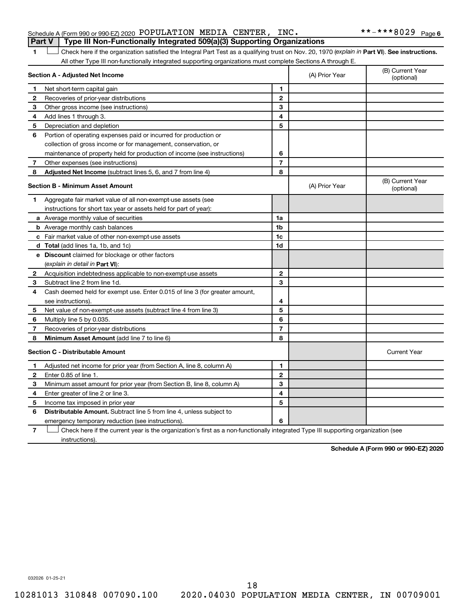| Schedule A (Form 990 or 990-EZ) 2020 POPULATION MEDIA CENTER, INC.               |  |  | **-***8029 <sub>Page 6</sub> |  |
|----------------------------------------------------------------------------------|--|--|------------------------------|--|
| Part V   Type III Non-Functionally Integrated 509(a)(3) Supporting Organizations |  |  |                              |  |

1 **Letter See instructions.** Check here if the organization satisfied the Integral Part Test as a qualifying trust on Nov. 20, 1970 (*explain in* Part **VI**). See instructions. All other Type III non-functionally integrated supporting organizations must complete Sections A through E.

| Section A - Adjusted Net Income |                                                                             |                | (A) Prior Year | (B) Current Year<br>(optional) |
|---------------------------------|-----------------------------------------------------------------------------|----------------|----------------|--------------------------------|
| 1                               | Net short-term capital gain                                                 | 1              |                |                                |
| $\mathbf{2}$                    | Recoveries of prior-year distributions                                      | $\mathbf{2}$   |                |                                |
| 3                               | Other gross income (see instructions)                                       | 3              |                |                                |
| 4                               | Add lines 1 through 3.                                                      | 4              |                |                                |
| 5                               | Depreciation and depletion                                                  | 5              |                |                                |
| 6                               | Portion of operating expenses paid or incurred for production or            |                |                |                                |
|                                 | collection of gross income or for management, conservation, or              |                |                |                                |
|                                 | maintenance of property held for production of income (see instructions)    | 6              |                |                                |
| 7                               | Other expenses (see instructions)                                           | $\overline{7}$ |                |                                |
| 8                               | Adjusted Net Income (subtract lines 5, 6, and 7 from line 4)                | 8              |                |                                |
|                                 | <b>Section B - Minimum Asset Amount</b>                                     |                | (A) Prior Year | (B) Current Year<br>(optional) |
| 1.                              | Aggregate fair market value of all non-exempt-use assets (see               |                |                |                                |
|                                 | instructions for short tax year or assets held for part of year):           |                |                |                                |
|                                 | a Average monthly value of securities                                       | 1a             |                |                                |
|                                 | <b>b</b> Average monthly cash balances                                      | 1b             |                |                                |
|                                 | c Fair market value of other non-exempt-use assets                          | 1c             |                |                                |
|                                 | d Total (add lines 1a, 1b, and 1c)                                          | 1d             |                |                                |
|                                 | e Discount claimed for blockage or other factors                            |                |                |                                |
|                                 | (explain in detail in <b>Part VI</b> ):                                     |                |                |                                |
| $\mathbf{2}$                    | Acquisition indebtedness applicable to non-exempt-use assets                | $\mathbf{2}$   |                |                                |
| 3                               | Subtract line 2 from line 1d.                                               | 3              |                |                                |
| 4                               | Cash deemed held for exempt use. Enter 0.015 of line 3 (for greater amount, |                |                |                                |
|                                 | see instructions).                                                          | 4              |                |                                |
| 5                               | Net value of non-exempt-use assets (subtract line 4 from line 3)            | 5              |                |                                |
| 6                               | Multiply line 5 by 0.035.                                                   | 6              |                |                                |
| 7                               | Recoveries of prior-year distributions                                      | $\overline{7}$ |                |                                |
| 8                               | <b>Minimum Asset Amount (add line 7 to line 6)</b>                          | 8              |                |                                |
|                                 | <b>Section C - Distributable Amount</b>                                     |                |                | <b>Current Year</b>            |
| 1                               | Adjusted net income for prior year (from Section A, line 8, column A)       | 1              |                |                                |
| $\mathbf{2}$                    | Enter 0.85 of line 1.                                                       | $\mathbf{2}$   |                |                                |
| 3                               | Minimum asset amount for prior year (from Section B, line 8, column A)      | 3              |                |                                |
| 4                               | Enter greater of line 2 or line 3.                                          | 4              |                |                                |
| 5                               | Income tax imposed in prior year                                            | 5              |                |                                |
| 6                               | Distributable Amount. Subtract line 5 from line 4, unless subject to        |                |                |                                |
|                                 | emergency temporary reduction (see instructions).                           | 6              |                |                                |
|                                 |                                                                             |                |                |                                |

**7** Check here if the current year is the organization's first as a non-functionally integrated Type III supporting organization (see † instructions).

**Schedule A (Form 990 or 990-EZ) 2020**

032026 01-25-21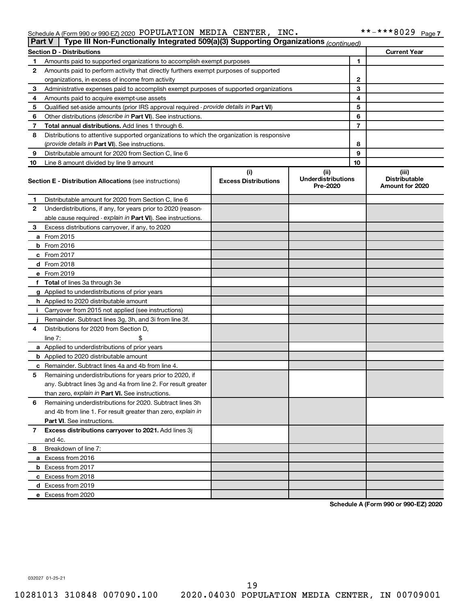#### Schedule A (Form 990 or 990-EZ) 2020 Page POPULATION MEDIA CENTER, INC. \*\*-\*\*\*8029

| <b>Part V</b> | Type III Non-Functionally Integrated 509(a)(3) Supporting Organizations (continued)        |                             |                                       |              |                                                |
|---------------|--------------------------------------------------------------------------------------------|-----------------------------|---------------------------------------|--------------|------------------------------------------------|
|               | <b>Section D - Distributions</b>                                                           |                             |                                       |              | <b>Current Year</b>                            |
| 1             | Amounts paid to supported organizations to accomplish exempt purposes                      |                             |                                       | $\mathbf{1}$ |                                                |
| 2             | Amounts paid to perform activity that directly furthers exempt purposes of supported       |                             |                                       |              |                                                |
|               | organizations, in excess of income from activity                                           | $\mathbf{2}$                |                                       |              |                                                |
| 3             | Administrative expenses paid to accomplish exempt purposes of supported organizations      | 3                           |                                       |              |                                                |
| 4             | Amounts paid to acquire exempt-use assets                                                  |                             |                                       | 4            |                                                |
| 5             | Qualified set-aside amounts (prior IRS approval required - provide details in Part VI)     |                             |                                       | 5            |                                                |
| 6             | Other distributions ( <i>describe in Part VI</i> ). See instructions.                      |                             |                                       | 6            |                                                |
| 7             | Total annual distributions. Add lines 1 through 6.                                         |                             |                                       | 7            |                                                |
| 8             | Distributions to attentive supported organizations to which the organization is responsive |                             |                                       |              |                                                |
|               | (provide details in Part VI). See instructions.                                            |                             |                                       | 8            |                                                |
| 9             | Distributable amount for 2020 from Section C, line 6                                       |                             |                                       | 9            |                                                |
| 10            | Line 8 amount divided by line 9 amount                                                     |                             |                                       | 10           |                                                |
|               |                                                                                            | (i)                         | (ii)                                  |              | (iii)                                          |
|               | <b>Section E - Distribution Allocations (see instructions)</b>                             | <b>Excess Distributions</b> | <b>Underdistributions</b><br>Pre-2020 |              | <b>Distributable</b><br><b>Amount for 2020</b> |
| 1             | Distributable amount for 2020 from Section C, line 6                                       |                             |                                       |              |                                                |
| 2             | Underdistributions, if any, for years prior to 2020 (reason-                               |                             |                                       |              |                                                |
|               | able cause required - explain in Part VI). See instructions.                               |                             |                                       |              |                                                |
| 3             | Excess distributions carryover, if any, to 2020                                            |                             |                                       |              |                                                |
|               | a From 2015                                                                                |                             |                                       |              |                                                |
|               | <b>b</b> From 2016                                                                         |                             |                                       |              |                                                |
|               | c From 2017                                                                                |                             |                                       |              |                                                |
|               | d From 2018                                                                                |                             |                                       |              |                                                |
|               | e From 2019                                                                                |                             |                                       |              |                                                |
|               | f Total of lines 3a through 3e                                                             |                             |                                       |              |                                                |
|               | g Applied to underdistributions of prior years                                             |                             |                                       |              |                                                |
|               | h Applied to 2020 distributable amount                                                     |                             |                                       |              |                                                |
| Ť.            | Carryover from 2015 not applied (see instructions)                                         |                             |                                       |              |                                                |
|               | Remainder. Subtract lines 3g, 3h, and 3i from line 3f.                                     |                             |                                       |              |                                                |
| 4             | Distributions for 2020 from Section D,                                                     |                             |                                       |              |                                                |
|               | line $7:$                                                                                  |                             |                                       |              |                                                |
|               | a Applied to underdistributions of prior years                                             |                             |                                       |              |                                                |
|               | <b>b</b> Applied to 2020 distributable amount                                              |                             |                                       |              |                                                |
|               | c Remainder. Subtract lines 4a and 4b from line 4.                                         |                             |                                       |              |                                                |
| 5             | Remaining underdistributions for years prior to 2020, if                                   |                             |                                       |              |                                                |
|               | any. Subtract lines 3g and 4a from line 2. For result greater                              |                             |                                       |              |                                                |
|               | than zero, explain in Part VI. See instructions.                                           |                             |                                       |              |                                                |
| 6             | Remaining underdistributions for 2020. Subtract lines 3h                                   |                             |                                       |              |                                                |
|               | and 4b from line 1. For result greater than zero, explain in                               |                             |                                       |              |                                                |
|               | <b>Part VI.</b> See instructions.                                                          |                             |                                       |              |                                                |
| 7             | Excess distributions carryover to 2021. Add lines 3j                                       |                             |                                       |              |                                                |
|               | and 4c.                                                                                    |                             |                                       |              |                                                |
| 8             | Breakdown of line 7:                                                                       |                             |                                       |              |                                                |
|               | a Excess from 2016                                                                         |                             |                                       |              |                                                |
|               | <b>b</b> Excess from 2017                                                                  |                             |                                       |              |                                                |
|               | c Excess from 2018                                                                         |                             |                                       |              |                                                |
|               | d Excess from 2019                                                                         |                             |                                       |              |                                                |
|               | e Excess from 2020                                                                         |                             |                                       |              |                                                |

**Schedule A (Form 990 or 990-EZ) 2020**

032027 01-25-21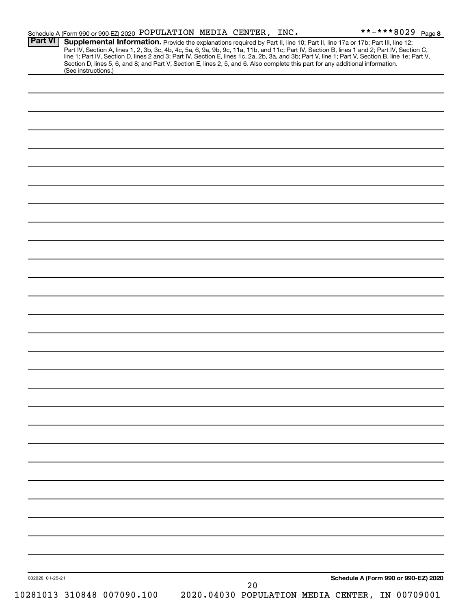| <b>Part VI</b>  | Schedule A (Form 990 or 990-EZ) 2020 POPULATION MEDIA CENTER, INC.                                                              |    | **-***8029 Page 8<br>Supplemental Information. Provide the explanations required by Part II, line 10; Part II, line 17a or 17b; Part III, line 12;                                                                                                                                               |  |
|-----------------|---------------------------------------------------------------------------------------------------------------------------------|----|--------------------------------------------------------------------------------------------------------------------------------------------------------------------------------------------------------------------------------------------------------------------------------------------------|--|
|                 | Section D, lines 5, 6, and 8; and Part V, Section E, lines 2, 5, and 6. Also complete this part for any additional information. |    | Part IV, Section A, lines 1, 2, 3b, 3c, 4b, 4c, 5a, 6, 9a, 9b, 9c, 11a, 11b, and 11c; Part IV, Section B, lines 1 and 2; Part IV, Section C,<br>line 1; Part IV, Section D, lines 2 and 3; Part IV, Section E, lines 1c, 2a, 2b, 3a, and 3b; Part V, line 1; Part V, Section B, line 1e; Part V, |  |
|                 | (See instructions.)                                                                                                             |    |                                                                                                                                                                                                                                                                                                  |  |
|                 |                                                                                                                                 |    |                                                                                                                                                                                                                                                                                                  |  |
|                 |                                                                                                                                 |    |                                                                                                                                                                                                                                                                                                  |  |
|                 |                                                                                                                                 |    |                                                                                                                                                                                                                                                                                                  |  |
|                 |                                                                                                                                 |    |                                                                                                                                                                                                                                                                                                  |  |
|                 |                                                                                                                                 |    |                                                                                                                                                                                                                                                                                                  |  |
|                 |                                                                                                                                 |    |                                                                                                                                                                                                                                                                                                  |  |
|                 |                                                                                                                                 |    |                                                                                                                                                                                                                                                                                                  |  |
|                 |                                                                                                                                 |    |                                                                                                                                                                                                                                                                                                  |  |
|                 |                                                                                                                                 |    |                                                                                                                                                                                                                                                                                                  |  |
|                 |                                                                                                                                 |    |                                                                                                                                                                                                                                                                                                  |  |
|                 |                                                                                                                                 |    |                                                                                                                                                                                                                                                                                                  |  |
|                 |                                                                                                                                 |    |                                                                                                                                                                                                                                                                                                  |  |
|                 |                                                                                                                                 |    |                                                                                                                                                                                                                                                                                                  |  |
|                 |                                                                                                                                 |    |                                                                                                                                                                                                                                                                                                  |  |
|                 |                                                                                                                                 |    |                                                                                                                                                                                                                                                                                                  |  |
|                 |                                                                                                                                 |    |                                                                                                                                                                                                                                                                                                  |  |
|                 |                                                                                                                                 |    |                                                                                                                                                                                                                                                                                                  |  |
|                 |                                                                                                                                 |    |                                                                                                                                                                                                                                                                                                  |  |
|                 |                                                                                                                                 |    |                                                                                                                                                                                                                                                                                                  |  |
|                 |                                                                                                                                 |    |                                                                                                                                                                                                                                                                                                  |  |
|                 |                                                                                                                                 |    |                                                                                                                                                                                                                                                                                                  |  |
|                 |                                                                                                                                 |    |                                                                                                                                                                                                                                                                                                  |  |
|                 |                                                                                                                                 |    |                                                                                                                                                                                                                                                                                                  |  |
|                 |                                                                                                                                 |    |                                                                                                                                                                                                                                                                                                  |  |
|                 |                                                                                                                                 |    |                                                                                                                                                                                                                                                                                                  |  |
|                 |                                                                                                                                 |    |                                                                                                                                                                                                                                                                                                  |  |
|                 |                                                                                                                                 |    |                                                                                                                                                                                                                                                                                                  |  |
|                 |                                                                                                                                 |    |                                                                                                                                                                                                                                                                                                  |  |
|                 |                                                                                                                                 |    |                                                                                                                                                                                                                                                                                                  |  |
|                 |                                                                                                                                 |    |                                                                                                                                                                                                                                                                                                  |  |
|                 |                                                                                                                                 |    |                                                                                                                                                                                                                                                                                                  |  |
|                 |                                                                                                                                 |    |                                                                                                                                                                                                                                                                                                  |  |
|                 |                                                                                                                                 |    |                                                                                                                                                                                                                                                                                                  |  |
|                 |                                                                                                                                 |    |                                                                                                                                                                                                                                                                                                  |  |
|                 |                                                                                                                                 |    |                                                                                                                                                                                                                                                                                                  |  |
|                 |                                                                                                                                 |    |                                                                                                                                                                                                                                                                                                  |  |
|                 |                                                                                                                                 |    |                                                                                                                                                                                                                                                                                                  |  |
|                 |                                                                                                                                 |    |                                                                                                                                                                                                                                                                                                  |  |
|                 |                                                                                                                                 |    |                                                                                                                                                                                                                                                                                                  |  |
| 032028 01-25-21 |                                                                                                                                 |    | Schedule A (Form 990 or 990-EZ) 2020                                                                                                                                                                                                                                                             |  |
|                 |                                                                                                                                 | 20 |                                                                                                                                                                                                                                                                                                  |  |
|                 | 10281013 310848 007090.100                                                                                                      |    | 2020.04030 POPULATION MEDIA CENTER, IN 00709001                                                                                                                                                                                                                                                  |  |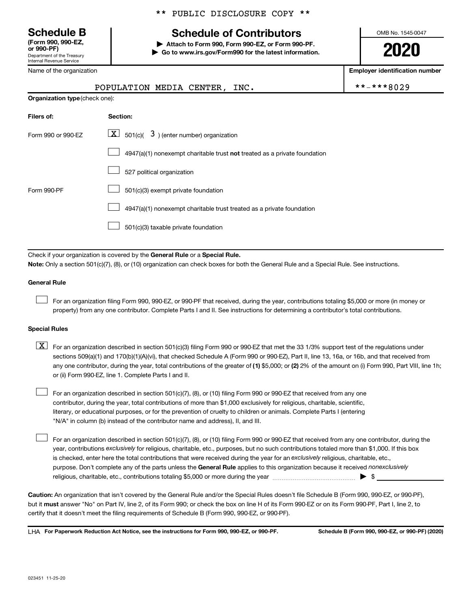Department of the Treasury Internal Revenue Service **(Form 990, 990-EZ,**

Name of the organization

## **Schedule B Schedule of Contributors**

**or 990-PF) | Attach to Form 990, Form 990-EZ, or Form 990-PF. | Go to www.irs.gov/Form990 for the latest information.** OMB No. 1545-0047

**2020**

**Employer identification number**

|                                | POPULATION MEDIA CENTER, INC.                                                                                                                                                                                                                                                    | **-***8029 |
|--------------------------------|----------------------------------------------------------------------------------------------------------------------------------------------------------------------------------------------------------------------------------------------------------------------------------|------------|
| Organization type (check one): |                                                                                                                                                                                                                                                                                  |            |
| Filers of:                     | Section:                                                                                                                                                                                                                                                                         |            |
| Form 990 or 990-EZ             | $\lfloor \underline{X} \rfloor$ 501(c)( 3) (enter number) organization                                                                                                                                                                                                           |            |
|                                | $4947(a)(1)$ nonexempt charitable trust not treated as a private foundation                                                                                                                                                                                                      |            |
|                                | 527 political organization                                                                                                                                                                                                                                                       |            |
| Form 990-PF                    | 501(c)(3) exempt private foundation                                                                                                                                                                                                                                              |            |
|                                | 4947(a)(1) nonexempt charitable trust treated as a private foundation                                                                                                                                                                                                            |            |
|                                | 501(c)(3) taxable private foundation                                                                                                                                                                                                                                             |            |
|                                | Check if your organization is covered by the General Rule or a Special Rule.                                                                                                                                                                                                     |            |
|                                | Note: Only a section 501(c)(7), (8), or (10) organization can check boxes for both the General Rule and a Special Rule. See instructions.                                                                                                                                        |            |
| <b>General Rule</b>            |                                                                                                                                                                                                                                                                                  |            |
|                                | For an organization filing Form 990, 990-EZ, or 990-PF that received, during the year, contributions totaling \$5,000 or more (in money or<br>property) from any one contributor. Complete Parts I and II. See instructions for determining a contributor's total contributions. |            |
| <b>Special Rules</b>           |                                                                                                                                                                                                                                                                                  |            |
| X I                            | For an organization described in section 501(c)(3) filing Form 990 or 990-EZ that met the 33 1/3% support test of the regulations under                                                                                                                                          |            |

any one contributor, during the year, total contributions of the greater of (1) \$5,000; or (2) 2% of the amount on (i) Form 990, Part VIII, line 1h; sections 509(a)(1) and 170(b)(1)(A)(vi), that checked Schedule A (Form 990 or 990-EZ), Part II, line 13, 16a, or 16b, and that received from or (ii) Form 990-EZ, line 1. Complete Parts I and II.  $\lceil$ 

For an organization described in section 501(c)(7), (8), or (10) filing Form 990 or 990-EZ that received from any one contributor, during the year, total contributions of more than \$1,000 exclusively for religious, charitable, scientific, literary, or educational purposes, or for the prevention of cruelty to children or animals. Complete Parts I (entering "N/A" in column (b) instead of the contributor name and address), II, and III.  $\Box$ 

purpose. Don't complete any of the parts unless the General Rule applies to this organization because it received nonexclusively year, contributions exclusively for religious, charitable, etc., purposes, but no such contributions totaled more than \$1,000. If this box is checked, enter here the total contributions that were received during the year for an exclusively religious, charitable, etc., For an organization described in section 501(c)(7), (8), or (10) filing Form 990 or 990-EZ that received from any one contributor, during the religious, charitable, etc., contributions totaling \$5,000 or more during the year  $~\ldots\ldots\ldots\ldots\ldots\ldots\ldots\ldots\blacktriangleright~$ \$

**Caution:**  An organization that isn't covered by the General Rule and/or the Special Rules doesn't file Schedule B (Form 990, 990-EZ, or 990-PF),  **must** but it answer "No" on Part IV, line 2, of its Form 990; or check the box on line H of its Form 990-EZ or on its Form 990-PF, Part I, line 2, to certify that it doesn't meet the filing requirements of Schedule B (Form 990, 990-EZ, or 990-PF).

**For Paperwork Reduction Act Notice, see the instructions for Form 990, 990-EZ, or 990-PF. Schedule B (Form 990, 990-EZ, or 990-PF) (2020)** LHA

 $\Box$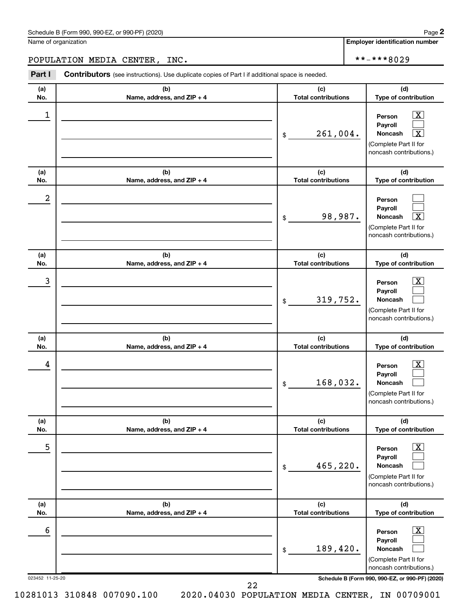Name of organization

**Employer identification number**

**(a) No. (b) Name, address, and ZIP + 4 (c) Total contributions (d) Type of contribution Person Payroll Noncash (a) No. (b) Name, address, and ZIP + 4 (c) Total contributions (d) Type of contribution Person Payroll Noncash (a) No. (b) Name, address, and ZIP + 4 (c) Total contributions (d) Type of contribution Person Payroll Noncash (a) No. (b) Name, address, and ZIP + 4 (c) Total contributions (d) Type of contribution Person Payroll Noncash (a) No. (b) Name, address, and ZIP + 4 (c) Total contributions (d) Type of contribution Person Payroll Noncash (a) No. (b) Name, address, and ZIP + 4 (c) Total contributions (d) Type of contribution Person Payroll Noncash Part I** Contributors (see instructions). Use duplicate copies of Part I if additional space is needed. \$ (Complete Part II for noncash contributions.) \$ (Complete Part II for noncash contributions.) \$ (Complete Part II for noncash contributions.) \$ (Complete Part II for noncash contributions.) \$ (Complete Part II for noncash contributions.) \$ (Complete Part II for noncash contributions.)  $\lfloor x \rfloor$  $\Box$  $\lceil \text{X} \rceil$  $\Box$  $\Box$ †  $\boxed{\textbf{X}}$  $\Box$  $\Box$  $\boxed{\textbf{X}}$  $\Box$  $\Box$  $\boxed{\text{X}}$  $\Box$  $\Box$  $\boxed{\text{X}}$  $\Box$  $\Box$ POPULATION MEDIA CENTER, INC.  $\vert$  \*\*-\*\*\*8029  $\begin{array}{|c|c|c|c|c|}\hline \ \text{1} & \text{Person} & \text{X} \ \hline \end{array}$  $261,004$ . 2 98,987. X  $\begin{array}{|c|c|c|c|c|c|}\hline \text{3} & \text{Person} & \text{X} \ \hline \end{array}$ 319,752.  $\begin{array}{|c|c|c|c|c|}\hline \text{4} & \text{Person} & \text{\textbf{X}}\ \hline \end{array}$ 168,032. 5 X 465,220.  $\overline{6}$  Person  $\overline{X}$ 189,420.

023452 11-25-20 **Schedule B (Form 990, 990-EZ, or 990-PF) (2020)**

22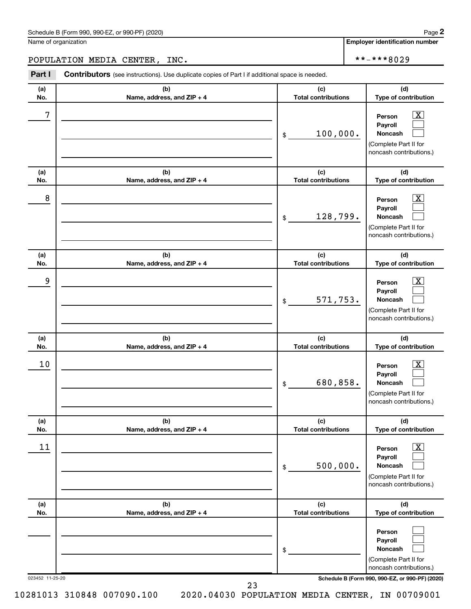$\overline{\phantom{0}}$ 

**In number** 

|            | Name of organization                                                                                  |                                   | <b>Employer identification numbe</b>                                                                    |
|------------|-------------------------------------------------------------------------------------------------------|-----------------------------------|---------------------------------------------------------------------------------------------------------|
|            | POPULATION MEDIA CENTER,<br>INC.                                                                      |                                   | **-***8029                                                                                              |
| Part I     | <b>Contributors</b> (see instructions). Use duplicate copies of Part I if additional space is needed. |                                   |                                                                                                         |
| (a)<br>No. | (b)<br>Name, address, and ZIP + 4                                                                     | (c)<br><b>Total contributions</b> | (d)<br>Type of contribution                                                                             |
| 7          |                                                                                                       | 100,000.<br>\$                    | $\mathbf{X}$<br>Person<br>Payroll<br><b>Noncash</b><br>(Complete Part II for<br>noncash contributions.) |
| (a)<br>No. | (b)<br>Name, address, and ZIP + 4                                                                     | (c)<br><b>Total contributions</b> | (d)<br>Type of contribution                                                                             |
| 8          |                                                                                                       | 128,799.<br>\$                    | X.<br>Person<br>Payroll<br><b>Noncash</b><br>(Complete Part II for<br>noncash contributions.)           |
| (a)<br>No. | (b)<br>Name, address, and ZIP + 4                                                                     | (c)<br><b>Total contributions</b> | (d)<br>Type of contribution                                                                             |
| 9          |                                                                                                       | 571,753.<br>\$                    | X.<br>Person<br>Payroll<br><b>Noncash</b><br>(Complete Part II for<br>noncash contributions.)           |
| (a)<br>No. | (b)<br>Name, address, and ZIP + 4                                                                     | (c)<br><b>Total contributions</b> | (d)<br>Type of contribution                                                                             |
| 10         |                                                                                                       | 680,858.<br>\$                    | X.<br>Person<br>Payroll<br>Noncash<br>(Complete Part II for<br>noncash contributions.)                  |
| (a)<br>No. | (b)<br>Name, address, and ZIP + 4                                                                     | (c)<br><b>Total contributions</b> | (d)<br>Type of contribution                                                                             |
| 11         |                                                                                                       | 500,000.<br>\$                    | $\mathbf{X}$<br>Person<br>Payroll<br><b>Noncash</b><br>(Complete Part II for<br>noncash contributions.) |
| (a)<br>No. | (b)<br>Name, address, and ZIP + 4                                                                     | (c)<br><b>Total contributions</b> | (d)<br>Type of contribution                                                                             |
|            |                                                                                                       | \$                                | Person<br>Payroll<br>Noncash<br>(Complete Part II for<br>noncash contributions.)                        |

023452 11-25-20 **Schedule B (Form 990, 990-EZ, or 990-PF) (2020)**

23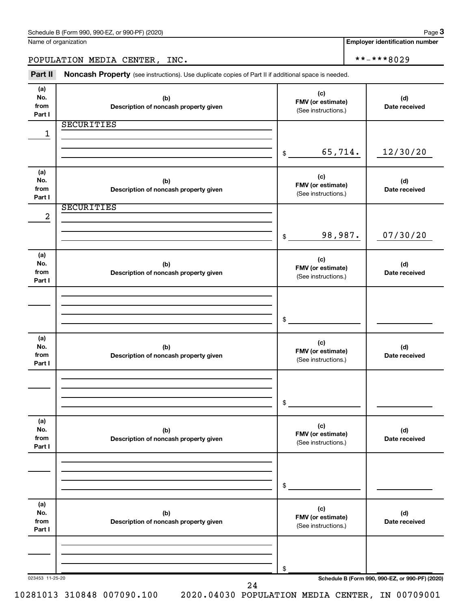| Name of organization |
|----------------------|
|----------------------|

**Employer identification number**

POPULATION MEDIA CENTER, INC. \*\*-\*\*\*8029

Part II Noncash Property (see instructions). Use duplicate copies of Part II if additional space is needed.

| (a)<br>No.<br>from | (b)<br>Description of noncash property given | (c)<br>FMV (or estimate)<br>(See instructions.) | (d)<br>Date received |
|--------------------|----------------------------------------------|-------------------------------------------------|----------------------|
| Part I             | <b>SECURITIES</b>                            |                                                 |                      |
| 1                  |                                              |                                                 |                      |
|                    |                                              |                                                 |                      |
|                    |                                              | 65,714.<br>\$                                   | 12/30/20             |
|                    |                                              |                                                 |                      |
| (a)                |                                              |                                                 |                      |
| No.                | (b)                                          | (c)<br>FMV (or estimate)                        | (d)                  |
| from               | Description of noncash property given        | (See instructions.)                             | Date received        |
| Part I             |                                              |                                                 |                      |
|                    | <b>SECURITIES</b>                            |                                                 |                      |
| $\overline{a}$     |                                              |                                                 |                      |
|                    |                                              | 98,987.                                         | 07/30/20             |
|                    |                                              | \$                                              |                      |
| (a)                |                                              |                                                 |                      |
| No.                | (b)                                          | (c)                                             | (d)                  |
| from               | Description of noncash property given        | FMV (or estimate)<br>(See instructions.)        | Date received        |
| Part I             |                                              |                                                 |                      |
|                    |                                              |                                                 |                      |
|                    |                                              |                                                 |                      |
|                    |                                              |                                                 |                      |
|                    |                                              | \$                                              |                      |
|                    |                                              |                                                 |                      |
| (a)<br>No.         | (b)                                          | (c)                                             | (d)                  |
| from               | Description of noncash property given        | FMV (or estimate)                               | Date received        |
| Part I             |                                              | (See instructions.)                             |                      |
|                    |                                              |                                                 |                      |
|                    |                                              |                                                 |                      |
|                    |                                              |                                                 |                      |
|                    |                                              | \$                                              |                      |
| (a)                |                                              |                                                 |                      |
| No.                | (b)                                          | (c)                                             | (d)                  |
| from               | Description of noncash property given        | FMV (or estimate)                               | Date received        |
| Part I             |                                              | (See instructions.)                             |                      |
|                    |                                              |                                                 |                      |
|                    |                                              |                                                 |                      |
|                    |                                              |                                                 |                      |
|                    |                                              | \$                                              |                      |
| (a)                |                                              |                                                 |                      |
| No.                | (b)                                          | (c)                                             | (d)                  |
| from               | Description of noncash property given        | FMV (or estimate)                               | Date received        |
| Part I             |                                              | (See instructions.)                             |                      |
|                    |                                              |                                                 |                      |
|                    |                                              |                                                 |                      |
|                    |                                              |                                                 |                      |
|                    |                                              | \$                                              |                      |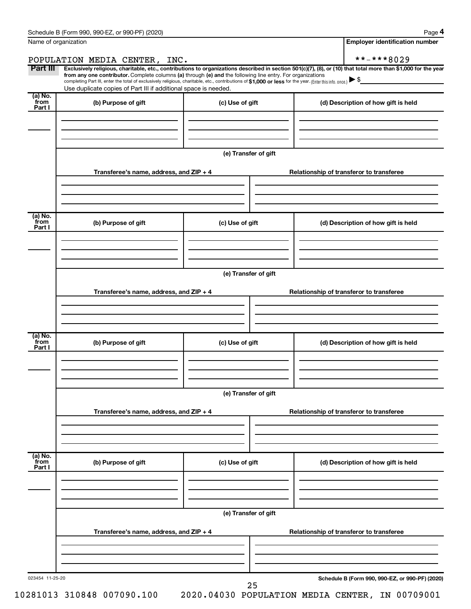|--|--|

| Name of organization                   |                                                                                                                                                                                                                                                                                                                                                                                                                                                                                                             |                      |  | <b>Employer identification number</b>           |  |
|----------------------------------------|-------------------------------------------------------------------------------------------------------------------------------------------------------------------------------------------------------------------------------------------------------------------------------------------------------------------------------------------------------------------------------------------------------------------------------------------------------------------------------------------------------------|----------------------|--|-------------------------------------------------|--|
|                                        | POPULATION MEDIA CENTER, INC.                                                                                                                                                                                                                                                                                                                                                                                                                                                                               |                      |  | **-***8029                                      |  |
| Part III                               | Exclusively religious, charitable, etc., contributions to organizations described in section 501(c)(7), (8), or (10) that total more than \$1,000 for the year<br>from any one contributor. Complete columns (a) through (e) and the following line entry. For organizations<br>completing Part III, enter the total of exclusively religious, charitable, etc., contributions of \$1,000 or less for the year. (Enter this info. once.)<br>Use duplicate copies of Part III if additional space is needed. |                      |  |                                                 |  |
| $(a)$ No.<br>from<br>Part I            | (b) Purpose of gift                                                                                                                                                                                                                                                                                                                                                                                                                                                                                         | (c) Use of gift      |  | (d) Description of how gift is held             |  |
|                                        |                                                                                                                                                                                                                                                                                                                                                                                                                                                                                                             |                      |  |                                                 |  |
|                                        |                                                                                                                                                                                                                                                                                                                                                                                                                                                                                                             | (e) Transfer of gift |  |                                                 |  |
|                                        | Transferee's name, address, and ZIP + 4                                                                                                                                                                                                                                                                                                                                                                                                                                                                     |                      |  | Relationship of transferor to transferee        |  |
| $\overline{a}$ ) No.<br>from<br>Part I | (b) Purpose of gift                                                                                                                                                                                                                                                                                                                                                                                                                                                                                         | (c) Use of gift      |  | (d) Description of how gift is held             |  |
|                                        |                                                                                                                                                                                                                                                                                                                                                                                                                                                                                                             |                      |  |                                                 |  |
|                                        | (e) Transfer of gift                                                                                                                                                                                                                                                                                                                                                                                                                                                                                        |                      |  |                                                 |  |
|                                        | Transferee's name, address, and ZIP + 4                                                                                                                                                                                                                                                                                                                                                                                                                                                                     |                      |  | Relationship of transferor to transferee        |  |
| $\overline{a}$ ) No.<br>from<br>Part I | (b) Purpose of gift                                                                                                                                                                                                                                                                                                                                                                                                                                                                                         | (c) Use of gift      |  | (d) Description of how gift is held             |  |
|                                        |                                                                                                                                                                                                                                                                                                                                                                                                                                                                                                             | (e) Transfer of gift |  |                                                 |  |
|                                        | Transferee's name, address, and ZIP + 4                                                                                                                                                                                                                                                                                                                                                                                                                                                                     |                      |  | Relationship of transferor to transferee        |  |
| (a) No.<br>from<br>Part I              | (b) Purpose of gift                                                                                                                                                                                                                                                                                                                                                                                                                                                                                         | (c) Use of gift      |  | (d) Description of how gift is held             |  |
|                                        |                                                                                                                                                                                                                                                                                                                                                                                                                                                                                                             | (e) Transfer of gift |  |                                                 |  |
|                                        | Transferee's name, address, and ZIP + 4                                                                                                                                                                                                                                                                                                                                                                                                                                                                     |                      |  | Relationship of transferor to transferee        |  |
|                                        |                                                                                                                                                                                                                                                                                                                                                                                                                                                                                                             |                      |  |                                                 |  |
| 023454 11-25-20                        |                                                                                                                                                                                                                                                                                                                                                                                                                                                                                                             | 25                   |  | Schedule B (Form 990, 990-EZ, or 990-PF) (2020) |  |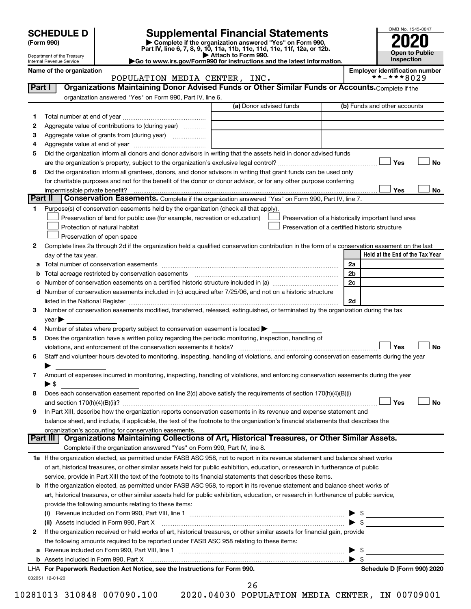| (Form 990) |
|------------|
|            |

# **SCHEDULE D Supplemental Financial Statements**<br> **Form 990 2020**<br> **Part IV** line 6.7.8.9.10, 11a, 11b, 11d, 11d, 11d, 11d, 11d, 12a, 0r, 12b

**(Form 990) | Complete if the organization answered "Yes" on Form 990, Part IV, line 6, 7, 8, 9, 10, 11a, 11b, 11c, 11d, 11e, 11f, 12a, or 12b.**

**| Attach to Form 990. |Go to www.irs.gov/Form990 for instructions and the latest information.**



Department of the Treasury Internal Revenue Service

Name of the organization<br>**POPULATION MEDIA CENTER, INC.** Employer identification number POPULATION MEDIA CENTER, INC.

| (a) Donor advised funds<br>(b) Funds and other accounts<br>1<br>Aggregate value of contributions to (during year)<br>2<br>Aggregate value of grants from (during year)<br>З<br>4<br>Did the organization inform all donors and donor advisors in writing that the assets held in donor advised funds<br>5<br>Yes<br><b>No</b><br>Did the organization inform all grantees, donors, and donor advisors in writing that grant funds can be used only<br>6<br>for charitable purposes and not for the benefit of the donor or donor advisor, or for any other purpose conferring<br>Yes<br>No<br>impermissible private benefit?<br>Part II<br>Conservation Easements. Complete if the organization answered "Yes" on Form 990, Part IV, line 7.<br>Purpose(s) of conservation easements held by the organization (check all that apply).<br>1<br>Preservation of land for public use (for example, recreation or education)<br>Preservation of a historically important land area<br>Protection of natural habitat<br>Preservation of a certified historic structure<br>Preservation of open space<br>Complete lines 2a through 2d if the organization held a qualified conservation contribution in the form of a conservation easement on the last<br>2<br>Held at the End of the Tax Year<br>day of the tax year.<br>2a<br>2 <sub>b</sub><br>2c<br>d Number of conservation easements included in (c) acquired after 7/25/06, and not on a historic structure<br>2d<br>listed in the National Register [111] Marshall Register [11] Marshall Register [11] Marshall Register [11] Marshall Register [11] Marshall Register [11] Marshall Register [11] Marshall Register [11] Marshall Register [11]<br>Number of conservation easements modified, transferred, released, extinguished, or terminated by the organization during the tax<br>3<br>year<br>Number of states where property subject to conservation easement is located ><br>4<br>Does the organization have a written policy regarding the periodic monitoring, inspection, handling of<br>5<br>Yes<br><b>No</b><br>violations, and enforcement of the conservation easements it holds?<br>Staff and volunteer hours devoted to monitoring, inspecting, handling of violations, and enforcing conservation easements during the year<br>6<br>Amount of expenses incurred in monitoring, inspecting, handling of violations, and enforcing conservation easements during the year<br>7<br>$\blacktriangleright$ s<br>Does each conservation easement reported on line 2(d) above satisfy the requirements of section 170(h)(4)(B)(i)<br>8<br>Yes<br><b>No</b><br>In Part XIII, describe how the organization reports conservation easements in its revenue and expense statement and<br>9<br>balance sheet, and include, if applicable, the text of the footnote to the organization's financial statements that describes the<br>organization's accounting for conservation easements.<br>Organizations Maintaining Collections of Art, Historical Treasures, or Other Similar Assets.<br>Part III<br>Complete if the organization answered "Yes" on Form 990, Part IV, line 8.<br>1a If the organization elected, as permitted under FASB ASC 958, not to report in its revenue statement and balance sheet works<br>of art, historical treasures, or other similar assets held for public exhibition, education, or research in furtherance of public<br>service, provide in Part XIII the text of the footnote to its financial statements that describes these items.<br><b>b</b> If the organization elected, as permitted under FASB ASC 958, to report in its revenue statement and balance sheet works of<br>art, historical treasures, or other similar assets held for public exhibition, education, or research in furtherance of public service,<br>provide the following amounts relating to these items:<br>$\triangleright$ \$<br>(ii) Assets included in Form 990, Part X<br>If the organization received or held works of art, historical treasures, or other similar assets for financial gain, provide<br>2<br>the following amounts required to be reported under FASB ASC 958 relating to these items:<br>\$<br>▶<br>$\blacktriangleright$ s<br>LHA For Paperwork Reduction Act Notice, see the Instructions for Form 990.<br>Schedule D (Form 990) 2020<br>032051 12-01-20<br>26 | Part I | Organizations Maintaining Donor Advised Funds or Other Similar Funds or Accounts. Complete if the |  |
|----------------------------------------------------------------------------------------------------------------------------------------------------------------------------------------------------------------------------------------------------------------------------------------------------------------------------------------------------------------------------------------------------------------------------------------------------------------------------------------------------------------------------------------------------------------------------------------------------------------------------------------------------------------------------------------------------------------------------------------------------------------------------------------------------------------------------------------------------------------------------------------------------------------------------------------------------------------------------------------------------------------------------------------------------------------------------------------------------------------------------------------------------------------------------------------------------------------------------------------------------------------------------------------------------------------------------------------------------------------------------------------------------------------------------------------------------------------------------------------------------------------------------------------------------------------------------------------------------------------------------------------------------------------------------------------------------------------------------------------------------------------------------------------------------------------------------------------------------------------------------------------------------------------------------------------------------------------------------------------------------------------------------------------------------------------------------------------------------------------------------------------------------------------------------------------------------------------------------------------------------------------------------------------------------------------------------------------------------------------------------------------------------------------------------------------------------------------------------------------------------------------------------------------------------------------------------------------------------------------------------------------------------------------------------------------------------------------------------------------------------------------------------------------------------------------------------------------------------------------------------------------------------------------------------------------------------------------------------------------------------------------------------------------------------------------------------------------------------------------------------------------------------------------------------------------------------------------------------------------------------------------------------------------------------------------------------------------------------------------------------------------------------------------------------------------------------------------------------------------------------------------------------------------------------------------------------------------------------------------------------------------------------------------------------------------------------------------------------------------------------------------------------------------------------------------------------------------------------------------------------------------------------------------------------------------------------------------------------------------------------------------------------------------------------------------------------------------------------------------------------------------------------------------------------------------------------------------------------------------------------------------------------------------------------------------------------------------------------------------------|--------|---------------------------------------------------------------------------------------------------|--|
|                                                                                                                                                                                                                                                                                                                                                                                                                                                                                                                                                                                                                                                                                                                                                                                                                                                                                                                                                                                                                                                                                                                                                                                                                                                                                                                                                                                                                                                                                                                                                                                                                                                                                                                                                                                                                                                                                                                                                                                                                                                                                                                                                                                                                                                                                                                                                                                                                                                                                                                                                                                                                                                                                                                                                                                                                                                                                                                                                                                                                                                                                                                                                                                                                                                                                                                                                                                                                                                                                                                                                                                                                                                                                                                                                                                                                                                                                                                                                                                                                                                                                                                                                                                                                                                                                                                                                                      |        | organization answered "Yes" on Form 990, Part IV, line 6.                                         |  |
|                                                                                                                                                                                                                                                                                                                                                                                                                                                                                                                                                                                                                                                                                                                                                                                                                                                                                                                                                                                                                                                                                                                                                                                                                                                                                                                                                                                                                                                                                                                                                                                                                                                                                                                                                                                                                                                                                                                                                                                                                                                                                                                                                                                                                                                                                                                                                                                                                                                                                                                                                                                                                                                                                                                                                                                                                                                                                                                                                                                                                                                                                                                                                                                                                                                                                                                                                                                                                                                                                                                                                                                                                                                                                                                                                                                                                                                                                                                                                                                                                                                                                                                                                                                                                                                                                                                                                                      |        |                                                                                                   |  |
|                                                                                                                                                                                                                                                                                                                                                                                                                                                                                                                                                                                                                                                                                                                                                                                                                                                                                                                                                                                                                                                                                                                                                                                                                                                                                                                                                                                                                                                                                                                                                                                                                                                                                                                                                                                                                                                                                                                                                                                                                                                                                                                                                                                                                                                                                                                                                                                                                                                                                                                                                                                                                                                                                                                                                                                                                                                                                                                                                                                                                                                                                                                                                                                                                                                                                                                                                                                                                                                                                                                                                                                                                                                                                                                                                                                                                                                                                                                                                                                                                                                                                                                                                                                                                                                                                                                                                                      |        |                                                                                                   |  |
|                                                                                                                                                                                                                                                                                                                                                                                                                                                                                                                                                                                                                                                                                                                                                                                                                                                                                                                                                                                                                                                                                                                                                                                                                                                                                                                                                                                                                                                                                                                                                                                                                                                                                                                                                                                                                                                                                                                                                                                                                                                                                                                                                                                                                                                                                                                                                                                                                                                                                                                                                                                                                                                                                                                                                                                                                                                                                                                                                                                                                                                                                                                                                                                                                                                                                                                                                                                                                                                                                                                                                                                                                                                                                                                                                                                                                                                                                                                                                                                                                                                                                                                                                                                                                                                                                                                                                                      |        |                                                                                                   |  |
|                                                                                                                                                                                                                                                                                                                                                                                                                                                                                                                                                                                                                                                                                                                                                                                                                                                                                                                                                                                                                                                                                                                                                                                                                                                                                                                                                                                                                                                                                                                                                                                                                                                                                                                                                                                                                                                                                                                                                                                                                                                                                                                                                                                                                                                                                                                                                                                                                                                                                                                                                                                                                                                                                                                                                                                                                                                                                                                                                                                                                                                                                                                                                                                                                                                                                                                                                                                                                                                                                                                                                                                                                                                                                                                                                                                                                                                                                                                                                                                                                                                                                                                                                                                                                                                                                                                                                                      |        |                                                                                                   |  |
|                                                                                                                                                                                                                                                                                                                                                                                                                                                                                                                                                                                                                                                                                                                                                                                                                                                                                                                                                                                                                                                                                                                                                                                                                                                                                                                                                                                                                                                                                                                                                                                                                                                                                                                                                                                                                                                                                                                                                                                                                                                                                                                                                                                                                                                                                                                                                                                                                                                                                                                                                                                                                                                                                                                                                                                                                                                                                                                                                                                                                                                                                                                                                                                                                                                                                                                                                                                                                                                                                                                                                                                                                                                                                                                                                                                                                                                                                                                                                                                                                                                                                                                                                                                                                                                                                                                                                                      |        |                                                                                                   |  |
|                                                                                                                                                                                                                                                                                                                                                                                                                                                                                                                                                                                                                                                                                                                                                                                                                                                                                                                                                                                                                                                                                                                                                                                                                                                                                                                                                                                                                                                                                                                                                                                                                                                                                                                                                                                                                                                                                                                                                                                                                                                                                                                                                                                                                                                                                                                                                                                                                                                                                                                                                                                                                                                                                                                                                                                                                                                                                                                                                                                                                                                                                                                                                                                                                                                                                                                                                                                                                                                                                                                                                                                                                                                                                                                                                                                                                                                                                                                                                                                                                                                                                                                                                                                                                                                                                                                                                                      |        |                                                                                                   |  |
|                                                                                                                                                                                                                                                                                                                                                                                                                                                                                                                                                                                                                                                                                                                                                                                                                                                                                                                                                                                                                                                                                                                                                                                                                                                                                                                                                                                                                                                                                                                                                                                                                                                                                                                                                                                                                                                                                                                                                                                                                                                                                                                                                                                                                                                                                                                                                                                                                                                                                                                                                                                                                                                                                                                                                                                                                                                                                                                                                                                                                                                                                                                                                                                                                                                                                                                                                                                                                                                                                                                                                                                                                                                                                                                                                                                                                                                                                                                                                                                                                                                                                                                                                                                                                                                                                                                                                                      |        |                                                                                                   |  |
|                                                                                                                                                                                                                                                                                                                                                                                                                                                                                                                                                                                                                                                                                                                                                                                                                                                                                                                                                                                                                                                                                                                                                                                                                                                                                                                                                                                                                                                                                                                                                                                                                                                                                                                                                                                                                                                                                                                                                                                                                                                                                                                                                                                                                                                                                                                                                                                                                                                                                                                                                                                                                                                                                                                                                                                                                                                                                                                                                                                                                                                                                                                                                                                                                                                                                                                                                                                                                                                                                                                                                                                                                                                                                                                                                                                                                                                                                                                                                                                                                                                                                                                                                                                                                                                                                                                                                                      |        |                                                                                                   |  |
|                                                                                                                                                                                                                                                                                                                                                                                                                                                                                                                                                                                                                                                                                                                                                                                                                                                                                                                                                                                                                                                                                                                                                                                                                                                                                                                                                                                                                                                                                                                                                                                                                                                                                                                                                                                                                                                                                                                                                                                                                                                                                                                                                                                                                                                                                                                                                                                                                                                                                                                                                                                                                                                                                                                                                                                                                                                                                                                                                                                                                                                                                                                                                                                                                                                                                                                                                                                                                                                                                                                                                                                                                                                                                                                                                                                                                                                                                                                                                                                                                                                                                                                                                                                                                                                                                                                                                                      |        |                                                                                                   |  |
|                                                                                                                                                                                                                                                                                                                                                                                                                                                                                                                                                                                                                                                                                                                                                                                                                                                                                                                                                                                                                                                                                                                                                                                                                                                                                                                                                                                                                                                                                                                                                                                                                                                                                                                                                                                                                                                                                                                                                                                                                                                                                                                                                                                                                                                                                                                                                                                                                                                                                                                                                                                                                                                                                                                                                                                                                                                                                                                                                                                                                                                                                                                                                                                                                                                                                                                                                                                                                                                                                                                                                                                                                                                                                                                                                                                                                                                                                                                                                                                                                                                                                                                                                                                                                                                                                                                                                                      |        |                                                                                                   |  |
|                                                                                                                                                                                                                                                                                                                                                                                                                                                                                                                                                                                                                                                                                                                                                                                                                                                                                                                                                                                                                                                                                                                                                                                                                                                                                                                                                                                                                                                                                                                                                                                                                                                                                                                                                                                                                                                                                                                                                                                                                                                                                                                                                                                                                                                                                                                                                                                                                                                                                                                                                                                                                                                                                                                                                                                                                                                                                                                                                                                                                                                                                                                                                                                                                                                                                                                                                                                                                                                                                                                                                                                                                                                                                                                                                                                                                                                                                                                                                                                                                                                                                                                                                                                                                                                                                                                                                                      |        |                                                                                                   |  |
|                                                                                                                                                                                                                                                                                                                                                                                                                                                                                                                                                                                                                                                                                                                                                                                                                                                                                                                                                                                                                                                                                                                                                                                                                                                                                                                                                                                                                                                                                                                                                                                                                                                                                                                                                                                                                                                                                                                                                                                                                                                                                                                                                                                                                                                                                                                                                                                                                                                                                                                                                                                                                                                                                                                                                                                                                                                                                                                                                                                                                                                                                                                                                                                                                                                                                                                                                                                                                                                                                                                                                                                                                                                                                                                                                                                                                                                                                                                                                                                                                                                                                                                                                                                                                                                                                                                                                                      |        |                                                                                                   |  |
|                                                                                                                                                                                                                                                                                                                                                                                                                                                                                                                                                                                                                                                                                                                                                                                                                                                                                                                                                                                                                                                                                                                                                                                                                                                                                                                                                                                                                                                                                                                                                                                                                                                                                                                                                                                                                                                                                                                                                                                                                                                                                                                                                                                                                                                                                                                                                                                                                                                                                                                                                                                                                                                                                                                                                                                                                                                                                                                                                                                                                                                                                                                                                                                                                                                                                                                                                                                                                                                                                                                                                                                                                                                                                                                                                                                                                                                                                                                                                                                                                                                                                                                                                                                                                                                                                                                                                                      |        |                                                                                                   |  |
|                                                                                                                                                                                                                                                                                                                                                                                                                                                                                                                                                                                                                                                                                                                                                                                                                                                                                                                                                                                                                                                                                                                                                                                                                                                                                                                                                                                                                                                                                                                                                                                                                                                                                                                                                                                                                                                                                                                                                                                                                                                                                                                                                                                                                                                                                                                                                                                                                                                                                                                                                                                                                                                                                                                                                                                                                                                                                                                                                                                                                                                                                                                                                                                                                                                                                                                                                                                                                                                                                                                                                                                                                                                                                                                                                                                                                                                                                                                                                                                                                                                                                                                                                                                                                                                                                                                                                                      |        |                                                                                                   |  |
|                                                                                                                                                                                                                                                                                                                                                                                                                                                                                                                                                                                                                                                                                                                                                                                                                                                                                                                                                                                                                                                                                                                                                                                                                                                                                                                                                                                                                                                                                                                                                                                                                                                                                                                                                                                                                                                                                                                                                                                                                                                                                                                                                                                                                                                                                                                                                                                                                                                                                                                                                                                                                                                                                                                                                                                                                                                                                                                                                                                                                                                                                                                                                                                                                                                                                                                                                                                                                                                                                                                                                                                                                                                                                                                                                                                                                                                                                                                                                                                                                                                                                                                                                                                                                                                                                                                                                                      |        |                                                                                                   |  |
|                                                                                                                                                                                                                                                                                                                                                                                                                                                                                                                                                                                                                                                                                                                                                                                                                                                                                                                                                                                                                                                                                                                                                                                                                                                                                                                                                                                                                                                                                                                                                                                                                                                                                                                                                                                                                                                                                                                                                                                                                                                                                                                                                                                                                                                                                                                                                                                                                                                                                                                                                                                                                                                                                                                                                                                                                                                                                                                                                                                                                                                                                                                                                                                                                                                                                                                                                                                                                                                                                                                                                                                                                                                                                                                                                                                                                                                                                                                                                                                                                                                                                                                                                                                                                                                                                                                                                                      |        |                                                                                                   |  |
|                                                                                                                                                                                                                                                                                                                                                                                                                                                                                                                                                                                                                                                                                                                                                                                                                                                                                                                                                                                                                                                                                                                                                                                                                                                                                                                                                                                                                                                                                                                                                                                                                                                                                                                                                                                                                                                                                                                                                                                                                                                                                                                                                                                                                                                                                                                                                                                                                                                                                                                                                                                                                                                                                                                                                                                                                                                                                                                                                                                                                                                                                                                                                                                                                                                                                                                                                                                                                                                                                                                                                                                                                                                                                                                                                                                                                                                                                                                                                                                                                                                                                                                                                                                                                                                                                                                                                                      |        |                                                                                                   |  |
|                                                                                                                                                                                                                                                                                                                                                                                                                                                                                                                                                                                                                                                                                                                                                                                                                                                                                                                                                                                                                                                                                                                                                                                                                                                                                                                                                                                                                                                                                                                                                                                                                                                                                                                                                                                                                                                                                                                                                                                                                                                                                                                                                                                                                                                                                                                                                                                                                                                                                                                                                                                                                                                                                                                                                                                                                                                                                                                                                                                                                                                                                                                                                                                                                                                                                                                                                                                                                                                                                                                                                                                                                                                                                                                                                                                                                                                                                                                                                                                                                                                                                                                                                                                                                                                                                                                                                                      |        |                                                                                                   |  |
|                                                                                                                                                                                                                                                                                                                                                                                                                                                                                                                                                                                                                                                                                                                                                                                                                                                                                                                                                                                                                                                                                                                                                                                                                                                                                                                                                                                                                                                                                                                                                                                                                                                                                                                                                                                                                                                                                                                                                                                                                                                                                                                                                                                                                                                                                                                                                                                                                                                                                                                                                                                                                                                                                                                                                                                                                                                                                                                                                                                                                                                                                                                                                                                                                                                                                                                                                                                                                                                                                                                                                                                                                                                                                                                                                                                                                                                                                                                                                                                                                                                                                                                                                                                                                                                                                                                                                                      |        |                                                                                                   |  |
|                                                                                                                                                                                                                                                                                                                                                                                                                                                                                                                                                                                                                                                                                                                                                                                                                                                                                                                                                                                                                                                                                                                                                                                                                                                                                                                                                                                                                                                                                                                                                                                                                                                                                                                                                                                                                                                                                                                                                                                                                                                                                                                                                                                                                                                                                                                                                                                                                                                                                                                                                                                                                                                                                                                                                                                                                                                                                                                                                                                                                                                                                                                                                                                                                                                                                                                                                                                                                                                                                                                                                                                                                                                                                                                                                                                                                                                                                                                                                                                                                                                                                                                                                                                                                                                                                                                                                                      |        |                                                                                                   |  |
|                                                                                                                                                                                                                                                                                                                                                                                                                                                                                                                                                                                                                                                                                                                                                                                                                                                                                                                                                                                                                                                                                                                                                                                                                                                                                                                                                                                                                                                                                                                                                                                                                                                                                                                                                                                                                                                                                                                                                                                                                                                                                                                                                                                                                                                                                                                                                                                                                                                                                                                                                                                                                                                                                                                                                                                                                                                                                                                                                                                                                                                                                                                                                                                                                                                                                                                                                                                                                                                                                                                                                                                                                                                                                                                                                                                                                                                                                                                                                                                                                                                                                                                                                                                                                                                                                                                                                                      |        |                                                                                                   |  |
|                                                                                                                                                                                                                                                                                                                                                                                                                                                                                                                                                                                                                                                                                                                                                                                                                                                                                                                                                                                                                                                                                                                                                                                                                                                                                                                                                                                                                                                                                                                                                                                                                                                                                                                                                                                                                                                                                                                                                                                                                                                                                                                                                                                                                                                                                                                                                                                                                                                                                                                                                                                                                                                                                                                                                                                                                                                                                                                                                                                                                                                                                                                                                                                                                                                                                                                                                                                                                                                                                                                                                                                                                                                                                                                                                                                                                                                                                                                                                                                                                                                                                                                                                                                                                                                                                                                                                                      |        |                                                                                                   |  |
|                                                                                                                                                                                                                                                                                                                                                                                                                                                                                                                                                                                                                                                                                                                                                                                                                                                                                                                                                                                                                                                                                                                                                                                                                                                                                                                                                                                                                                                                                                                                                                                                                                                                                                                                                                                                                                                                                                                                                                                                                                                                                                                                                                                                                                                                                                                                                                                                                                                                                                                                                                                                                                                                                                                                                                                                                                                                                                                                                                                                                                                                                                                                                                                                                                                                                                                                                                                                                                                                                                                                                                                                                                                                                                                                                                                                                                                                                                                                                                                                                                                                                                                                                                                                                                                                                                                                                                      |        |                                                                                                   |  |
|                                                                                                                                                                                                                                                                                                                                                                                                                                                                                                                                                                                                                                                                                                                                                                                                                                                                                                                                                                                                                                                                                                                                                                                                                                                                                                                                                                                                                                                                                                                                                                                                                                                                                                                                                                                                                                                                                                                                                                                                                                                                                                                                                                                                                                                                                                                                                                                                                                                                                                                                                                                                                                                                                                                                                                                                                                                                                                                                                                                                                                                                                                                                                                                                                                                                                                                                                                                                                                                                                                                                                                                                                                                                                                                                                                                                                                                                                                                                                                                                                                                                                                                                                                                                                                                                                                                                                                      |        |                                                                                                   |  |
|                                                                                                                                                                                                                                                                                                                                                                                                                                                                                                                                                                                                                                                                                                                                                                                                                                                                                                                                                                                                                                                                                                                                                                                                                                                                                                                                                                                                                                                                                                                                                                                                                                                                                                                                                                                                                                                                                                                                                                                                                                                                                                                                                                                                                                                                                                                                                                                                                                                                                                                                                                                                                                                                                                                                                                                                                                                                                                                                                                                                                                                                                                                                                                                                                                                                                                                                                                                                                                                                                                                                                                                                                                                                                                                                                                                                                                                                                                                                                                                                                                                                                                                                                                                                                                                                                                                                                                      |        |                                                                                                   |  |
|                                                                                                                                                                                                                                                                                                                                                                                                                                                                                                                                                                                                                                                                                                                                                                                                                                                                                                                                                                                                                                                                                                                                                                                                                                                                                                                                                                                                                                                                                                                                                                                                                                                                                                                                                                                                                                                                                                                                                                                                                                                                                                                                                                                                                                                                                                                                                                                                                                                                                                                                                                                                                                                                                                                                                                                                                                                                                                                                                                                                                                                                                                                                                                                                                                                                                                                                                                                                                                                                                                                                                                                                                                                                                                                                                                                                                                                                                                                                                                                                                                                                                                                                                                                                                                                                                                                                                                      |        |                                                                                                   |  |
|                                                                                                                                                                                                                                                                                                                                                                                                                                                                                                                                                                                                                                                                                                                                                                                                                                                                                                                                                                                                                                                                                                                                                                                                                                                                                                                                                                                                                                                                                                                                                                                                                                                                                                                                                                                                                                                                                                                                                                                                                                                                                                                                                                                                                                                                                                                                                                                                                                                                                                                                                                                                                                                                                                                                                                                                                                                                                                                                                                                                                                                                                                                                                                                                                                                                                                                                                                                                                                                                                                                                                                                                                                                                                                                                                                                                                                                                                                                                                                                                                                                                                                                                                                                                                                                                                                                                                                      |        |                                                                                                   |  |
|                                                                                                                                                                                                                                                                                                                                                                                                                                                                                                                                                                                                                                                                                                                                                                                                                                                                                                                                                                                                                                                                                                                                                                                                                                                                                                                                                                                                                                                                                                                                                                                                                                                                                                                                                                                                                                                                                                                                                                                                                                                                                                                                                                                                                                                                                                                                                                                                                                                                                                                                                                                                                                                                                                                                                                                                                                                                                                                                                                                                                                                                                                                                                                                                                                                                                                                                                                                                                                                                                                                                                                                                                                                                                                                                                                                                                                                                                                                                                                                                                                                                                                                                                                                                                                                                                                                                                                      |        |                                                                                                   |  |
|                                                                                                                                                                                                                                                                                                                                                                                                                                                                                                                                                                                                                                                                                                                                                                                                                                                                                                                                                                                                                                                                                                                                                                                                                                                                                                                                                                                                                                                                                                                                                                                                                                                                                                                                                                                                                                                                                                                                                                                                                                                                                                                                                                                                                                                                                                                                                                                                                                                                                                                                                                                                                                                                                                                                                                                                                                                                                                                                                                                                                                                                                                                                                                                                                                                                                                                                                                                                                                                                                                                                                                                                                                                                                                                                                                                                                                                                                                                                                                                                                                                                                                                                                                                                                                                                                                                                                                      |        |                                                                                                   |  |
|                                                                                                                                                                                                                                                                                                                                                                                                                                                                                                                                                                                                                                                                                                                                                                                                                                                                                                                                                                                                                                                                                                                                                                                                                                                                                                                                                                                                                                                                                                                                                                                                                                                                                                                                                                                                                                                                                                                                                                                                                                                                                                                                                                                                                                                                                                                                                                                                                                                                                                                                                                                                                                                                                                                                                                                                                                                                                                                                                                                                                                                                                                                                                                                                                                                                                                                                                                                                                                                                                                                                                                                                                                                                                                                                                                                                                                                                                                                                                                                                                                                                                                                                                                                                                                                                                                                                                                      |        |                                                                                                   |  |
|                                                                                                                                                                                                                                                                                                                                                                                                                                                                                                                                                                                                                                                                                                                                                                                                                                                                                                                                                                                                                                                                                                                                                                                                                                                                                                                                                                                                                                                                                                                                                                                                                                                                                                                                                                                                                                                                                                                                                                                                                                                                                                                                                                                                                                                                                                                                                                                                                                                                                                                                                                                                                                                                                                                                                                                                                                                                                                                                                                                                                                                                                                                                                                                                                                                                                                                                                                                                                                                                                                                                                                                                                                                                                                                                                                                                                                                                                                                                                                                                                                                                                                                                                                                                                                                                                                                                                                      |        |                                                                                                   |  |
|                                                                                                                                                                                                                                                                                                                                                                                                                                                                                                                                                                                                                                                                                                                                                                                                                                                                                                                                                                                                                                                                                                                                                                                                                                                                                                                                                                                                                                                                                                                                                                                                                                                                                                                                                                                                                                                                                                                                                                                                                                                                                                                                                                                                                                                                                                                                                                                                                                                                                                                                                                                                                                                                                                                                                                                                                                                                                                                                                                                                                                                                                                                                                                                                                                                                                                                                                                                                                                                                                                                                                                                                                                                                                                                                                                                                                                                                                                                                                                                                                                                                                                                                                                                                                                                                                                                                                                      |        |                                                                                                   |  |
|                                                                                                                                                                                                                                                                                                                                                                                                                                                                                                                                                                                                                                                                                                                                                                                                                                                                                                                                                                                                                                                                                                                                                                                                                                                                                                                                                                                                                                                                                                                                                                                                                                                                                                                                                                                                                                                                                                                                                                                                                                                                                                                                                                                                                                                                                                                                                                                                                                                                                                                                                                                                                                                                                                                                                                                                                                                                                                                                                                                                                                                                                                                                                                                                                                                                                                                                                                                                                                                                                                                                                                                                                                                                                                                                                                                                                                                                                                                                                                                                                                                                                                                                                                                                                                                                                                                                                                      |        |                                                                                                   |  |
|                                                                                                                                                                                                                                                                                                                                                                                                                                                                                                                                                                                                                                                                                                                                                                                                                                                                                                                                                                                                                                                                                                                                                                                                                                                                                                                                                                                                                                                                                                                                                                                                                                                                                                                                                                                                                                                                                                                                                                                                                                                                                                                                                                                                                                                                                                                                                                                                                                                                                                                                                                                                                                                                                                                                                                                                                                                                                                                                                                                                                                                                                                                                                                                                                                                                                                                                                                                                                                                                                                                                                                                                                                                                                                                                                                                                                                                                                                                                                                                                                                                                                                                                                                                                                                                                                                                                                                      |        |                                                                                                   |  |
|                                                                                                                                                                                                                                                                                                                                                                                                                                                                                                                                                                                                                                                                                                                                                                                                                                                                                                                                                                                                                                                                                                                                                                                                                                                                                                                                                                                                                                                                                                                                                                                                                                                                                                                                                                                                                                                                                                                                                                                                                                                                                                                                                                                                                                                                                                                                                                                                                                                                                                                                                                                                                                                                                                                                                                                                                                                                                                                                                                                                                                                                                                                                                                                                                                                                                                                                                                                                                                                                                                                                                                                                                                                                                                                                                                                                                                                                                                                                                                                                                                                                                                                                                                                                                                                                                                                                                                      |        |                                                                                                   |  |
|                                                                                                                                                                                                                                                                                                                                                                                                                                                                                                                                                                                                                                                                                                                                                                                                                                                                                                                                                                                                                                                                                                                                                                                                                                                                                                                                                                                                                                                                                                                                                                                                                                                                                                                                                                                                                                                                                                                                                                                                                                                                                                                                                                                                                                                                                                                                                                                                                                                                                                                                                                                                                                                                                                                                                                                                                                                                                                                                                                                                                                                                                                                                                                                                                                                                                                                                                                                                                                                                                                                                                                                                                                                                                                                                                                                                                                                                                                                                                                                                                                                                                                                                                                                                                                                                                                                                                                      |        |                                                                                                   |  |
|                                                                                                                                                                                                                                                                                                                                                                                                                                                                                                                                                                                                                                                                                                                                                                                                                                                                                                                                                                                                                                                                                                                                                                                                                                                                                                                                                                                                                                                                                                                                                                                                                                                                                                                                                                                                                                                                                                                                                                                                                                                                                                                                                                                                                                                                                                                                                                                                                                                                                                                                                                                                                                                                                                                                                                                                                                                                                                                                                                                                                                                                                                                                                                                                                                                                                                                                                                                                                                                                                                                                                                                                                                                                                                                                                                                                                                                                                                                                                                                                                                                                                                                                                                                                                                                                                                                                                                      |        |                                                                                                   |  |
|                                                                                                                                                                                                                                                                                                                                                                                                                                                                                                                                                                                                                                                                                                                                                                                                                                                                                                                                                                                                                                                                                                                                                                                                                                                                                                                                                                                                                                                                                                                                                                                                                                                                                                                                                                                                                                                                                                                                                                                                                                                                                                                                                                                                                                                                                                                                                                                                                                                                                                                                                                                                                                                                                                                                                                                                                                                                                                                                                                                                                                                                                                                                                                                                                                                                                                                                                                                                                                                                                                                                                                                                                                                                                                                                                                                                                                                                                                                                                                                                                                                                                                                                                                                                                                                                                                                                                                      |        |                                                                                                   |  |
|                                                                                                                                                                                                                                                                                                                                                                                                                                                                                                                                                                                                                                                                                                                                                                                                                                                                                                                                                                                                                                                                                                                                                                                                                                                                                                                                                                                                                                                                                                                                                                                                                                                                                                                                                                                                                                                                                                                                                                                                                                                                                                                                                                                                                                                                                                                                                                                                                                                                                                                                                                                                                                                                                                                                                                                                                                                                                                                                                                                                                                                                                                                                                                                                                                                                                                                                                                                                                                                                                                                                                                                                                                                                                                                                                                                                                                                                                                                                                                                                                                                                                                                                                                                                                                                                                                                                                                      |        |                                                                                                   |  |
|                                                                                                                                                                                                                                                                                                                                                                                                                                                                                                                                                                                                                                                                                                                                                                                                                                                                                                                                                                                                                                                                                                                                                                                                                                                                                                                                                                                                                                                                                                                                                                                                                                                                                                                                                                                                                                                                                                                                                                                                                                                                                                                                                                                                                                                                                                                                                                                                                                                                                                                                                                                                                                                                                                                                                                                                                                                                                                                                                                                                                                                                                                                                                                                                                                                                                                                                                                                                                                                                                                                                                                                                                                                                                                                                                                                                                                                                                                                                                                                                                                                                                                                                                                                                                                                                                                                                                                      |        |                                                                                                   |  |
|                                                                                                                                                                                                                                                                                                                                                                                                                                                                                                                                                                                                                                                                                                                                                                                                                                                                                                                                                                                                                                                                                                                                                                                                                                                                                                                                                                                                                                                                                                                                                                                                                                                                                                                                                                                                                                                                                                                                                                                                                                                                                                                                                                                                                                                                                                                                                                                                                                                                                                                                                                                                                                                                                                                                                                                                                                                                                                                                                                                                                                                                                                                                                                                                                                                                                                                                                                                                                                                                                                                                                                                                                                                                                                                                                                                                                                                                                                                                                                                                                                                                                                                                                                                                                                                                                                                                                                      |        |                                                                                                   |  |
|                                                                                                                                                                                                                                                                                                                                                                                                                                                                                                                                                                                                                                                                                                                                                                                                                                                                                                                                                                                                                                                                                                                                                                                                                                                                                                                                                                                                                                                                                                                                                                                                                                                                                                                                                                                                                                                                                                                                                                                                                                                                                                                                                                                                                                                                                                                                                                                                                                                                                                                                                                                                                                                                                                                                                                                                                                                                                                                                                                                                                                                                                                                                                                                                                                                                                                                                                                                                                                                                                                                                                                                                                                                                                                                                                                                                                                                                                                                                                                                                                                                                                                                                                                                                                                                                                                                                                                      |        |                                                                                                   |  |
|                                                                                                                                                                                                                                                                                                                                                                                                                                                                                                                                                                                                                                                                                                                                                                                                                                                                                                                                                                                                                                                                                                                                                                                                                                                                                                                                                                                                                                                                                                                                                                                                                                                                                                                                                                                                                                                                                                                                                                                                                                                                                                                                                                                                                                                                                                                                                                                                                                                                                                                                                                                                                                                                                                                                                                                                                                                                                                                                                                                                                                                                                                                                                                                                                                                                                                                                                                                                                                                                                                                                                                                                                                                                                                                                                                                                                                                                                                                                                                                                                                                                                                                                                                                                                                                                                                                                                                      |        |                                                                                                   |  |
|                                                                                                                                                                                                                                                                                                                                                                                                                                                                                                                                                                                                                                                                                                                                                                                                                                                                                                                                                                                                                                                                                                                                                                                                                                                                                                                                                                                                                                                                                                                                                                                                                                                                                                                                                                                                                                                                                                                                                                                                                                                                                                                                                                                                                                                                                                                                                                                                                                                                                                                                                                                                                                                                                                                                                                                                                                                                                                                                                                                                                                                                                                                                                                                                                                                                                                                                                                                                                                                                                                                                                                                                                                                                                                                                                                                                                                                                                                                                                                                                                                                                                                                                                                                                                                                                                                                                                                      |        |                                                                                                   |  |
|                                                                                                                                                                                                                                                                                                                                                                                                                                                                                                                                                                                                                                                                                                                                                                                                                                                                                                                                                                                                                                                                                                                                                                                                                                                                                                                                                                                                                                                                                                                                                                                                                                                                                                                                                                                                                                                                                                                                                                                                                                                                                                                                                                                                                                                                                                                                                                                                                                                                                                                                                                                                                                                                                                                                                                                                                                                                                                                                                                                                                                                                                                                                                                                                                                                                                                                                                                                                                                                                                                                                                                                                                                                                                                                                                                                                                                                                                                                                                                                                                                                                                                                                                                                                                                                                                                                                                                      |        |                                                                                                   |  |
|                                                                                                                                                                                                                                                                                                                                                                                                                                                                                                                                                                                                                                                                                                                                                                                                                                                                                                                                                                                                                                                                                                                                                                                                                                                                                                                                                                                                                                                                                                                                                                                                                                                                                                                                                                                                                                                                                                                                                                                                                                                                                                                                                                                                                                                                                                                                                                                                                                                                                                                                                                                                                                                                                                                                                                                                                                                                                                                                                                                                                                                                                                                                                                                                                                                                                                                                                                                                                                                                                                                                                                                                                                                                                                                                                                                                                                                                                                                                                                                                                                                                                                                                                                                                                                                                                                                                                                      |        |                                                                                                   |  |
|                                                                                                                                                                                                                                                                                                                                                                                                                                                                                                                                                                                                                                                                                                                                                                                                                                                                                                                                                                                                                                                                                                                                                                                                                                                                                                                                                                                                                                                                                                                                                                                                                                                                                                                                                                                                                                                                                                                                                                                                                                                                                                                                                                                                                                                                                                                                                                                                                                                                                                                                                                                                                                                                                                                                                                                                                                                                                                                                                                                                                                                                                                                                                                                                                                                                                                                                                                                                                                                                                                                                                                                                                                                                                                                                                                                                                                                                                                                                                                                                                                                                                                                                                                                                                                                                                                                                                                      |        |                                                                                                   |  |
|                                                                                                                                                                                                                                                                                                                                                                                                                                                                                                                                                                                                                                                                                                                                                                                                                                                                                                                                                                                                                                                                                                                                                                                                                                                                                                                                                                                                                                                                                                                                                                                                                                                                                                                                                                                                                                                                                                                                                                                                                                                                                                                                                                                                                                                                                                                                                                                                                                                                                                                                                                                                                                                                                                                                                                                                                                                                                                                                                                                                                                                                                                                                                                                                                                                                                                                                                                                                                                                                                                                                                                                                                                                                                                                                                                                                                                                                                                                                                                                                                                                                                                                                                                                                                                                                                                                                                                      |        |                                                                                                   |  |
|                                                                                                                                                                                                                                                                                                                                                                                                                                                                                                                                                                                                                                                                                                                                                                                                                                                                                                                                                                                                                                                                                                                                                                                                                                                                                                                                                                                                                                                                                                                                                                                                                                                                                                                                                                                                                                                                                                                                                                                                                                                                                                                                                                                                                                                                                                                                                                                                                                                                                                                                                                                                                                                                                                                                                                                                                                                                                                                                                                                                                                                                                                                                                                                                                                                                                                                                                                                                                                                                                                                                                                                                                                                                                                                                                                                                                                                                                                                                                                                                                                                                                                                                                                                                                                                                                                                                                                      |        |                                                                                                   |  |
|                                                                                                                                                                                                                                                                                                                                                                                                                                                                                                                                                                                                                                                                                                                                                                                                                                                                                                                                                                                                                                                                                                                                                                                                                                                                                                                                                                                                                                                                                                                                                                                                                                                                                                                                                                                                                                                                                                                                                                                                                                                                                                                                                                                                                                                                                                                                                                                                                                                                                                                                                                                                                                                                                                                                                                                                                                                                                                                                                                                                                                                                                                                                                                                                                                                                                                                                                                                                                                                                                                                                                                                                                                                                                                                                                                                                                                                                                                                                                                                                                                                                                                                                                                                                                                                                                                                                                                      |        |                                                                                                   |  |
|                                                                                                                                                                                                                                                                                                                                                                                                                                                                                                                                                                                                                                                                                                                                                                                                                                                                                                                                                                                                                                                                                                                                                                                                                                                                                                                                                                                                                                                                                                                                                                                                                                                                                                                                                                                                                                                                                                                                                                                                                                                                                                                                                                                                                                                                                                                                                                                                                                                                                                                                                                                                                                                                                                                                                                                                                                                                                                                                                                                                                                                                                                                                                                                                                                                                                                                                                                                                                                                                                                                                                                                                                                                                                                                                                                                                                                                                                                                                                                                                                                                                                                                                                                                                                                                                                                                                                                      |        |                                                                                                   |  |
|                                                                                                                                                                                                                                                                                                                                                                                                                                                                                                                                                                                                                                                                                                                                                                                                                                                                                                                                                                                                                                                                                                                                                                                                                                                                                                                                                                                                                                                                                                                                                                                                                                                                                                                                                                                                                                                                                                                                                                                                                                                                                                                                                                                                                                                                                                                                                                                                                                                                                                                                                                                                                                                                                                                                                                                                                                                                                                                                                                                                                                                                                                                                                                                                                                                                                                                                                                                                                                                                                                                                                                                                                                                                                                                                                                                                                                                                                                                                                                                                                                                                                                                                                                                                                                                                                                                                                                      |        |                                                                                                   |  |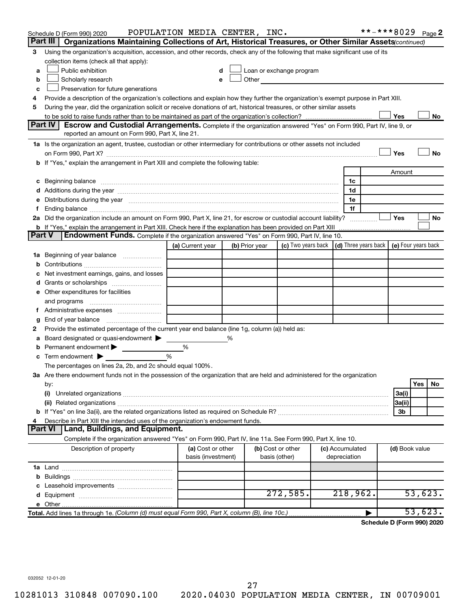|        | Schedule D (Form 990) 2020                                                                                                                                                                                                     | POPULATION MEDIA CENTER, INC.           |                |                                    |                    |  |                                 |  |                | **-***8029 Page 2                            |  |
|--------|--------------------------------------------------------------------------------------------------------------------------------------------------------------------------------------------------------------------------------|-----------------------------------------|----------------|------------------------------------|--------------------|--|---------------------------------|--|----------------|----------------------------------------------|--|
|        | Part III<br>Organizations Maintaining Collections of Art, Historical Treasures, or Other Similar Assets (continued)                                                                                                            |                                         |                |                                    |                    |  |                                 |  |                |                                              |  |
| З      | Using the organization's acquisition, accession, and other records, check any of the following that make significant use of its                                                                                                |                                         |                |                                    |                    |  |                                 |  |                |                                              |  |
|        | collection items (check all that apply):                                                                                                                                                                                       |                                         |                |                                    |                    |  |                                 |  |                |                                              |  |
| a      | Loan or exchange program<br>Public exhibition                                                                                                                                                                                  |                                         |                |                                    |                    |  |                                 |  |                |                                              |  |
| b      | Scholarly research<br>Other<br>e                                                                                                                                                                                               |                                         |                |                                    |                    |  |                                 |  |                |                                              |  |
| с      | Preservation for future generations                                                                                                                                                                                            |                                         |                |                                    |                    |  |                                 |  |                |                                              |  |
| 4      | Provide a description of the organization's collections and explain how they further the organization's exempt purpose in Part XIII.                                                                                           |                                         |                |                                    |                    |  |                                 |  |                |                                              |  |
| 5      | During the year, did the organization solicit or receive donations of art, historical treasures, or other similar assets                                                                                                       |                                         |                |                                    |                    |  |                                 |  |                |                                              |  |
|        | Part IV<br>Escrow and Custodial Arrangements. Complete if the organization answered "Yes" on Form 990, Part IV, line 9, or                                                                                                     |                                         |                |                                    |                    |  |                                 |  | Yes            | No                                           |  |
|        | reported an amount on Form 990, Part X, line 21.                                                                                                                                                                               |                                         |                |                                    |                    |  |                                 |  |                |                                              |  |
|        | 1a Is the organization an agent, trustee, custodian or other intermediary for contributions or other assets not included                                                                                                       |                                         |                |                                    |                    |  |                                 |  |                |                                              |  |
|        |                                                                                                                                                                                                                                |                                         |                |                                    |                    |  |                                 |  | Yes            | No                                           |  |
|        | b If "Yes," explain the arrangement in Part XIII and complete the following table:                                                                                                                                             |                                         |                |                                    |                    |  |                                 |  |                |                                              |  |
|        |                                                                                                                                                                                                                                |                                         |                |                                    |                    |  |                                 |  | Amount         |                                              |  |
| с      |                                                                                                                                                                                                                                |                                         |                |                                    |                    |  | 1c                              |  |                |                                              |  |
|        |                                                                                                                                                                                                                                |                                         |                |                                    |                    |  | 1d                              |  |                |                                              |  |
|        | e Distributions during the year manufactured and continuum and contained and the year manufactured and contained and the year manufactured and contained and contained and contained and contained and contained and contained |                                         |                |                                    |                    |  | 1e                              |  |                |                                              |  |
| f      |                                                                                                                                                                                                                                |                                         |                |                                    |                    |  | 1f                              |  |                |                                              |  |
|        | 2a Did the organization include an amount on Form 990, Part X, line 21, for escrow or custodial account liability?                                                                                                             |                                         |                |                                    |                    |  |                                 |  | Yes            | No                                           |  |
|        | <b>b</b> If "Yes," explain the arrangement in Part XIII. Check here if the explanation has been provided on Part XIII                                                                                                          |                                         |                |                                    |                    |  |                                 |  |                |                                              |  |
|        | <b>Part V</b><br>Endowment Funds. Complete if the organization answered "Yes" on Form 990, Part IV, line 10.                                                                                                                   |                                         |                |                                    |                    |  |                                 |  |                |                                              |  |
|        |                                                                                                                                                                                                                                | (a) Current year                        | (b) Prior year |                                    | (c) Two years back |  |                                 |  |                | (d) Three years back $ $ (e) Four years back |  |
|        | 1a Beginning of year balance                                                                                                                                                                                                   |                                         |                |                                    |                    |  |                                 |  |                |                                              |  |
| b      |                                                                                                                                                                                                                                |                                         |                |                                    |                    |  |                                 |  |                |                                              |  |
| с      | Net investment earnings, gains, and losses                                                                                                                                                                                     |                                         |                |                                    |                    |  |                                 |  |                |                                              |  |
| d      |                                                                                                                                                                                                                                |                                         |                |                                    |                    |  |                                 |  |                |                                              |  |
|        | e Other expenditures for facilities                                                                                                                                                                                            |                                         |                |                                    |                    |  |                                 |  |                |                                              |  |
|        | and programs                                                                                                                                                                                                                   |                                         |                |                                    |                    |  |                                 |  |                |                                              |  |
|        | f Administrative expenses                                                                                                                                                                                                      |                                         |                |                                    |                    |  |                                 |  |                |                                              |  |
| g<br>2 | Provide the estimated percentage of the current year end balance (line 1g, column (a)) held as:                                                                                                                                |                                         |                |                                    |                    |  |                                 |  |                |                                              |  |
| a      | Board designated or quasi-endowment                                                                                                                                                                                            |                                         | %              |                                    |                    |  |                                 |  |                |                                              |  |
| b      | Permanent endowment                                                                                                                                                                                                            | %                                       |                |                                    |                    |  |                                 |  |                |                                              |  |
| с      | Term endowment $\blacktriangleright$                                                                                                                                                                                           | $\frac{0}{0}$                           |                |                                    |                    |  |                                 |  |                |                                              |  |
|        | The percentages on lines 2a, 2b, and 2c should equal 100%.                                                                                                                                                                     |                                         |                |                                    |                    |  |                                 |  |                |                                              |  |
|        | 3a Are there endowment funds not in the possession of the organization that are held and administered for the organization                                                                                                     |                                         |                |                                    |                    |  |                                 |  |                |                                              |  |
|        | by:                                                                                                                                                                                                                            |                                         |                |                                    |                    |  |                                 |  |                | Yes<br>No                                    |  |
|        | (i)                                                                                                                                                                                                                            |                                         |                |                                    |                    |  |                                 |  | 3a(i)          |                                              |  |
|        |                                                                                                                                                                                                                                |                                         |                |                                    |                    |  |                                 |  | 3a(ii)         |                                              |  |
|        |                                                                                                                                                                                                                                |                                         |                |                                    |                    |  |                                 |  | 3b             |                                              |  |
| 4      | Describe in Part XIII the intended uses of the organization's endowment funds.                                                                                                                                                 |                                         |                |                                    |                    |  |                                 |  |                |                                              |  |
|        | Part VI   Land, Buildings, and Equipment.                                                                                                                                                                                      |                                         |                |                                    |                    |  |                                 |  |                |                                              |  |
|        | Complete if the organization answered "Yes" on Form 990, Part IV, line 11a. See Form 990, Part X, line 10.                                                                                                                     |                                         |                |                                    |                    |  |                                 |  |                |                                              |  |
|        | Description of property                                                                                                                                                                                                        | (a) Cost or other<br>basis (investment) |                | (b) Cost or other<br>basis (other) |                    |  | (c) Accumulated<br>depreciation |  | (d) Book value |                                              |  |
|        |                                                                                                                                                                                                                                |                                         |                |                                    |                    |  |                                 |  |                |                                              |  |
| b      |                                                                                                                                                                                                                                |                                         |                |                                    |                    |  |                                 |  |                |                                              |  |
|        |                                                                                                                                                                                                                                |                                         |                |                                    |                    |  |                                 |  |                |                                              |  |
|        |                                                                                                                                                                                                                                |                                         |                |                                    | 272,585.           |  | 218,962.                        |  |                | 53,623.                                      |  |
|        |                                                                                                                                                                                                                                |                                         |                |                                    |                    |  |                                 |  |                |                                              |  |
|        | Total. Add lines 1a through 1e. (Column (d) must equal Form 990, Part X, column (B), line 10c.)                                                                                                                                |                                         |                |                                    |                    |  |                                 |  |                | 53,623.                                      |  |

**Schedule D (Form 990) 2020**

032052 12-01-20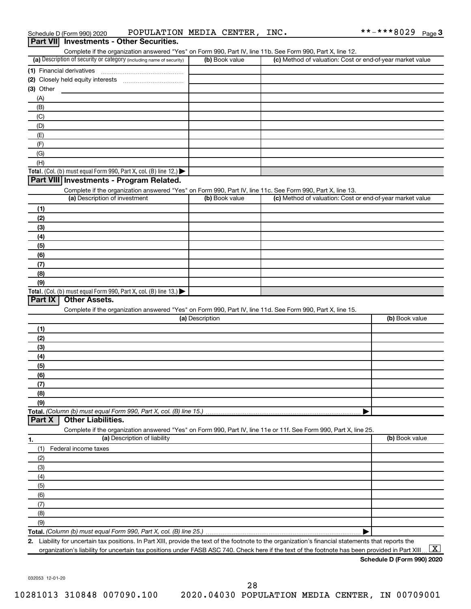| Schedule D (Form 990) 2020                      | POPULATION MEDIA CENTER, |  | INC. | **-***8029 <sub>Page</sub> 3 |  |
|-------------------------------------------------|--------------------------|--|------|------------------------------|--|
| <b>Part VII</b> Investments - Other Securities. |                          |  |      |                              |  |

| Complete if the organization answered "Yes" on Form 990, Part IV, line 11b. See Form 990, Part X, line 12.        |                 |                                                           |                |
|-------------------------------------------------------------------------------------------------------------------|-----------------|-----------------------------------------------------------|----------------|
| (a) Description of security or category (including name of security)                                              | (b) Book value  | (c) Method of valuation: Cost or end-of-year market value |                |
|                                                                                                                   |                 |                                                           |                |
|                                                                                                                   |                 |                                                           |                |
| (3) Other                                                                                                         |                 |                                                           |                |
| (A)                                                                                                               |                 |                                                           |                |
| (B)                                                                                                               |                 |                                                           |                |
| (C)                                                                                                               |                 |                                                           |                |
| (D)                                                                                                               |                 |                                                           |                |
| (E)                                                                                                               |                 |                                                           |                |
| (F)                                                                                                               |                 |                                                           |                |
| (G)                                                                                                               |                 |                                                           |                |
| (H)                                                                                                               |                 |                                                           |                |
| Total. (Col. (b) must equal Form 990, Part X, col. (B) line 12.) $\blacktriangleright$                            |                 |                                                           |                |
| Part VIII Investments - Program Related.                                                                          |                 |                                                           |                |
| Complete if the organization answered "Yes" on Form 990, Part IV, line 11c. See Form 990, Part X, line 13.        |                 |                                                           |                |
| (a) Description of investment                                                                                     | (b) Book value  | (c) Method of valuation: Cost or end-of-year market value |                |
|                                                                                                                   |                 |                                                           |                |
| (1)                                                                                                               |                 |                                                           |                |
| (2)                                                                                                               |                 |                                                           |                |
| (3)                                                                                                               |                 |                                                           |                |
| (4)                                                                                                               |                 |                                                           |                |
| (5)                                                                                                               |                 |                                                           |                |
| (6)                                                                                                               |                 |                                                           |                |
| (7)                                                                                                               |                 |                                                           |                |
| (8)                                                                                                               |                 |                                                           |                |
| (9)                                                                                                               |                 |                                                           |                |
| Total. (Col. (b) must equal Form 990, Part X, col. (B) line 13.) $\blacktriangleright$                            |                 |                                                           |                |
| <b>Other Assets.</b><br>Part IX                                                                                   |                 |                                                           |                |
| Complete if the organization answered "Yes" on Form 990, Part IV, line 11d. See Form 990, Part X, line 15.        |                 |                                                           |                |
|                                                                                                                   | (a) Description |                                                           | (b) Book value |
| (1)                                                                                                               |                 |                                                           |                |
|                                                                                                                   |                 |                                                           |                |
|                                                                                                                   |                 |                                                           |                |
| (2)                                                                                                               |                 |                                                           |                |
| (3)                                                                                                               |                 |                                                           |                |
| (4)                                                                                                               |                 |                                                           |                |
| (5)                                                                                                               |                 |                                                           |                |
| (6)                                                                                                               |                 |                                                           |                |
| (7)                                                                                                               |                 |                                                           |                |
| (8)                                                                                                               |                 |                                                           |                |
| (9)                                                                                                               |                 |                                                           |                |
|                                                                                                                   |                 |                                                           |                |
| <b>Other Liabilities.</b><br>Part X                                                                               |                 |                                                           |                |
| Complete if the organization answered "Yes" on Form 990, Part IV, line 11e or 11f. See Form 990, Part X, line 25. |                 |                                                           |                |
| (a) Description of liability                                                                                      |                 |                                                           | (b) Book value |
| (1)<br>Federal income taxes                                                                                       |                 |                                                           |                |
| (2)                                                                                                               |                 |                                                           |                |
| (3)                                                                                                               |                 |                                                           |                |
| (4)                                                                                                               |                 |                                                           |                |
| (5)                                                                                                               |                 |                                                           |                |
| (6)                                                                                                               |                 |                                                           |                |
| (7)                                                                                                               |                 |                                                           |                |
|                                                                                                                   |                 |                                                           |                |
| (8)                                                                                                               |                 |                                                           |                |
| Total. (Column (b) must equal Form 990, Part X, col. (B) line 15.)<br>1.<br>(9)                                   |                 |                                                           |                |

**2.** liity for uncertain tax positions. In Part XIII, provide the text of the footnote to the organization's financial statements that reports the organization's liability for uncertain tax positions under FASB ASC 740. Check here if the text of the footnote has been provided in Part XIII ...  $\fbox{\bf X}$ 

**Schedule D (Form 990) 2020**

032053 12-01-20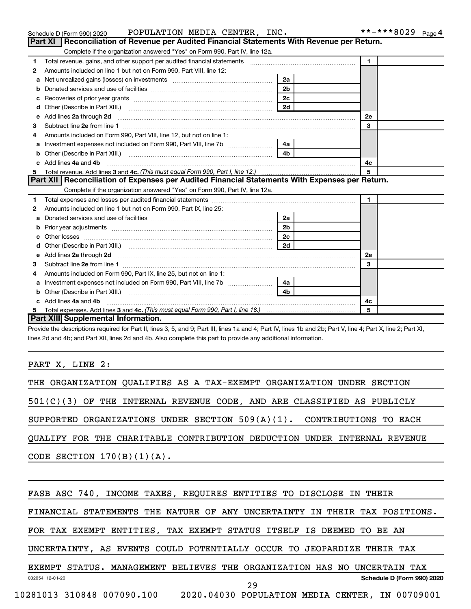|   | Schedule D (Form 990) 2020 POPULATION MEDIA CENTER, INC.                                                            |                | **-***8029<br>Page 4 |
|---|---------------------------------------------------------------------------------------------------------------------|----------------|----------------------|
|   | Reconciliation of Revenue per Audited Financial Statements With Revenue per Return.<br>Part XI                      |                |                      |
|   | Complete if the organization answered "Yes" on Form 990, Part IV, line 12a.                                         |                |                      |
| 1 | Total revenue, gains, and other support per audited financial statements [[[[[[[[[[[[[[[[[[[[[[]]]]]]]]]]]]]]       |                | $\mathbf{1}$         |
| 2 | Amounts included on line 1 but not on Form 990, Part VIII, line 12:                                                 |                |                      |
| a | Net unrealized gains (losses) on investments [11] matter contracts and the unrealized gains (losses) on investments | 2a             |                      |
|   |                                                                                                                     | 2 <sub>b</sub> |                      |
| с |                                                                                                                     | 2c             |                      |
| d |                                                                                                                     | 2d             |                      |
| е |                                                                                                                     |                | 2е                   |
| З |                                                                                                                     |                | 3                    |
|   | Amounts included on Form 990, Part VIII, line 12, but not on line 1:                                                |                |                      |
|   |                                                                                                                     | 4a             |                      |
| b |                                                                                                                     | 4 <sub>b</sub> |                      |
|   | Add lines 4a and 4b                                                                                                 |                | 4c                   |
| 5 |                                                                                                                     |                | 5                    |
|   | Part XII   Reconciliation of Expenses per Audited Financial Statements With Expenses per Return.                    |                |                      |
|   | Complete if the organization answered "Yes" on Form 990, Part IV, line 12a.                                         |                |                      |
| 1 |                                                                                                                     |                | $\mathbf{1}$         |
| 2 | Amounts included on line 1 but not on Form 990, Part IX, line 25:                                                   |                |                      |
| a |                                                                                                                     | 2a             |                      |
| b |                                                                                                                     | 2 <sub>b</sub> |                      |
|   |                                                                                                                     | 2c             |                      |
|   |                                                                                                                     |                |                      |
| e |                                                                                                                     |                | 2e                   |
| З |                                                                                                                     |                | 3                    |
| 4 | Amounts included on Form 990, Part IX, line 25, but not on line 1:                                                  |                |                      |
| a | Investment expenses not included on Form 990, Part VIII, line 7b [11, 111, 120]                                     | 4a l           |                      |
|   |                                                                                                                     | 4 <sub>h</sub> |                      |
|   | c Add lines 4a and 4b                                                                                               |                | 4с                   |
| 5 |                                                                                                                     |                | 5                    |
|   | Part XIII Supplemental Information.                                                                                 |                |                      |

Provide the descriptions required for Part II, lines 3, 5, and 9; Part III, lines 1a and 4; Part IV, lines 1b and 2b; Part V, line 4; Part X, line 2; Part XI, lines 2d and 4b; and Part XII, lines 2d and 4b. Also complete this part to provide any additional information.

#### PART X, LINE 2:

| THE ORGANIZATION QUALIFIES AS A TAX-EXEMPT ORGANIZATION UNDER SECTION      |
|----------------------------------------------------------------------------|
| $501(C)(3)$ OF THE INTERNAL REVENUE CODE, AND ARE CLASSIFIED AS PUBLICLY   |
| SUPPORTED ORGANIZATIONS UNDER SECTION $509(A)(1)$ . CONTRIBUTIONS TO EACH  |
| QUALIFY FOR THE CHARITABLE CONTRIBUTION DEDUCTION UNDER INTERNAL REVENUE   |
| CODE SECTION $170(B)(1)(A)$ .                                              |
|                                                                            |
| FASB ASC 740, INCOME TAXES, REQUIRES ENTITIES TO DISCLOSE IN THEIR         |
| FINANCIAL STATEMENTS THE NATURE OF ANY UNCERTAINTY IN THEIR TAX POSITIONS. |
| FOR TAX EXEMPT ENTITIES, TAX EXEMPT STATUS ITSELF IS DEEMED TO BE AN       |
| UNCERTAINTY, AS EVENTS COULD POTENTIALLY OCCUR TO JEOPARDIZE THEIR TAX     |
| EXEMPT STATUS. MANAGEMENT BELIEVES THE ORGANIZATION HAS NO UNCERTAIN TAX   |
| Schedule D (Form 990) 2020<br>032054 12-01-20<br>29                        |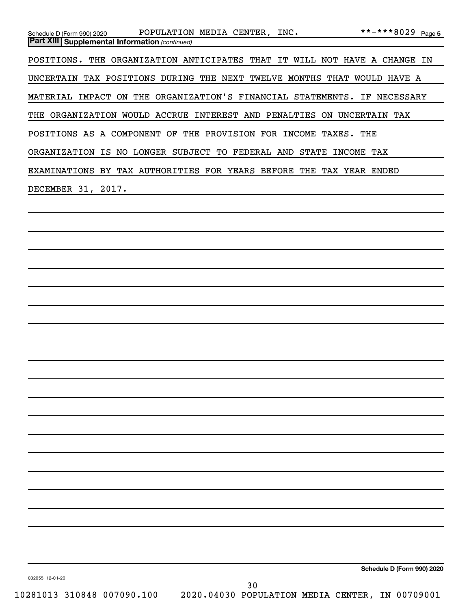| POPULATION MEDIA CENTER, INC.<br>Schedule D (Form 990) 2020<br><b>Part XIII   Supplemental Information (continued)</b> | **-***8029 Page 5          |
|------------------------------------------------------------------------------------------------------------------------|----------------------------|
| POSITIONS. THE ORGANIZATION ANTICIPATES THAT IT WILL NOT HAVE A CHANGE IN                                              |                            |
| UNCERTAIN TAX POSITIONS DURING THE NEXT TWELVE MONTHS THAT WOULD HAVE A                                                |                            |
| MATERIAL IMPACT ON THE ORGANIZATION'S FINANCIAL STATEMENTS. IF NECESSARY                                               |                            |
| THE ORGANIZATION WOULD ACCRUE INTEREST AND PENALTIES ON UNCERTAIN TAX                                                  |                            |
| POSITIONS AS A COMPONENT OF THE PROVISION FOR INCOME TAXES. THE                                                        |                            |
| ORGANIZATION IS NO LONGER SUBJECT TO FEDERAL AND STATE INCOME TAX                                                      |                            |
| EXAMINATIONS BY TAX AUTHORITIES FOR YEARS BEFORE THE TAX YEAR ENDED                                                    |                            |
| DECEMBER 31, 2017.                                                                                                     |                            |
| and the control of the control of the control of the control of the control of the control of the control of the       |                            |
|                                                                                                                        |                            |
|                                                                                                                        |                            |
|                                                                                                                        |                            |
|                                                                                                                        |                            |
|                                                                                                                        |                            |
|                                                                                                                        |                            |
|                                                                                                                        |                            |
|                                                                                                                        |                            |
|                                                                                                                        |                            |
|                                                                                                                        |                            |
|                                                                                                                        |                            |
|                                                                                                                        |                            |
|                                                                                                                        |                            |
|                                                                                                                        |                            |
|                                                                                                                        |                            |
|                                                                                                                        |                            |
|                                                                                                                        |                            |
|                                                                                                                        |                            |
|                                                                                                                        |                            |
|                                                                                                                        | Schedule D (Form 990) 2020 |
| 032055 12-01-20<br>30                                                                                                  |                            |
| 10281013 310848 007090.100<br>2020.04030 POPULATION MEDIA CENTER, IN 00709001                                          |                            |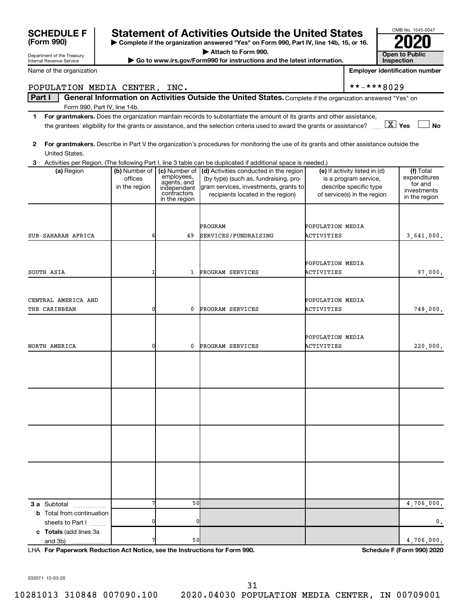| Department of the Treasury<br>Internal Revenue Service |                          |                              | Go to www.irs.gov/Form990 for instructions and the latest information.                                                                      |                                |                                                        | <b>Open to Public</b><br>Inspection   |
|--------------------------------------------------------|--------------------------|------------------------------|---------------------------------------------------------------------------------------------------------------------------------------------|--------------------------------|--------------------------------------------------------|---------------------------------------|
| Name of the organization                               |                          |                              |                                                                                                                                             |                                |                                                        | <b>Employer identification number</b> |
| POPULATION MEDIA CENTER, INC.                          |                          |                              |                                                                                                                                             |                                | **-***8029                                             |                                       |
| Part I                                                 |                          |                              | General Information on Activities Outside the United States. Complete if the organization answered "Yes" on                                 |                                |                                                        |                                       |
| Form 990, Part IV, line 14b.                           |                          |                              |                                                                                                                                             |                                |                                                        |                                       |
| 1                                                      |                          |                              | For grantmakers. Does the organization maintain records to substantiate the amount of its grants and other assistance,                      |                                |                                                        |                                       |
|                                                        |                          |                              | the grantees' eligibility for the grants or assistance, and the selection criteria used to award the grants or assistance? $\ldots$ $X$ Yes |                                |                                                        | <b>No</b>                             |
| 2                                                      |                          |                              | For grantmakers. Describe in Part V the organization's procedures for monitoring the use of its grants and other assistance outside the     |                                |                                                        |                                       |
| United States.                                         |                          |                              |                                                                                                                                             |                                |                                                        |                                       |
| з                                                      |                          |                              | Activities per Region. (The following Part I, line 3 table can be duplicated if additional space is needed.)                                |                                |                                                        |                                       |
| (a) Region                                             | (b) Number of<br>offices | (c) Number of<br>employees,  | (d) Activities conducted in the region<br>(by type) (such as, fundraising, pro-                                                             |                                | (e) If activity listed in (d)<br>is a program service, | (f) Total<br>expenditures             |
|                                                        | in the region            | agents, and<br>independent   | gram services, investments, grants to                                                                                                       |                                | describe specific type                                 | for and<br>investments                |
|                                                        |                          | contractors<br>in the region | recipients located in the region)                                                                                                           |                                | of service(s) in the region                            | in the region                         |
|                                                        |                          |                              |                                                                                                                                             |                                |                                                        |                                       |
|                                                        |                          |                              |                                                                                                                                             |                                |                                                        |                                       |
| SUB-SAHARAN AFRICA                                     | 6                        | 49                           | PROGRAM<br>SERVICES/FUNDRAISING                                                                                                             | POPULATION MEDIA<br>ACTIVITIES |                                                        | 3,641,000.                            |
|                                                        |                          |                              |                                                                                                                                             |                                |                                                        |                                       |
|                                                        |                          |                              |                                                                                                                                             |                                |                                                        |                                       |
|                                                        |                          |                              |                                                                                                                                             | POPULATION MEDIA               |                                                        |                                       |
| SOUTH ASIA                                             |                          | 1                            | PROGRAM SERVICES                                                                                                                            | ACTIVITIES                     |                                                        | 97,000.                               |
|                                                        |                          |                              |                                                                                                                                             |                                |                                                        |                                       |
| CENTRAL AMERICA AND                                    |                          |                              |                                                                                                                                             | POPULATION MEDIA               |                                                        |                                       |
| THE CARIBBEAN                                          | 0                        | 0                            | PROGRAM SERVICES                                                                                                                            | ACTIVITIES                     |                                                        | 748,000.                              |
|                                                        |                          |                              |                                                                                                                                             |                                |                                                        |                                       |
|                                                        |                          |                              |                                                                                                                                             | POPULATION MEDIA               |                                                        |                                       |
| NORTH AMERICA                                          | 0                        | 0                            | PROGRAM SERVICES                                                                                                                            | ACTIVITIES                     |                                                        | 220,000.                              |
|                                                        |                          |                              |                                                                                                                                             |                                |                                                        |                                       |
|                                                        |                          |                              |                                                                                                                                             |                                |                                                        |                                       |
|                                                        |                          |                              |                                                                                                                                             |                                |                                                        |                                       |
|                                                        |                          |                              |                                                                                                                                             |                                |                                                        |                                       |
|                                                        |                          |                              |                                                                                                                                             |                                |                                                        |                                       |
|                                                        |                          |                              |                                                                                                                                             |                                |                                                        |                                       |
|                                                        |                          |                              |                                                                                                                                             |                                |                                                        |                                       |
|                                                        |                          |                              |                                                                                                                                             |                                |                                                        |                                       |
|                                                        |                          |                              |                                                                                                                                             |                                |                                                        |                                       |
|                                                        |                          |                              |                                                                                                                                             |                                |                                                        |                                       |
|                                                        |                          |                              |                                                                                                                                             |                                |                                                        |                                       |
|                                                        |                          |                              |                                                                                                                                             |                                |                                                        |                                       |
|                                                        |                          |                              |                                                                                                                                             |                                |                                                        |                                       |
| <b>3 a</b> Subtotal                                    |                          | 50                           |                                                                                                                                             |                                |                                                        | 4,706,000.                            |
| <b>b</b> Total from continuation                       |                          |                              |                                                                                                                                             |                                |                                                        |                                       |
| sheets to Part I                                       |                          |                              |                                                                                                                                             |                                |                                                        | 0.                                    |
| c Totals (add lines 3a<br>and 3b)<br>.                 |                          | 50                           |                                                                                                                                             |                                |                                                        | 4,706,000.                            |

**| Complete if the organization answered "Yes" on Form 990, Part IV, line 14b, 15, or 16. | Attach to Form 990. | Go to www.irs.gov/Form990 for instructions and the latest information.** 

**SCHEDULE F Statement of Activities Outside the United States 2020**

OMB No. 1545-0047

**Open to Public** 

**For Paperwork Reduction Act Notice, see the Instructions for Form 990. Schedule F (Form 990) 2020** LHA

032071 12-03-20

**(Form 990)**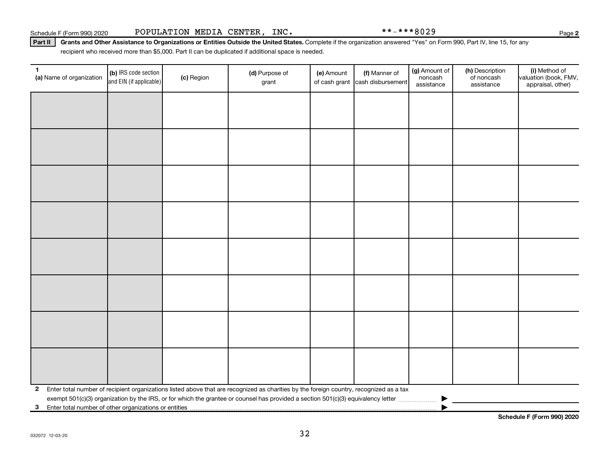Part II | Grants and Other Assistance to Organizations or Entities Outside the United States. Complete if the organization answered "Yes" on Form 990, Part IV, line 15, for any recipient who received more than \$5,000. Part II can be duplicated if additional space is needed.

| 1<br>(a) Name of organization                              | (b) IRS code section<br>and EIN (if applicable) | (c) Region | (d) Purpose of<br>grant                                                                                                                 | (e) Amount | (f) Manner of<br>of cash grant cash disbursement | (g) Amount of<br>noncash<br>assistance | (h) Description<br>of noncash<br>assistance | (i) Method of<br>valuation (book, FMV,<br>appraisal, other) |
|------------------------------------------------------------|-------------------------------------------------|------------|-----------------------------------------------------------------------------------------------------------------------------------------|------------|--------------------------------------------------|----------------------------------------|---------------------------------------------|-------------------------------------------------------------|
|                                                            |                                                 |            |                                                                                                                                         |            |                                                  |                                        |                                             |                                                             |
|                                                            |                                                 |            |                                                                                                                                         |            |                                                  |                                        |                                             |                                                             |
|                                                            |                                                 |            |                                                                                                                                         |            |                                                  |                                        |                                             |                                                             |
|                                                            |                                                 |            |                                                                                                                                         |            |                                                  |                                        |                                             |                                                             |
|                                                            |                                                 |            |                                                                                                                                         |            |                                                  |                                        |                                             |                                                             |
|                                                            |                                                 |            |                                                                                                                                         |            |                                                  |                                        |                                             |                                                             |
|                                                            |                                                 |            |                                                                                                                                         |            |                                                  |                                        |                                             |                                                             |
|                                                            |                                                 |            |                                                                                                                                         |            |                                                  |                                        |                                             |                                                             |
|                                                            |                                                 |            |                                                                                                                                         |            |                                                  |                                        |                                             |                                                             |
|                                                            |                                                 |            |                                                                                                                                         |            |                                                  |                                        |                                             |                                                             |
|                                                            |                                                 |            |                                                                                                                                         |            |                                                  |                                        |                                             |                                                             |
|                                                            |                                                 |            |                                                                                                                                         |            |                                                  |                                        |                                             |                                                             |
|                                                            |                                                 |            |                                                                                                                                         |            |                                                  |                                        |                                             |                                                             |
|                                                            |                                                 |            |                                                                                                                                         |            |                                                  |                                        |                                             |                                                             |
|                                                            |                                                 |            |                                                                                                                                         |            |                                                  |                                        |                                             |                                                             |
|                                                            |                                                 |            |                                                                                                                                         |            |                                                  |                                        |                                             |                                                             |
| $\mathbf{2}$                                               |                                                 |            | Enter total number of recipient organizations listed above that are recognized as charities by the foreign country, recognized as a tax |            |                                                  |                                        |                                             |                                                             |
| Enter total number of other organizations or entities<br>3 |                                                 |            |                                                                                                                                         |            |                                                  |                                        |                                             |                                                             |

**Schedule F (Form 990) 2020**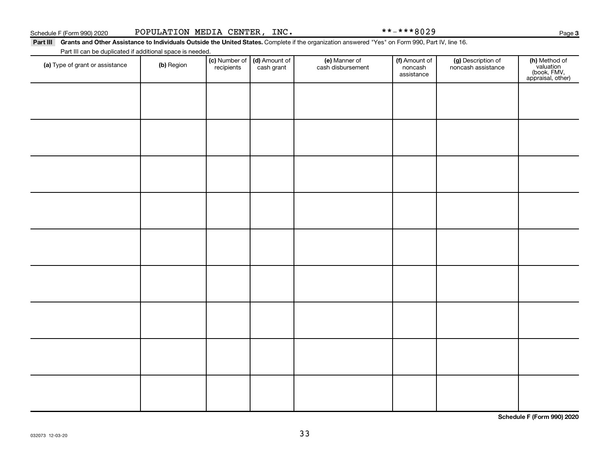Page 3

Part III Grants and Other Assistance to Individuals Outside the United States. Complete if the organization answered "Yes" on Form 990, Part IV, line 16. Part III can be duplicated if additional space is needed.

| (a) Type of grant or assistance | (b) Region | (c) Number of<br>recipients | (d) Amount of<br>cash grant | (e) Manner of<br>cash disbursement | (f) Amount of<br>noncash<br>assistance | (g) Description of<br>noncash assistance | (h) Method of<br>valuation<br>(book, FMV,<br>appraisal, other) |
|---------------------------------|------------|-----------------------------|-----------------------------|------------------------------------|----------------------------------------|------------------------------------------|----------------------------------------------------------------|
|                                 |            |                             |                             |                                    |                                        |                                          |                                                                |
|                                 |            |                             |                             |                                    |                                        |                                          |                                                                |
|                                 |            |                             |                             |                                    |                                        |                                          |                                                                |
|                                 |            |                             |                             |                                    |                                        |                                          |                                                                |
|                                 |            |                             |                             |                                    |                                        |                                          |                                                                |
|                                 |            |                             |                             |                                    |                                        |                                          |                                                                |
|                                 |            |                             |                             |                                    |                                        |                                          |                                                                |
|                                 |            |                             |                             |                                    |                                        |                                          |                                                                |
|                                 |            |                             |                             |                                    |                                        |                                          |                                                                |
|                                 |            |                             |                             |                                    |                                        |                                          |                                                                |

**Schedule F (Form 990) 2020**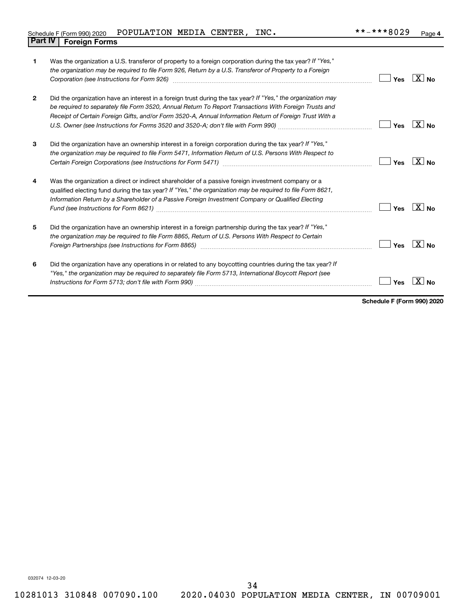| Schedule F (Form 990) 2020     | POPULATION MEDIA CENTER, |  | INC. | **-***8029 | Page |
|--------------------------------|--------------------------|--|------|------------|------|
| <b>Part IV   Foreign Forms</b> |                          |  |      |            |      |

| 1              | Was the organization a U.S. transferor of property to a foreign corporation during the tax year? If "Yes,"<br>the organization may be required to file Form 926, Return by a U.S. Transferor of Property to a Foreign                                                                                                             | Yes | $X $ No           |
|----------------|-----------------------------------------------------------------------------------------------------------------------------------------------------------------------------------------------------------------------------------------------------------------------------------------------------------------------------------|-----|-------------------|
| $\overline{2}$ | Did the organization have an interest in a foreign trust during the tax year? If "Yes," the organization may<br>be required to separately file Form 3520, Annual Return To Report Transactions With Foreign Trusts and<br>Receipt of Certain Foreign Gifts, and/or Form 3520-A, Annual Information Return of Foreign Trust With a | Yes | $X _{\text{No}}$  |
| 3              | Did the organization have an ownership interest in a foreign corporation during the tax year? If "Yes,"<br>the organization may be required to file Form 5471, Information Return of U.S. Persons With Respect to                                                                                                                 | Yes | - X  <br>No       |
| 4              | Was the organization a direct or indirect shareholder of a passive foreign investment company or a<br>qualified electing fund during the tax year? If "Yes," the organization may be required to file Form 8621,<br>Information Return by a Shareholder of a Passive Foreign Investment Company or Qualified Electing             | Yes | $\overline{X}$ No |
| 5              | Did the organization have an ownership interest in a foreign partnership during the tax year? If "Yes,"<br>the organization may be required to file Form 8865, Return of U.S. Persons With Respect to Certain<br>Foreign Partnerships (see Instructions for Form 8865)                                                            | Yes | $X$ No            |
| 6              | Did the organization have any operations in or related to any boycotting countries during the tax year? If<br>"Yes," the organization may be required to separately file Form 5713, International Boycott Report (see                                                                                                             | Yes |                   |

**Schedule F (Form 990) 2020**

**4**

032074 12-03-20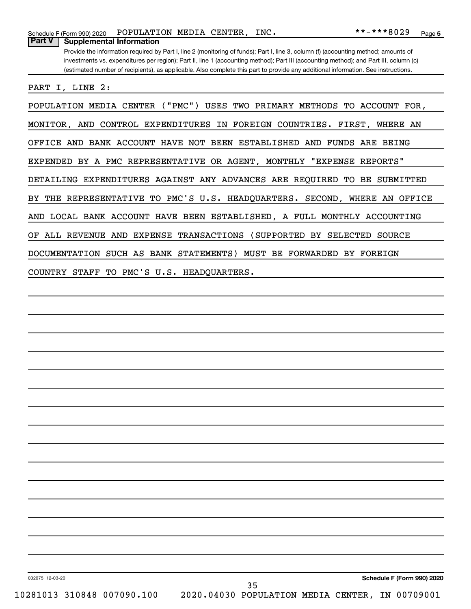Provide the information required by Part I, line 2 (monitoring of funds); Part I, line 3, column (f) (accounting method; amounts of investments vs. expenditures per region); Part II, line 1 (accounting method); Part III (accounting method); and Part III, column (c) (estimated number of recipients), as applicable. Also complete this part to provide any additional information. See instructions.

PART I, LINE 2:

**Part V Supplemental Information**

POPULATION MEDIA CENTER ("PMC") USES TWO PRIMARY METHODS TO ACCOUNT FOR, MONITOR, AND CONTROL EXPENDITURES IN FOREIGN COUNTRIES. FIRST, WHERE AN OFFICE AND BANK ACCOUNT HAVE NOT BEEN ESTABLISHED AND FUNDS ARE BEING EXPENDED BY A PMC REPRESENTATIVE OR AGENT, MONTHLY "EXPENSE REPORTS" DETAILING EXPENDITURES AGAINST ANY ADVANCES ARE REQUIRED TO BE SUBMITTED BY THE REPRESENTATIVE TO PMC'S U.S. HEADQUARTERS. SECOND, WHERE AN OFFICE AND LOCAL BANK ACCOUNT HAVE BEEN ESTABLISHED, A FULL MONTHLY ACCOUNTING OF ALL REVENUE AND EXPENSE TRANSACTIONS (SUPPORTED BY SELECTED SOURCE DOCUMENTATION SUCH AS BANK STATEMENTS) MUST BE FORWARDED BY FOREIGN COUNTRY STAFF TO PMC'S U.S. HEADQUARTERS.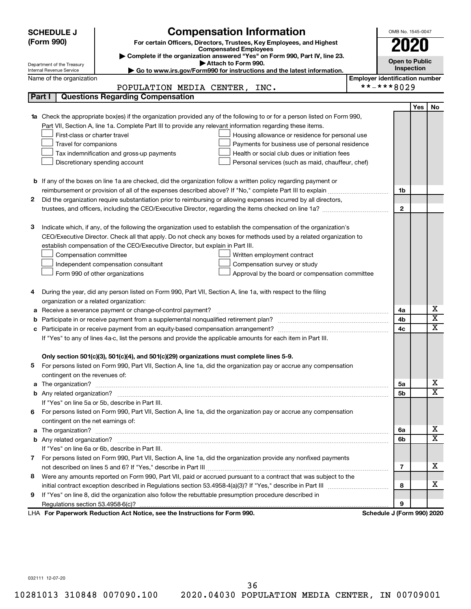| <b>SCHEDULE J</b>                                      | <b>Compensation Information</b>                                                                                                                                                                                                      |                                       | OMB No. 1545-0047          |            |                         |
|--------------------------------------------------------|--------------------------------------------------------------------------------------------------------------------------------------------------------------------------------------------------------------------------------------|---------------------------------------|----------------------------|------------|-------------------------|
| (Form 990)                                             | For certain Officers, Directors, Trustees, Key Employees, and Highest                                                                                                                                                                |                                       | 2020                       |            |                         |
|                                                        | <b>Compensated Employees</b>                                                                                                                                                                                                         |                                       |                            |            |                         |
|                                                        | Complete if the organization answered "Yes" on Form 990, Part IV, line 23.<br>Attach to Form 990.                                                                                                                                    |                                       |                            |            | <b>Open to Public</b>   |
| Department of the Treasury<br>Internal Revenue Service | Go to www.irs.gov/Form990 for instructions and the latest information.                                                                                                                                                               |                                       |                            |            |                         |
| Name of the organization                               |                                                                                                                                                                                                                                      | <b>Employer identification number</b> |                            |            |                         |
|                                                        | POPULATION MEDIA CENTER, INC.                                                                                                                                                                                                        |                                       | **-***8029                 |            |                         |
| Part I                                                 | <b>Questions Regarding Compensation</b>                                                                                                                                                                                              |                                       |                            |            |                         |
|                                                        |                                                                                                                                                                                                                                      |                                       |                            | <b>Yes</b> | No                      |
|                                                        | Check the appropriate box(es) if the organization provided any of the following to or for a person listed on Form 990,                                                                                                               |                                       |                            |            |                         |
|                                                        | Part VII, Section A, line 1a. Complete Part III to provide any relevant information regarding these items.                                                                                                                           |                                       |                            |            |                         |
|                                                        | First-class or charter travel<br>Housing allowance or residence for personal use                                                                                                                                                     |                                       |                            |            |                         |
|                                                        | Travel for companions<br>Payments for business use of personal residence                                                                                                                                                             |                                       |                            |            |                         |
|                                                        | Health or social club dues or initiation fees<br>Tax indemnification and gross-up payments                                                                                                                                           |                                       |                            |            |                         |
|                                                        | Discretionary spending account<br>Personal services (such as maid, chauffeur, chef)                                                                                                                                                  |                                       |                            |            |                         |
|                                                        |                                                                                                                                                                                                                                      |                                       |                            |            |                         |
|                                                        | <b>b</b> If any of the boxes on line 1a are checked, did the organization follow a written policy regarding payment or                                                                                                               |                                       |                            |            |                         |
|                                                        |                                                                                                                                                                                                                                      |                                       | 1b                         |            |                         |
| 2                                                      | Did the organization require substantiation prior to reimbursing or allowing expenses incurred by all directors,                                                                                                                     |                                       |                            |            |                         |
|                                                        |                                                                                                                                                                                                                                      |                                       | $\mathbf{2}$               |            |                         |
|                                                        |                                                                                                                                                                                                                                      |                                       |                            |            |                         |
| З                                                      | Indicate which, if any, of the following the organization used to establish the compensation of the organization's                                                                                                                   |                                       |                            |            |                         |
|                                                        | CEO/Executive Director. Check all that apply. Do not check any boxes for methods used by a related organization to                                                                                                                   |                                       |                            |            |                         |
|                                                        | establish compensation of the CEO/Executive Director, but explain in Part III.                                                                                                                                                       |                                       |                            |            |                         |
|                                                        | Compensation committee<br>Written employment contract                                                                                                                                                                                |                                       |                            |            |                         |
|                                                        | Compensation survey or study<br>Independent compensation consultant                                                                                                                                                                  |                                       |                            |            |                         |
|                                                        | Form 990 of other organizations<br>Approval by the board or compensation committee                                                                                                                                                   |                                       |                            |            |                         |
| 4                                                      | During the year, did any person listed on Form 990, Part VII, Section A, line 1a, with respect to the filing                                                                                                                         |                                       |                            |            |                         |
|                                                        | organization or a related organization:                                                                                                                                                                                              |                                       |                            |            |                         |
| а                                                      | Receive a severance payment or change-of-control payment?                                                                                                                                                                            |                                       | 4a                         |            | х                       |
| b                                                      |                                                                                                                                                                                                                                      |                                       | 4b                         |            | $\overline{\textbf{x}}$ |
| с                                                      |                                                                                                                                                                                                                                      |                                       | 4c                         |            | x                       |
|                                                        | If "Yes" to any of lines 4a-c, list the persons and provide the applicable amounts for each item in Part III.                                                                                                                        |                                       |                            |            |                         |
|                                                        |                                                                                                                                                                                                                                      |                                       |                            |            |                         |
|                                                        | Only section 501(c)(3), 501(c)(4), and 501(c)(29) organizations must complete lines 5-9.                                                                                                                                             |                                       |                            |            |                         |
|                                                        | For persons listed on Form 990, Part VII, Section A, line 1a, did the organization pay or accrue any compensation                                                                                                                    |                                       |                            |            |                         |
|                                                        | contingent on the revenues of:                                                                                                                                                                                                       |                                       |                            |            |                         |
| a                                                      |                                                                                                                                                                                                                                      |                                       | 5a                         |            | х                       |
|                                                        |                                                                                                                                                                                                                                      |                                       | 5b                         |            | X                       |
|                                                        | If "Yes" on line 5a or 5b, describe in Part III.                                                                                                                                                                                     |                                       |                            |            |                         |
|                                                        | 6 For persons listed on Form 990, Part VII, Section A, line 1a, did the organization pay or accrue any compensation                                                                                                                  |                                       |                            |            |                         |
|                                                        | contingent on the net earnings of:                                                                                                                                                                                                   |                                       |                            |            |                         |
| a                                                      | The organization? <b>With the contract of the contract of the contract of the contract of the contract of the contract of the contract of the contract of the contract of the contract of the contract of the contract of the co</b> |                                       | 6а                         |            | х                       |
|                                                        |                                                                                                                                                                                                                                      |                                       | 6b                         |            | X                       |
|                                                        | If "Yes" on line 6a or 6b, describe in Part III.                                                                                                                                                                                     |                                       |                            |            |                         |
|                                                        | 7 For persons listed on Form 990, Part VII, Section A, line 1a, did the organization provide any nonfixed payments                                                                                                                   |                                       |                            |            |                         |
|                                                        |                                                                                                                                                                                                                                      |                                       | 7                          |            | x                       |
| 8                                                      | Were any amounts reported on Form 990, Part VII, paid or accrued pursuant to a contract that was subject to the                                                                                                                      |                                       |                            |            |                         |
|                                                        |                                                                                                                                                                                                                                      |                                       | 8                          |            | x                       |
| 9                                                      | If "Yes" on line 8, did the organization also follow the rebuttable presumption procedure described in                                                                                                                               |                                       |                            |            |                         |
|                                                        |                                                                                                                                                                                                                                      |                                       | 9                          |            |                         |
|                                                        | LHA For Paperwork Reduction Act Notice, see the Instructions for Form 990.                                                                                                                                                           |                                       | Schedule J (Form 990) 2020 |            |                         |

032111 12-07-20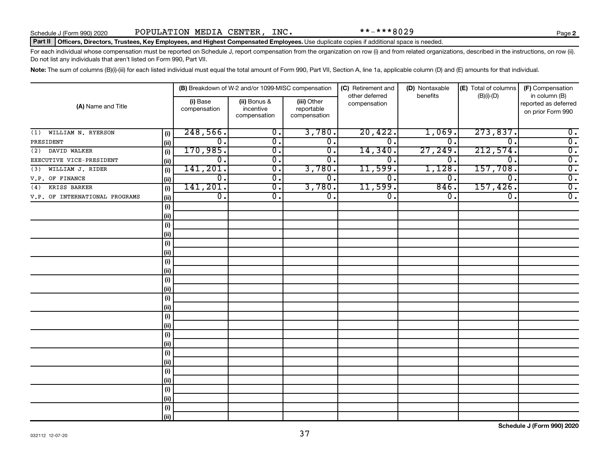#### Part II | Officers, Directors, Trustees, Key Employees, and Highest Compensated Employees. Use duplicate copies if additional space is needed.

For each individual whose compensation must be reported on Schedule J, report compensation from the organization on row (i) and from related organizations, described in the instructions, on row (ii). Do not list any individuals that aren't listed on Form 990, Part VII.

Note: The sum of columns (B)(i)-(iii) for each listed individual must equal the total amount of Form 990, Part VII, Section A, line 1a, applicable column (D) and (E) amounts for that individual.

| (A) Name and Title             |      | (B) Breakdown of W-2 and/or 1099-MISC compensation |                                           |                                           | (C) Retirement and<br>other deferred | (D) Nontaxable<br>benefits | (E) Total of columns<br>$(B)(i)$ - $(D)$ | (F) Compensation<br>in column (B)         |  |
|--------------------------------|------|----------------------------------------------------|-------------------------------------------|-------------------------------------------|--------------------------------------|----------------------------|------------------------------------------|-------------------------------------------|--|
|                                |      | (i) Base<br>compensation                           | (ii) Bonus &<br>incentive<br>compensation | (iii) Other<br>reportable<br>compensation | compensation                         |                            |                                          | reported as deferred<br>on prior Form 990 |  |
| WILLIAM N. RYERSON<br>(1)      | (i)  | 248,566.                                           | $\overline{\mathbf{0}}$ .                 | 3,780.                                    | 20,422.                              | 1,069.                     | 273,837.                                 | $\overline{0}$ .                          |  |
| PRESIDENT                      | (ii) | $\mathbf 0$ .                                      | $\overline{0}$ .                          | $\overline{\mathbf{0}}$ .                 | $\overline{0}$ .                     | 0.                         | $\overline{0}$                           | $\overline{0}$ .                          |  |
| DAVID WALKER<br>(2)            | (i)  | 170,985.                                           | $\overline{\mathfrak{o}}$ .               | $\overline{\mathfrak{o}}$ .               | 14,340                               | 27,249.                    | 212,574.                                 | $\overline{0}$ .                          |  |
| EXECUTIVE VICE-PRESIDENT       | (ii) | 0.                                                 | $\overline{\mathfrak{o}}$ .               | 0.                                        | 0                                    | $\overline{0}$ .           | $\overline{0}$ .                         | $\overline{0}$ .                          |  |
| WILLIAM J. RIDER<br>(3)        | (i)  | 141, 201.                                          | $\overline{0}$ .                          | 3,780.                                    | 11,599.                              | 1,128.                     | 157,708.                                 | $\overline{0}$ .                          |  |
| V.P. OF FINANCE                | (ii) | $\overline{0}$ .                                   | $\overline{0}$ .                          | $\overline{\mathbf{0}}$ .                 | 0.                                   | $\overline{0}$ .           | $\overline{\mathfrak{o}}$ .              | $\overline{0}$ .                          |  |
| KRISS BARKER<br>(4)            | (i)  | 141, 201.                                          | $\overline{0}$ .                          | 3,780.                                    | 11,599.                              | 846.                       | 157,426.                                 | $\overline{0}$ .                          |  |
| V.P. OF INTERNATIONAL PROGRAMS | (ii) | $\overline{0}$ .                                   | 0.                                        | $\overline{\mathbf{0}}$ .                 | $\overline{0}$ .                     | 0.                         | 0.                                       | $\overline{0}$ .                          |  |
|                                | (i)  |                                                    |                                           |                                           |                                      |                            |                                          |                                           |  |
|                                | (ii) |                                                    |                                           |                                           |                                      |                            |                                          |                                           |  |
|                                | (i)  |                                                    |                                           |                                           |                                      |                            |                                          |                                           |  |
|                                | (ii) |                                                    |                                           |                                           |                                      |                            |                                          |                                           |  |
|                                | (i)  |                                                    |                                           |                                           |                                      |                            |                                          |                                           |  |
|                                | (i)  |                                                    |                                           |                                           |                                      |                            |                                          |                                           |  |
|                                | (i)  |                                                    |                                           |                                           |                                      |                            |                                          |                                           |  |
|                                | (ii) |                                                    |                                           |                                           |                                      |                            |                                          |                                           |  |
|                                | (i)  |                                                    |                                           |                                           |                                      |                            |                                          |                                           |  |
|                                | (ii) |                                                    |                                           |                                           |                                      |                            |                                          |                                           |  |
|                                | (i)  |                                                    |                                           |                                           |                                      |                            |                                          |                                           |  |
|                                | (i)  |                                                    |                                           |                                           |                                      |                            |                                          |                                           |  |
|                                | (i)  |                                                    |                                           |                                           |                                      |                            |                                          |                                           |  |
|                                | (i)  |                                                    |                                           |                                           |                                      |                            |                                          |                                           |  |
|                                | (i)  |                                                    |                                           |                                           |                                      |                            |                                          |                                           |  |
|                                | (i)  |                                                    |                                           |                                           |                                      |                            |                                          |                                           |  |
|                                | (i)  |                                                    |                                           |                                           |                                      |                            |                                          |                                           |  |
|                                | (i)  |                                                    |                                           |                                           |                                      |                            |                                          |                                           |  |
|                                | (i)  |                                                    |                                           |                                           |                                      |                            |                                          |                                           |  |
|                                | (i)  |                                                    |                                           |                                           |                                      |                            |                                          |                                           |  |
|                                | (i)  |                                                    |                                           |                                           |                                      |                            |                                          |                                           |  |
|                                | (i)  |                                                    |                                           |                                           |                                      |                            |                                          |                                           |  |
|                                | (i)  |                                                    |                                           |                                           |                                      |                            |                                          |                                           |  |
|                                | (ii) |                                                    |                                           |                                           |                                      |                            |                                          |                                           |  |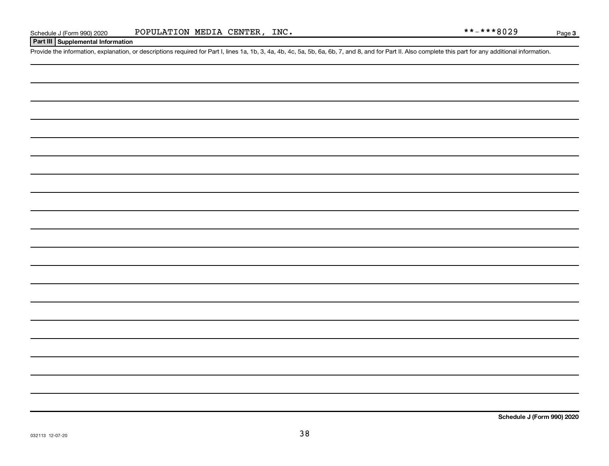#### Page 3

#### **Part III Supplemental Information**

Provide the information, explanation, or descriptions required for Part I, lines 1a, 1b, 3, 4a, 4b, 4c, 5a, 5b, 6a, 6b, 7, and 8, and for Part II. Also complete this part for any additional information.

**Schedule J (Form 990) 2020**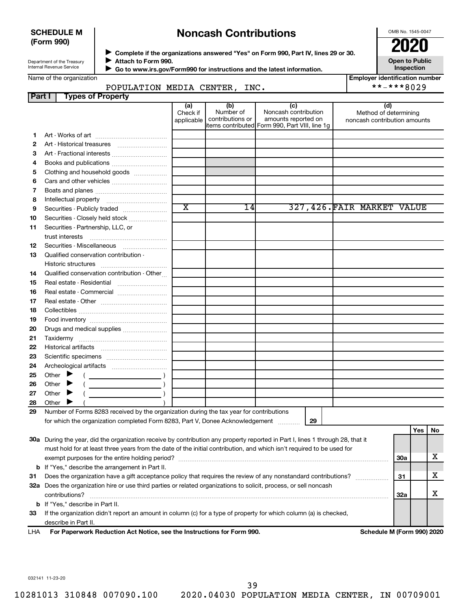#### **SCHEDULE M (Form 990)**

## **Noncash Contributions**

OMB No. 1545-0047

**Open to Public**

| Department of the Treasury |
|----------------------------|
| Internal Revenue Service   |

◆ Complete if the organizations answered "Yes" on Form 990, Part IV, lines 29 or 30.<br>● Complete if the organizations answered "Yes" on Form 990, Part IV, lines 29 or 30. **Attach to Form 990.**  $\blacktriangleright$ 

 **Go to www.irs.gov/Form990 for instructions and the latest information.** J

**Inspection Employer identification number**

| Name of the organization |  |
|--------------------------|--|
|--------------------------|--|

POPULATION MEDIA CENTER, INC. \*\*-\*\*\*8029

| <b>Part I</b> | <b>Types of Property</b>                                                                                                       |                               |                                      |                                                                                                      |                                                              |     |     |     |
|---------------|--------------------------------------------------------------------------------------------------------------------------------|-------------------------------|--------------------------------------|------------------------------------------------------------------------------------------------------|--------------------------------------------------------------|-----|-----|-----|
|               |                                                                                                                                | (a)<br>Check if<br>applicable | (b)<br>Number of<br>contributions or | (c)<br>Noncash contribution<br>amounts reported on<br>items contributed Form 990, Part VIII, line 1g | (d)<br>Method of determining<br>noncash contribution amounts |     |     |     |
| 1.            |                                                                                                                                |                               |                                      |                                                                                                      |                                                              |     |     |     |
| 2             |                                                                                                                                |                               |                                      |                                                                                                      |                                                              |     |     |     |
| з             |                                                                                                                                |                               |                                      |                                                                                                      |                                                              |     |     |     |
| 4             |                                                                                                                                |                               |                                      |                                                                                                      |                                                              |     |     |     |
| 5             | Clothing and household goods                                                                                                   |                               |                                      |                                                                                                      |                                                              |     |     |     |
| 6             |                                                                                                                                |                               |                                      |                                                                                                      |                                                              |     |     |     |
| 7             |                                                                                                                                |                               |                                      |                                                                                                      |                                                              |     |     |     |
| 8             |                                                                                                                                |                               |                                      |                                                                                                      |                                                              |     |     |     |
| 9             | Securities - Publicly traded                                                                                                   | $\overline{\text{x}}$         | 14                                   |                                                                                                      | 327,426.FAIR MARKET VALUE                                    |     |     |     |
| 10            | Securities - Closely held stock                                                                                                |                               |                                      |                                                                                                      |                                                              |     |     |     |
| 11            | Securities - Partnership, LLC, or                                                                                              |                               |                                      |                                                                                                      |                                                              |     |     |     |
|               | trust interests                                                                                                                |                               |                                      |                                                                                                      |                                                              |     |     |     |
| 12            | Securities - Miscellaneous                                                                                                     |                               |                                      |                                                                                                      |                                                              |     |     |     |
| 13            | Qualified conservation contribution -                                                                                          |                               |                                      |                                                                                                      |                                                              |     |     |     |
|               |                                                                                                                                |                               |                                      |                                                                                                      |                                                              |     |     |     |
| 14            | Qualified conservation contribution - Other                                                                                    |                               |                                      |                                                                                                      |                                                              |     |     |     |
| 15            | Real estate - Residential                                                                                                      |                               |                                      |                                                                                                      |                                                              |     |     |     |
| 16            | Real estate - Commercial                                                                                                       |                               |                                      |                                                                                                      |                                                              |     |     |     |
| 17            |                                                                                                                                |                               |                                      |                                                                                                      |                                                              |     |     |     |
| 18            |                                                                                                                                |                               |                                      |                                                                                                      |                                                              |     |     |     |
| 19            |                                                                                                                                |                               |                                      |                                                                                                      |                                                              |     |     |     |
| 20            | Drugs and medical supplies                                                                                                     |                               |                                      |                                                                                                      |                                                              |     |     |     |
| 21            |                                                                                                                                |                               |                                      |                                                                                                      |                                                              |     |     |     |
| 22            |                                                                                                                                |                               |                                      |                                                                                                      |                                                              |     |     |     |
| 23            |                                                                                                                                |                               |                                      |                                                                                                      |                                                              |     |     |     |
| 24            |                                                                                                                                |                               |                                      |                                                                                                      |                                                              |     |     |     |
| 25            | Other $\blacktriangleright$                                                                                                    |                               |                                      |                                                                                                      |                                                              |     |     |     |
| 26            | Other $\triangleright$                                                                                                         |                               |                                      |                                                                                                      |                                                              |     |     |     |
| 27            | Other $\blacktriangleright$                                                                                                    |                               |                                      |                                                                                                      |                                                              |     |     |     |
| 28            | Other $\blacktriangleright$                                                                                                    |                               |                                      |                                                                                                      |                                                              |     |     |     |
| 29            | Number of Forms 8283 received by the organization during the tax year for contributions                                        |                               |                                      |                                                                                                      |                                                              |     |     |     |
|               | for which the organization completed Form 8283, Part V, Donee Acknowledgement                                                  |                               |                                      | 29<br>.                                                                                              |                                                              |     |     |     |
|               |                                                                                                                                |                               |                                      |                                                                                                      |                                                              |     | Yes | No. |
|               | 30a During the year, did the organization receive by contribution any property reported in Part I, lines 1 through 28, that it |                               |                                      |                                                                                                      |                                                              |     |     |     |
|               | must hold for at least three years from the date of the initial contribution, and which isn't required to be used for          |                               |                                      |                                                                                                      |                                                              |     |     |     |
|               |                                                                                                                                |                               |                                      |                                                                                                      |                                                              | 30a |     | х   |
|               | <b>b</b> If "Yes," describe the arrangement in Part II.                                                                        |                               |                                      |                                                                                                      |                                                              |     |     |     |
| 31            | Does the organization have a gift acceptance policy that requires the review of any nonstandard contributions?                 |                               |                                      |                                                                                                      |                                                              | 31  |     | х   |
|               | 32a Does the organization hire or use third parties or related organizations to solicit, process, or sell noncash              |                               |                                      |                                                                                                      |                                                              |     |     |     |
|               | contributions?                                                                                                                 |                               |                                      |                                                                                                      |                                                              | 32a |     | x.  |
|               | <b>b</b> If "Yes," describe in Part II.                                                                                        |                               |                                      |                                                                                                      |                                                              |     |     |     |
| 33            | If the organization didn't report an amount in column (c) for a type of property for which column (a) is checked,              |                               |                                      |                                                                                                      |                                                              |     |     |     |
|               | describe in Part II.                                                                                                           |                               |                                      |                                                                                                      |                                                              |     |     |     |
| LHA           | For Paperwork Reduction Act Notice, see the Instructions for Form 990.                                                         |                               |                                      |                                                                                                      | Schedule M (Form 990) 2020                                   |     |     |     |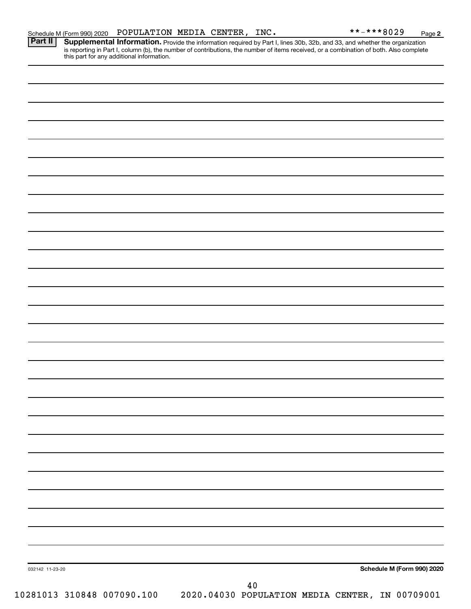Provide the information required by Part I, lines 30b, 32b, and 33, and whether the organization is reporting in Part I, column (b), the number of contributions, the number of items received, or a combination of both. Also complete this part for any additional information. **Part II Supplemental Information.** 

| 032142 11-23-20            |        | Schedule M (Form 990) 2020                      |
|----------------------------|--------|-------------------------------------------------|
|                            | $4\,0$ |                                                 |
| 10281013 310848 007090.100 |        | 2020.04030 POPULATION MEDIA CENTER, IN 00709001 |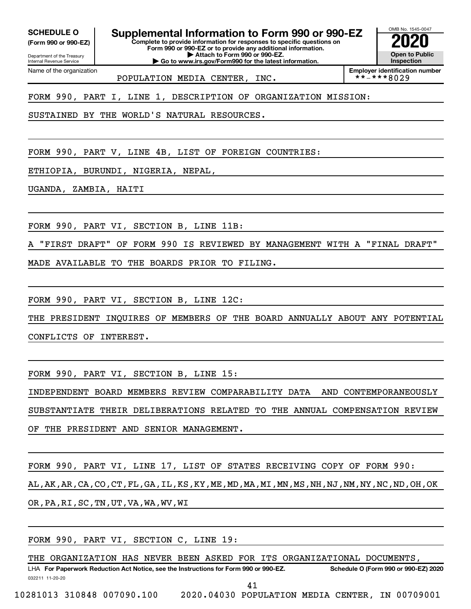Department of the Treasury **(Form 990 or 990-EZ)**

Name of the organization

Internal Revenue Service

**SCHEDULE O Supplemental Information to Form 990 or 990-EZ 2020**<br>(Form 990 or 990-EZ) Complete to provide information for responses to specific questions on

**Complete to provide information for responses to specific questions on Form 990 or 990-EZ or to provide any additional information. | Attach to Form 990 or 990-EZ.**

**| Go to www.irs.gov/Form990 for the latest information.**

OMB No. 1545-0047 **Open to Public Inspection**

**Employer identification number**<br>\* \* - \* \* \* 8 0 2 9

FORM 990, PART I, LINE 1, DESCRIPTION OF ORGANIZATION MISSION:

POPULATION MEDIA CENTER, INC.

SUSTAINED BY THE WORLD'S NATURAL RESOURCES.

FORM 990, PART V, LINE 4B, LIST OF FOREIGN COUNTRIES:

ETHIOPIA, BURUNDI, NIGERIA, NEPAL,

UGANDA, ZAMBIA, HAITI

FORM 990, PART VI, SECTION B, LINE 11B:

A "FIRST DRAFT" OF FORM 990 IS REVIEWED BY MANAGEMENT WITH A "FINAL DRAFT"

MADE AVAILABLE TO THE BOARDS PRIOR TO FILING.

FORM 990, PART VI, SECTION B, LINE 12C:

THE PRESIDENT INQUIRES OF MEMBERS OF THE BOARD ANNUALLY ABOUT ANY POTENTIAL CONFLICTS OF INTEREST.

FORM 990, PART VI, SECTION B, LINE 15:

INDEPENDENT BOARD MEMBERS REVIEW COMPARABILITY DATA AND CONTEMPORANEOUSLY SUBSTANTIATE THEIR DELIBERATIONS RELATED TO THE ANNUAL COMPENSATION REVIEW OF THE PRESIDENT AND SENIOR MANAGEMENT.

FORM 990, PART VI, LINE 17, LIST OF STATES RECEIVING COPY OF FORM 990: AL,AK,AR,CA,CO,CT,FL,GA,IL,KS,KY,ME,MD,MA,MI,MN,MS,NH,NJ,NM,NY,NC,ND,OH,OK OR,PA,RI,SC,TN,UT,VA,WA,WV,WI

FORM 990, PART VI, SECTION C, LINE 19:

THE ORGANIZATION HAS NEVER BEEN ASKED FOR ITS ORGANIZATIONAL DOCUMENTS,

032211 11-20-20 **For Paperwork Reduction Act Notice, see the Instructions for Form 990 or 990-EZ. Schedule O (Form 990 or 990-EZ) 2020** LHA 41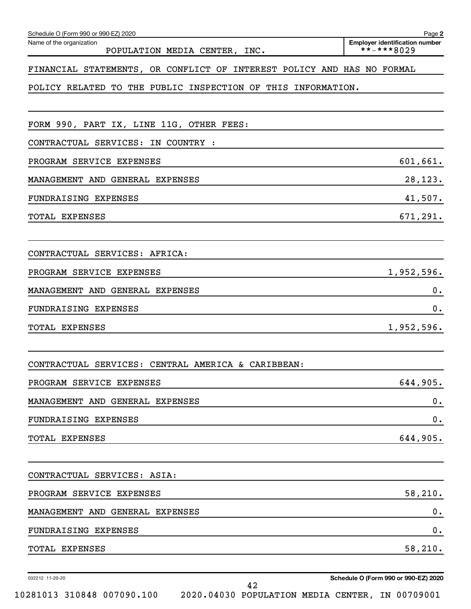| Schedule O (Form 990 or 990-EZ) 2020                                   | Page 2                                              |
|------------------------------------------------------------------------|-----------------------------------------------------|
| Name of the organization<br>POPULATION MEDIA CENTER, INC.              | <b>Employer identification number</b><br>**-***8029 |
| FINANCIAL STATEMENTS, OR CONFLICT OF INTEREST POLICY AND HAS NO FORMAL |                                                     |
| POLICY RELATED TO THE PUBLIC INSPECTION OF THIS INFORMATION.           |                                                     |
|                                                                        |                                                     |
| FORM 990, PART IX, LINE 11G, OTHER FEES:                               |                                                     |
| CONTRACTUAL SERVICES: IN COUNTRY :                                     |                                                     |
| PROGRAM SERVICE EXPENSES                                               | 601,661.                                            |
| MANAGEMENT AND GENERAL EXPENSES                                        | 28,123.                                             |
| FUNDRAISING EXPENSES                                                   | 41,507.                                             |
| <b>TOTAL EXPENSES</b>                                                  | 671,291.                                            |
|                                                                        |                                                     |
| CONTRACTUAL SERVICES: AFRICA:                                          |                                                     |
| PROGRAM SERVICE EXPENSES                                               | 1,952,596.                                          |
| MANAGEMENT AND GENERAL EXPENSES                                        | 0.                                                  |
| FUNDRAISING EXPENSES                                                   | 0.                                                  |
| TOTAL EXPENSES                                                         | 1,952,596.                                          |
|                                                                        |                                                     |
| CONTRACTUAL SERVICES: CENTRAL AMERICA & CARIBBEAN:                     |                                                     |
| PROGRAM SERVICE EXPENSES                                               | 644,905.                                            |
| MANAGEMENT AND GENERAL EXPENSES                                        | 0.                                                  |
| FUNDRAISING EXPENSES                                                   | 0.                                                  |
| TOTAL EXPENSES                                                         | 644,905.                                            |
|                                                                        |                                                     |
| CONTRACTUAL SERVICES: ASIA:                                            |                                                     |
| PROGRAM SERVICE EXPENSES                                               | 58,210.                                             |
| MANAGEMENT AND GENERAL EXPENSES                                        | 0.                                                  |
| FUNDRAISING EXPENSES                                                   | 0.                                                  |
| TOTAL EXPENSES                                                         | 58,210.                                             |
| 032212 11-20-20                                                        | Schedule O (Form 990 or 990-EZ) 2020                |
| 42                                                                     |                                                     |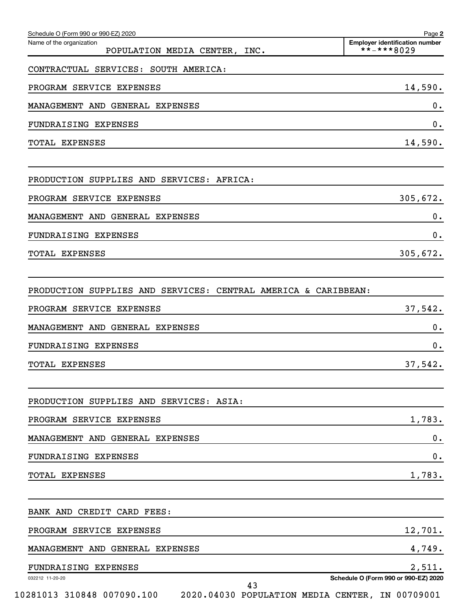| Schedule O (Form 990 or 990-EZ) 2020<br>Name of the organization | Page 2<br><b>Employer identification number</b> |
|------------------------------------------------------------------|-------------------------------------------------|
| POPULATION MEDIA CENTER, INC.                                    | $***$ ** * 8029                                 |
| CONTRACTUAL SERVICES: SOUTH AMERICA:                             |                                                 |
| PROGRAM SERVICE EXPENSES                                         | 14,590.                                         |
| MANAGEMENT AND GENERAL EXPENSES                                  | 0.                                              |
| FUNDRAISING EXPENSES                                             | 0.                                              |
| TOTAL EXPENSES                                                   | 14,590.                                         |
| PRODUCTION SUPPLIES AND SERVICES: AFRICA:                        |                                                 |
| PROGRAM SERVICE EXPENSES                                         | 305,672.                                        |
| MANAGEMENT AND GENERAL EXPENSES                                  | $0$ .                                           |
| FUNDRAISING EXPENSES                                             | 0.                                              |
| TOTAL EXPENSES                                                   | 305,672.                                        |
| PRODUCTION SUPPLIES AND SERVICES: CENTRAL AMERICA & CARIBBEAN:   |                                                 |
| PROGRAM SERVICE EXPENSES                                         | 37,542.                                         |
| MANAGEMENT AND GENERAL EXPENSES                                  | $0$ .                                           |
| FUNDRAISING EXPENSES                                             | 0.                                              |
| TOTAL EXPENSES                                                   | 37,542.                                         |
| PRODUCTION SUPPLIES AND SERVICES: ASIA:                          |                                                 |
| PROGRAM SERVICE EXPENSES                                         | 1,783.                                          |
| MANAGEMENT AND GENERAL EXPENSES                                  | 0.                                              |
| FUNDRAISING EXPENSES                                             | 0.                                              |
| TOTAL EXPENSES                                                   | 1,783.                                          |
| BANK AND CREDIT CARD FEES:                                       |                                                 |
| PROGRAM SERVICE EXPENSES                                         | 12,701.                                         |
| MANAGEMENT AND GENERAL EXPENSES                                  | 4,749.                                          |
| FUNDRAISING EXPENSES                                             | 2,511.                                          |
| 032212 11-20-20<br>43                                            | Schedule O (Form 990 or 990-EZ) 2020            |
| 10281013 310848 007090.100                                       | 2020.04030 POPULATION MEDIA CENTER, IN 00709001 |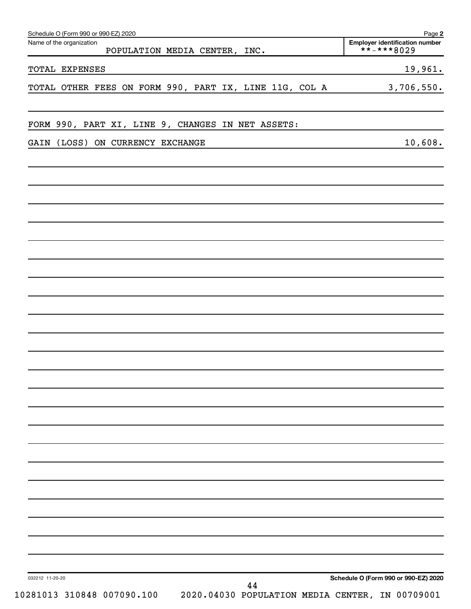| Schedule O (Form 990 or 990-EZ) 2020<br>Name of the organization<br>POPULATION MEDIA CENTER, INC.      | Page 2<br><b>Employer identification number</b><br>**-***8029 |
|--------------------------------------------------------------------------------------------------------|---------------------------------------------------------------|
| TOTAL EXPENSES                                                                                         | 19,961.                                                       |
| TOTAL OTHER FEES ON FORM 990, PART IX, LINE 11G, COL A                                                 | 3,706,550.                                                    |
| FORM 990, PART XI, LINE 9, CHANGES IN NET ASSETS:                                                      |                                                               |
| GAIN (LOSS) ON CURRENCY EXCHANGE                                                                       | 10,608.                                                       |
|                                                                                                        |                                                               |
|                                                                                                        |                                                               |
|                                                                                                        |                                                               |
|                                                                                                        |                                                               |
|                                                                                                        |                                                               |
|                                                                                                        |                                                               |
|                                                                                                        |                                                               |
|                                                                                                        |                                                               |
|                                                                                                        |                                                               |
|                                                                                                        |                                                               |
|                                                                                                        |                                                               |
|                                                                                                        |                                                               |
|                                                                                                        |                                                               |
|                                                                                                        |                                                               |
|                                                                                                        |                                                               |
| 032212 11-20-20<br>44<br>2020.04030 POPULATION MEDIA CENTER, IN 00709001<br>10281013 310848 007090.100 | Schedule O (Form 990 or 990-EZ) 2020                          |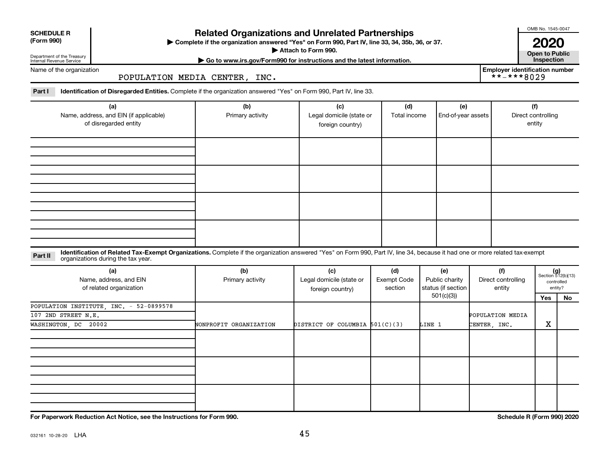| <b>SCHEDULE R</b> |  |
|-------------------|--|
|                   |  |

Department of the Treasury

### **Related Organizations and Unrelated Partnerships**

**(Form 990) Complete if the organization answered "Yes" on Form 990, Part IV, line 33, 34, 35b, 36, or 37.** |

■ Attach to Form 990. **Dependent of Attach to Form 990.** Open to Public

OMB No. 1545-0047

**| Go to www.irs.gov/Form990 for instructions and the latest information. Inspection 2020**<br>Open to Public

**Employer identification number**<br> $\star \star - \star \star \star 8029$ 

Internal Revenue Service Name of the organization

POPULATION MEDIA CENTER, INC.

Part I ldentification of Disregarded Entities. Complete if the organization answered "Yes" on Form 990, Part IV, line 33.

| (a)<br>Name, address, and EIN (if applicable)<br>of disregarded entity | (b)<br>Primary activity | (c)<br>Legal domicile (state or<br>foreign country) | (d)<br>Total income | (e)<br>End-of-year assets | (f)<br>Direct controlling<br>entity |
|------------------------------------------------------------------------|-------------------------|-----------------------------------------------------|---------------------|---------------------------|-------------------------------------|
|                                                                        |                         |                                                     |                     |                           |                                     |
|                                                                        |                         |                                                     |                     |                           |                                     |
|                                                                        |                         |                                                     |                     |                           |                                     |
|                                                                        |                         |                                                     |                     |                           |                                     |

#### **Part II** Identification of Related Tax-Exempt Organizations. Complete if the organization answered "Yes" on Form 990, Part IV, line 34, because it had one or more related tax-exempt<br>Part II acconizations during the tax ye organizations during the tax year.

| (a)<br>Name, address, and EIN<br>of related organization | (b)<br>Primary activity | (c)<br>Legal domicile (state or<br>foreign country) | (d)<br>Exempt Code<br>section | (e)<br>Public charity<br>status (if section | (f)<br>Direct controlling<br>entity | $(g)$<br>Section 512(b)(13)<br>controlled | entity? |
|----------------------------------------------------------|-------------------------|-----------------------------------------------------|-------------------------------|---------------------------------------------|-------------------------------------|-------------------------------------------|---------|
|                                                          |                         |                                                     |                               | 501(c)(3))                                  |                                     | Yes                                       | No      |
| POPULATION INSTITUTE, INC. - 52-0899578                  |                         |                                                     |                               |                                             |                                     |                                           |         |
| 107 2ND STREET N.E.                                      |                         |                                                     |                               |                                             | POPULATION MEDIA                    |                                           |         |
| WASHINGTON, DC 20002                                     | NONPROFIT ORGANIZATION  | DISTRICT OF COLUMBIA 501(C)(3)                      |                               | LINE 1                                      | CENTER, INC.                        | x                                         |         |
|                                                          |                         |                                                     |                               |                                             |                                     |                                           |         |
|                                                          |                         |                                                     |                               |                                             |                                     |                                           |         |
|                                                          |                         |                                                     |                               |                                             |                                     |                                           |         |

**For Paperwork Reduction Act Notice, see the Instructions for Form 990. Schedule R (Form 990) 2020**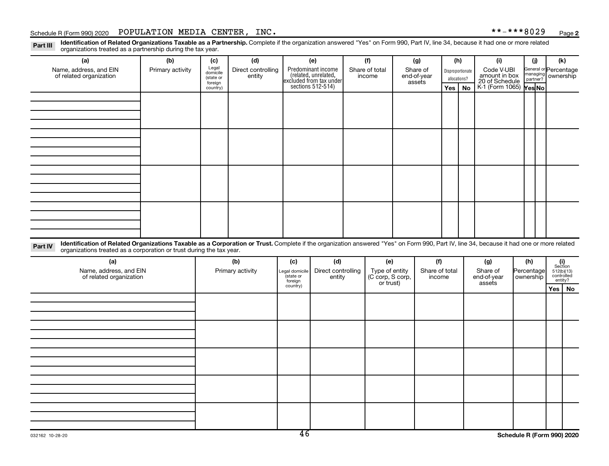#### Schedule R (Form 990) 2020 POPULATION MEDIA CENTER, INC.  $***-***8029$   $_{\rm Page}$

Part III Identification of Related Organizations Taxable as a Partnership. Complete if the organization answered "Yes" on Form 990, Part IV, line 34, because it had one or more related<br>Read to the organizations tracted as organizations treated as a partnership during the tax year.

| organizations treated as a partnership during the tax year.                                                                                                                                                                                                                 |                  |                      |                    |                             |                                              |                                    |  |                       |                  |              |                                               |                                |                                              |  |
|-----------------------------------------------------------------------------------------------------------------------------------------------------------------------------------------------------------------------------------------------------------------------------|------------------|----------------------|--------------------|-----------------------------|----------------------------------------------|------------------------------------|--|-----------------------|------------------|--------------|-----------------------------------------------|--------------------------------|----------------------------------------------|--|
| (a)                                                                                                                                                                                                                                                                         | (b)              | (c)                  | (d)                |                             | (e)                                          | (f)                                |  | (g)                   |                  | (h)          | (i)                                           | (i)                            | (k)                                          |  |
| Name, address, and EIN                                                                                                                                                                                                                                                      | Primary activity | Legal<br>domicile    | Direct controlling |                             | Predominant income<br>(related, unrelated,   | Share of total<br>Share of         |  |                       | Disproportionate |              | General or Percentage                         |                                |                                              |  |
| of related organization                                                                                                                                                                                                                                                     |                  | (state or<br>foreign | entity             |                             | excluded from tax under<br>sections 512-514) | income                             |  | end-of-year<br>assets |                  | allocations? | Code V-UBI<br>amount in box<br>20 of Schedule | managing<br>partner? ownership |                                              |  |
|                                                                                                                                                                                                                                                                             |                  | country)             |                    |                             |                                              |                                    |  |                       | Yes              | No           | K-1 (Form 1065) Yes No                        |                                |                                              |  |
|                                                                                                                                                                                                                                                                             |                  |                      |                    |                             |                                              |                                    |  |                       |                  |              |                                               |                                |                                              |  |
|                                                                                                                                                                                                                                                                             |                  |                      |                    |                             |                                              |                                    |  |                       |                  |              |                                               |                                |                                              |  |
|                                                                                                                                                                                                                                                                             |                  |                      |                    |                             |                                              |                                    |  |                       |                  |              |                                               |                                |                                              |  |
|                                                                                                                                                                                                                                                                             |                  |                      |                    |                             |                                              |                                    |  |                       |                  |              |                                               |                                |                                              |  |
|                                                                                                                                                                                                                                                                             |                  |                      |                    |                             |                                              |                                    |  |                       |                  |              |                                               |                                |                                              |  |
|                                                                                                                                                                                                                                                                             |                  |                      |                    |                             |                                              |                                    |  |                       |                  |              |                                               |                                |                                              |  |
|                                                                                                                                                                                                                                                                             |                  |                      |                    |                             |                                              |                                    |  |                       |                  |              |                                               |                                |                                              |  |
|                                                                                                                                                                                                                                                                             |                  |                      |                    |                             |                                              |                                    |  |                       |                  |              |                                               |                                |                                              |  |
|                                                                                                                                                                                                                                                                             |                  |                      |                    |                             |                                              |                                    |  |                       |                  |              |                                               |                                |                                              |  |
|                                                                                                                                                                                                                                                                             |                  |                      |                    |                             |                                              |                                    |  |                       |                  |              |                                               |                                |                                              |  |
|                                                                                                                                                                                                                                                                             |                  |                      |                    |                             |                                              |                                    |  |                       |                  |              |                                               |                                |                                              |  |
|                                                                                                                                                                                                                                                                             |                  |                      |                    |                             |                                              |                                    |  |                       |                  |              |                                               |                                |                                              |  |
|                                                                                                                                                                                                                                                                             |                  |                      |                    |                             |                                              |                                    |  |                       |                  |              |                                               |                                |                                              |  |
|                                                                                                                                                                                                                                                                             |                  |                      |                    |                             |                                              |                                    |  |                       |                  |              |                                               |                                |                                              |  |
|                                                                                                                                                                                                                                                                             |                  |                      |                    |                             |                                              |                                    |  |                       |                  |              |                                               |                                |                                              |  |
|                                                                                                                                                                                                                                                                             |                  |                      |                    |                             |                                              |                                    |  |                       |                  |              |                                               |                                |                                              |  |
| Identification of Related Organizations Taxable as a Corporation or Trust. Complete if the organization answered "Yes" on Form 990, Part IV, line 34, because it had one or more related<br>Part IV<br>organizations treated as a corporation or trust during the tax year. |                  |                      |                    |                             |                                              |                                    |  |                       |                  |              |                                               |                                |                                              |  |
| (a)                                                                                                                                                                                                                                                                         |                  |                      | (b)                | (c)                         | (d)                                          | (e)                                |  | (f)                   |                  |              | (g)                                           | (h)                            |                                              |  |
| Name, address, and EIN                                                                                                                                                                                                                                                      |                  |                      | Primary activity   | Legal domicile<br>(state or | Direct controlling                           |                                    |  | Share of total        |                  |              | Share of                                      | Percentage                     | $(i)$<br>Section<br>512(b)(13)<br>controlled |  |
| of related organization                                                                                                                                                                                                                                                     |                  |                      |                    | foreign                     | entity                                       | Type of entity<br>(C corp, S corp, |  | income                |                  |              | end-of-year                                   | ownership                      | entity?                                      |  |
|                                                                                                                                                                                                                                                                             |                  |                      |                    | country)                    |                                              | or trust)                          |  |                       |                  |              | assets                                        |                                | Yes   No                                     |  |
|                                                                                                                                                                                                                                                                             |                  |                      |                    |                             |                                              |                                    |  |                       |                  |              |                                               |                                |                                              |  |
|                                                                                                                                                                                                                                                                             |                  |                      |                    |                             |                                              |                                    |  |                       |                  |              |                                               |                                |                                              |  |
|                                                                                                                                                                                                                                                                             |                  |                      |                    |                             |                                              |                                    |  |                       |                  |              |                                               |                                |                                              |  |
|                                                                                                                                                                                                                                                                             |                  |                      |                    |                             |                                              |                                    |  |                       |                  |              |                                               |                                |                                              |  |
|                                                                                                                                                                                                                                                                             |                  |                      |                    |                             |                                              |                                    |  |                       |                  |              |                                               |                                |                                              |  |
|                                                                                                                                                                                                                                                                             |                  |                      |                    |                             |                                              |                                    |  |                       |                  |              |                                               |                                |                                              |  |
|                                                                                                                                                                                                                                                                             |                  |                      |                    |                             |                                              |                                    |  |                       |                  |              |                                               |                                |                                              |  |
|                                                                                                                                                                                                                                                                             |                  |                      |                    |                             |                                              |                                    |  |                       |                  |              |                                               |                                |                                              |  |
|                                                                                                                                                                                                                                                                             |                  |                      |                    |                             |                                              |                                    |  |                       |                  |              |                                               |                                |                                              |  |
|                                                                                                                                                                                                                                                                             |                  |                      |                    |                             |                                              |                                    |  |                       |                  |              |                                               |                                |                                              |  |
|                                                                                                                                                                                                                                                                             |                  |                      |                    |                             |                                              |                                    |  |                       |                  |              |                                               |                                |                                              |  |
|                                                                                                                                                                                                                                                                             |                  |                      |                    |                             |                                              |                                    |  |                       |                  |              |                                               |                                |                                              |  |
|                                                                                                                                                                                                                                                                             |                  |                      |                    |                             |                                              |                                    |  |                       |                  |              |                                               |                                |                                              |  |
|                                                                                                                                                                                                                                                                             |                  |                      |                    |                             |                                              |                                    |  |                       |                  |              |                                               |                                |                                              |  |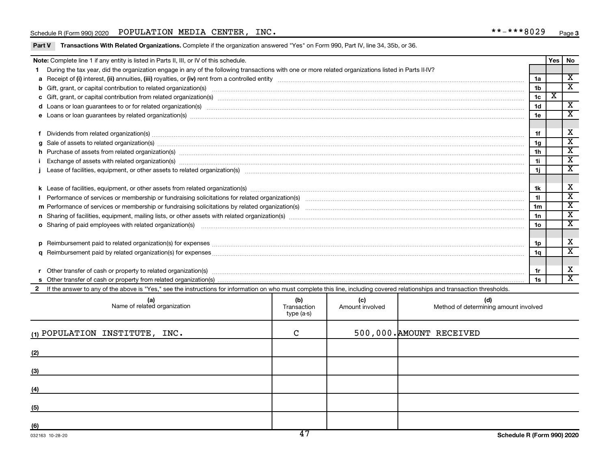#### Schedule R (Form 990) 2020 POPULATION MEDIA CENTER, INC.  $***-***8029$   $_{\rm Page}$

| Part V Transactions With Related Organizations. Complete if the organization answered "Yes" on Form 990, Part IV, line 34, 35b, or 36. |  |  |
|----------------------------------------------------------------------------------------------------------------------------------------|--|--|
|                                                                                                                                        |  |  |

|     | Note: Complete line 1 if any entity is listed in Parts II, III, or IV of this schedule.                                                                                                                                        |                                  |                        |                                              |                | Yes                     | No                                                 |  |  |
|-----|--------------------------------------------------------------------------------------------------------------------------------------------------------------------------------------------------------------------------------|----------------------------------|------------------------|----------------------------------------------|----------------|-------------------------|----------------------------------------------------|--|--|
|     | During the tax year, did the organization engage in any of the following transactions with one or more related organizations listed in Parts II-IV?                                                                            |                                  |                        |                                              |                |                         |                                                    |  |  |
|     |                                                                                                                                                                                                                                |                                  |                        |                                              | 1a             |                         | $\overline{\texttt{x}}$                            |  |  |
|     |                                                                                                                                                                                                                                |                                  |                        |                                              | 1 <sub>b</sub> |                         | $\overline{\textbf{x}}$                            |  |  |
|     |                                                                                                                                                                                                                                |                                  |                        |                                              | 1 <sub>c</sub> | $\overline{\textbf{X}}$ |                                                    |  |  |
|     |                                                                                                                                                                                                                                |                                  |                        |                                              | 1 <sub>d</sub> |                         | $\overline{\mathbf{X}}$                            |  |  |
|     |                                                                                                                                                                                                                                |                                  |                        |                                              | 1e             |                         | $\overline{\mathbf{x}}$                            |  |  |
|     |                                                                                                                                                                                                                                |                                  |                        |                                              |                |                         |                                                    |  |  |
|     |                                                                                                                                                                                                                                |                                  |                        |                                              | 1f             |                         | Х                                                  |  |  |
|     |                                                                                                                                                                                                                                |                                  |                        |                                              | 1 <sub>q</sub> |                         | $\overline{\mathbf{x}}$                            |  |  |
|     | h Purchase of assets from related organization(s) manufactured content to content the content of assets from related organization(s) manufactured content to content the content of the content of the content of the content  |                                  |                        |                                              | 1 <sub>h</sub> |                         | $\overline{\textbf{x}}$                            |  |  |
|     |                                                                                                                                                                                                                                |                                  |                        |                                              | 1i.            |                         | $\overline{\texttt{x}}$                            |  |  |
|     |                                                                                                                                                                                                                                |                                  |                        |                                              | 1i.            |                         | $\overline{\mathbf{x}}$                            |  |  |
|     |                                                                                                                                                                                                                                |                                  |                        |                                              |                |                         |                                                    |  |  |
|     |                                                                                                                                                                                                                                |                                  |                        |                                              | 1k             |                         | X                                                  |  |  |
|     |                                                                                                                                                                                                                                |                                  |                        |                                              | 11             |                         | $\overline{\mathbf{x}}$                            |  |  |
|     |                                                                                                                                                                                                                                |                                  |                        |                                              | 1 <sub>m</sub> |                         | $\overline{\textbf{x}}$<br>$\overline{\textbf{x}}$ |  |  |
|     |                                                                                                                                                                                                                                |                                  |                        |                                              |                |                         |                                                    |  |  |
|     | o Sharing of paid employees with related organization(s) manufactured and content to the content of the content of the content of the content of the content of the content of the content of the content of the content of th |                                  |                        |                                              | 1o             |                         | $\overline{\mathbf{x}}$                            |  |  |
|     |                                                                                                                                                                                                                                |                                  |                        |                                              |                |                         |                                                    |  |  |
|     |                                                                                                                                                                                                                                |                                  |                        |                                              | 1p             |                         | Х                                                  |  |  |
|     |                                                                                                                                                                                                                                |                                  |                        |                                              | 1a             |                         | $\overline{\textbf{x}}$                            |  |  |
|     |                                                                                                                                                                                                                                |                                  |                        |                                              |                |                         |                                                    |  |  |
|     |                                                                                                                                                                                                                                |                                  |                        |                                              | 1r             |                         | Х                                                  |  |  |
|     |                                                                                                                                                                                                                                |                                  |                        |                                              | 1s             |                         | $\overline{\textbf{x}}$                            |  |  |
|     | If the answer to any of the above is "Yes," see the instructions for information on who must complete this line, including covered relationships and transaction thresholds.                                                   |                                  |                        |                                              |                |                         |                                                    |  |  |
|     | (a)<br>Name of related organization                                                                                                                                                                                            | (b)<br>Transaction<br>type (a-s) | (c)<br>Amount involved | (d)<br>Method of determining amount involved |                |                         |                                                    |  |  |
|     | (1) POPULATION INSTITUTE, INC.                                                                                                                                                                                                 | С                                |                        | 500,000. AMOUNT RECEIVED                     |                |                         |                                                    |  |  |
| (2) |                                                                                                                                                                                                                                |                                  |                        |                                              |                |                         |                                                    |  |  |
|     |                                                                                                                                                                                                                                |                                  |                        |                                              |                |                         |                                                    |  |  |

|     | $\overline{1}$ |  |
|-----|----------------|--|
| (6) |                |  |
| (5) |                |  |
| (4) |                |  |
| (3) |                |  |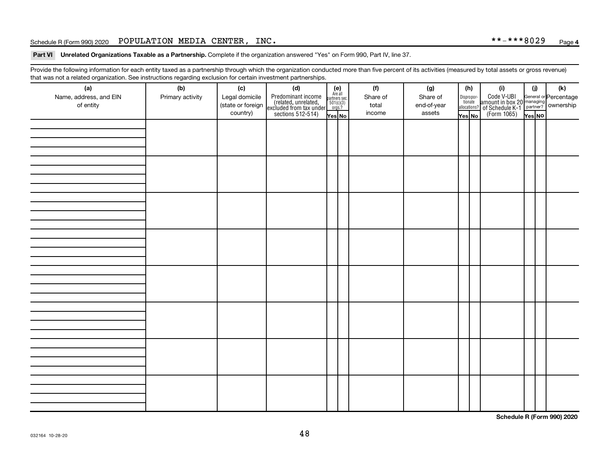#### Schedule R (Form 990) 2020 POPULATION MEDIA CENTER, INC.  $***-***8029$   $_{\rm Page}$

Part VI Unrelated Organizations Taxable as a Partnership. Complete if the organization answered "Yes" on Form 990, Part IV, line 37.

Provide the following information for each entity taxed as a partnership through which the organization conducted more than five percent of its activities (measured by total assets or gross revenue) that was not a related organization. See instructions regarding exclusion for certain investment partnerships.

| (a)                                 | (b)              | (c)                                             | mat mac not a rolated organization. Oce included by regarding exercision for contain invectment partneremper<br>(d) |                                                                    | (f)                         | (g)                               |        | (h)                                                                                                                                       | (i)                                                                                                  | (i)    | $(\mathsf{k})$ |  |  |
|-------------------------------------|------------------|-------------------------------------------------|---------------------------------------------------------------------------------------------------------------------|--------------------------------------------------------------------|-----------------------------|-----------------------------------|--------|-------------------------------------------------------------------------------------------------------------------------------------------|------------------------------------------------------------------------------------------------------|--------|----------------|--|--|
| Name, address, and EIN<br>of entity | Primary activity | Legal domicile<br>(state or foreign<br>country) | Predominant income<br>(related, unrelated,<br>excluded from tax under<br>sections 512-514)                          | (e)<br>Are all<br>partners sec.<br>$501(c)(3)$<br>orgs.?<br>Yes No | Share of<br>total<br>income | Share of<br>end-of-year<br>assets | Yes No | $\fbox{\parbox{0.5cm}{\begin{tabular}{ l l } \hline Disproportion} \\ \hline \text{tion} \\ \hline allocations? \\ \hline \end{tabular}}$ | Code V-UBI<br>amount in box 20 managing<br>of Schedule K-1<br>(Form 1065)<br>$\overline{Y}_{res}$ No | Yes No |                |  |  |
|                                     |                  |                                                 |                                                                                                                     |                                                                    |                             |                                   |        |                                                                                                                                           |                                                                                                      |        |                |  |  |
|                                     |                  |                                                 |                                                                                                                     |                                                                    |                             |                                   |        |                                                                                                                                           |                                                                                                      |        |                |  |  |
|                                     |                  |                                                 |                                                                                                                     |                                                                    |                             |                                   |        |                                                                                                                                           |                                                                                                      |        |                |  |  |
|                                     |                  |                                                 |                                                                                                                     |                                                                    |                             |                                   |        |                                                                                                                                           |                                                                                                      |        |                |  |  |
|                                     |                  |                                                 |                                                                                                                     |                                                                    |                             |                                   |        |                                                                                                                                           |                                                                                                      |        |                |  |  |
|                                     |                  |                                                 |                                                                                                                     |                                                                    |                             |                                   |        |                                                                                                                                           |                                                                                                      |        |                |  |  |
|                                     |                  |                                                 |                                                                                                                     |                                                                    |                             |                                   |        |                                                                                                                                           |                                                                                                      |        |                |  |  |
|                                     |                  |                                                 |                                                                                                                     |                                                                    |                             |                                   |        |                                                                                                                                           |                                                                                                      |        |                |  |  |
|                                     |                  |                                                 |                                                                                                                     |                                                                    |                             |                                   |        |                                                                                                                                           |                                                                                                      |        |                |  |  |
|                                     |                  |                                                 |                                                                                                                     |                                                                    |                             |                                   |        |                                                                                                                                           |                                                                                                      |        |                |  |  |
|                                     |                  |                                                 |                                                                                                                     |                                                                    |                             |                                   |        |                                                                                                                                           |                                                                                                      |        |                |  |  |
|                                     |                  |                                                 |                                                                                                                     |                                                                    |                             |                                   |        |                                                                                                                                           |                                                                                                      |        |                |  |  |
|                                     |                  |                                                 |                                                                                                                     |                                                                    |                             |                                   |        |                                                                                                                                           |                                                                                                      |        |                |  |  |
|                                     |                  |                                                 |                                                                                                                     |                                                                    |                             |                                   |        |                                                                                                                                           |                                                                                                      |        |                |  |  |
|                                     |                  |                                                 |                                                                                                                     |                                                                    |                             |                                   |        |                                                                                                                                           |                                                                                                      |        |                |  |  |
|                                     |                  |                                                 |                                                                                                                     |                                                                    |                             |                                   |        |                                                                                                                                           |                                                                                                      |        |                |  |  |
|                                     |                  |                                                 |                                                                                                                     |                                                                    |                             |                                   |        |                                                                                                                                           |                                                                                                      |        |                |  |  |
|                                     |                  |                                                 |                                                                                                                     |                                                                    |                             |                                   |        |                                                                                                                                           |                                                                                                      |        |                |  |  |
|                                     |                  |                                                 |                                                                                                                     |                                                                    |                             |                                   |        |                                                                                                                                           |                                                                                                      |        |                |  |  |
|                                     |                  |                                                 |                                                                                                                     |                                                                    |                             |                                   |        |                                                                                                                                           |                                                                                                      |        |                |  |  |
|                                     |                  |                                                 |                                                                                                                     |                                                                    |                             |                                   |        |                                                                                                                                           |                                                                                                      |        |                |  |  |
|                                     |                  |                                                 |                                                                                                                     |                                                                    |                             |                                   |        |                                                                                                                                           |                                                                                                      |        |                |  |  |
|                                     |                  |                                                 |                                                                                                                     |                                                                    |                             |                                   |        |                                                                                                                                           |                                                                                                      |        |                |  |  |
|                                     |                  |                                                 |                                                                                                                     |                                                                    |                             |                                   |        |                                                                                                                                           |                                                                                                      |        |                |  |  |
|                                     |                  |                                                 |                                                                                                                     |                                                                    |                             |                                   |        |                                                                                                                                           |                                                                                                      |        |                |  |  |

**Schedule R (Form 990) 2020**